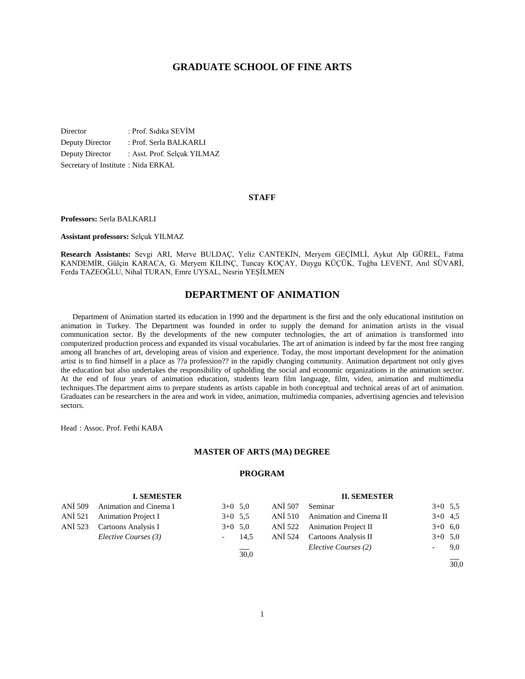# **GRADUATE SCHOOL OF FINE ARTS**

Director : Prof. Sıdıka SEVİM Deputy Director : Prof. Serla BALKARLI Deputy Director : Asst. Prof. Selçuk YILMAZ Secretary of Institute : Nida ERKAL

## **STAFF**

**Professors:** Serla BALKARLI

### **Assistant professors:** Selçuk YILMAZ

**Research Assistants:** Sevgi ARI, Merve BULDAÇ, Yeliz CANTEKİN, Meryem GEÇİMLİ, Aykut Alp GÜREL, Fatma KANDEMİR, Gülçin KARACA, G. Meryem KILINÇ, Tuncay KOÇAY, Duygu KÜÇÜK, Tuğba LEVENT, Anıl SÜVARİ, Ferda TAZEOĞLU, Nihal TURAN, Emre UYSAL, Nesrin YEŞİLMEN

# **DEPARTMENT OF ANIMATION**

 Department of Animation started its education in 1990 and the department is the first and the only educational institution on animation in Turkey. The Department was founded in order to supply the demand for animation artists in the visual communication sector. By the developments of the new computer technologies, the art of animation is transformed into computerized production process and expanded its visual vocabularies. The art of animation is indeed by far the most free ranging among all branches of art, developing areas of vision and experience. Today, the most important development for the animation artist is to find himself in a place as ??a profession?? in the rapidly changing community. Animation department not only gives the education but also undertakes the responsibility of upholding the social and economic organizations in the animation sector. At the end of four years of animation education, students learn film language, film, video, animation and multimedia techniques.The department aims to prepare students as artists capable in both conceptual and technical areas of art of animation. Graduates can be researchers in the area and work in video, animation, multimedia companies, advertising agencies and television sectors.

Head : Assoc. Prof. Fethi KABA

## **MASTER OF ARTS (MA) DEGREE**

## **PROGRAM**

|         | <b>I. SEMESTER</b>         |                          |           |                | <b>II. SEMESTER</b>         |                          |     |
|---------|----------------------------|--------------------------|-----------|----------------|-----------------------------|--------------------------|-----|
| ANI 509 | Animation and Cinema I     | $3+0$ 5.0                |           | <b>ANI 507</b> | Seminar                     | $3+0$ 5.5                |     |
| ANI 521 | <b>Animation Project I</b> | $3+0$ 5.5                |           | ANI 510        | Animation and Cinema II     | $3+0$ 4.5                |     |
| ANI 523 | Cartoons Analysis I        |                          | $3+0$ 5.0 | ANI 522        | <b>Animation Project II</b> | $3+0$ 6,0                |     |
|         | Elective Courses (3)       | $\overline{\phantom{a}}$ | 14.5      | ANI 524        | Cartoons Analysis II        | $3+0$ 5,0                |     |
|         |                            |                          |           |                | Elective Courses (2)        | $\overline{\phantom{a}}$ | 9,0 |
|         |                            |                          | 30,0      |                |                             |                          |     |

30,0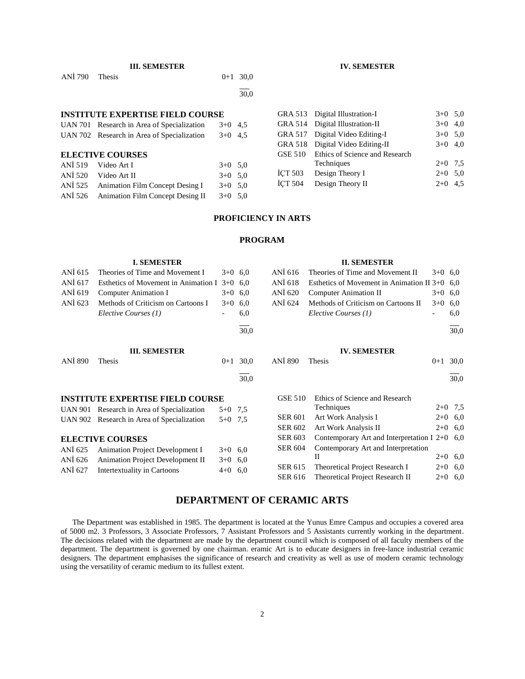|                | <b>III. SEMESTER</b> |            |  |
|----------------|----------------------|------------|--|
| ANİ 790 Thesis |                      | $0+1$ 30.0 |  |
|                |                      | 30.0       |  |

## **INSTITUTE EXPERTISE FIELD COURSE**

|         | UAN 701 Research in Area of Specialization | $3+0$ 4.5 |  |
|---------|--------------------------------------------|-----------|--|
|         | UAN 702 Research in Area of Specialization | $3+0$ 4.5 |  |
|         |                                            |           |  |
|         | <b>ELECTIVE COURSES</b>                    |           |  |
|         | ANİ 519 Video Art I                        | $3+0$ 5.0 |  |
|         | ANİ 520 Video Art II                       | $3+0$ 5.0 |  |
| ANI 525 | Animation Film Concept Desing I            | $3+0$ 5.0 |  |
|         | ANİ 526 Animation Film Concept Desing II   | $3+0$ 5.0 |  |

**IV. SEMESTER**

|                | GRA 513 Digital Illustration-I         | $3+0$ 5.0 |  |
|----------------|----------------------------------------|-----------|--|
|                | GRA 514 Digital Illustration-II        | $3+0$ 4.0 |  |
|                | GRA 517 Digital Video Editing-I        | $3+0$ 5,0 |  |
|                | GRA 518 Digital Video Editing-II       | $3+0$ 4.0 |  |
|                | GSE 510 Ethics of Science and Research |           |  |
|                | Techniques                             | $2+0$ 7.5 |  |
| <b>ICT 503</b> | Design Theory I                        | $2+0$ 5.0 |  |
| İCT 504        | Design Theory II                       | $2+0$ 4.5 |  |
|                |                                        |           |  |

## **PROFICIENCY IN ARTS**

## **PROGRAM**

|                | <b>I. SEMESTER</b>                      |           |           |                | <b>II. SEMESTER</b>                             |           |           |
|----------------|-----------------------------------------|-----------|-----------|----------------|-------------------------------------------------|-----------|-----------|
| ANI 615        | Theories of Time and Movement I         |           | $3+0$ 6.0 | ANI 616        | Theories of Time and Movement II                | $3+0$ 6.0 |           |
| ANİ 617        | Esthetics of Movement in Animation I    | $3+0$     | 6.0       | ANI 618        | Esthetics of Movement in Animation II $3+0$ 6,0 |           |           |
| ANI 619        | <b>Computer Animation I</b>             |           | $3+0$ 6.0 | ANI 620        | <b>Computer Animation II</b>                    | $3+0$ 6.0 |           |
| ANI 623        | Methods of Criticism on Cartoons I      | $3+0$     | 6,0       | ANI 624        | Methods of Criticism on Cartoons II             | $3+0$ 6,0 |           |
|                | Elective Courses (1)                    |           | 6,0       |                | Elective Courses (1)                            |           | 6,0       |
|                |                                         |           | 30,0      |                |                                                 |           | 30,0      |
|                | <b>III. SEMESTER</b>                    |           |           |                | <b>IV. SEMESTER</b>                             |           |           |
| ANI 890        | <b>Thesis</b>                           | $0+1$     | 30,0      | ANI 890        | <b>Thesis</b>                                   | $0 + 1$   | 30,0      |
|                |                                         |           | 30,0      |                |                                                 |           | 30,0      |
|                | <b>INSTITUTE EXPERTISE FIELD COURSE</b> |           |           | <b>GSE 510</b> | Ethics of Science and Research                  |           |           |
| <b>UAN 901</b> | Research in Area of Specialization      | $5 + 0$   | 7.5       |                | Techniques                                      |           | $2+0$ 7,5 |
| <b>UAN 902</b> | Research in Area of Specialization      | $5 + 0$   | 7.5       | <b>SER 601</b> | Art Work Analysis I                             | $2+0$     | 6,0       |
|                |                                         |           |           | <b>SER 602</b> | Art Work Analysis II                            | $2+0$     | 6,0       |
|                | <b>ELECTIVE COURSES</b>                 |           |           | <b>SER 603</b> | Contemporary Art and Interpretation I $2+0$     |           | 6,0       |
| ANI 625        | <b>Animation Project Development I</b>  | $3+0$ 6.0 |           | <b>SER 604</b> | Contemporary Art and Interpretation             |           |           |
| ANI 626        | <b>Animation Project Development II</b> | $3+0$     | 6,0       |                | H                                               | $2+0$     | 6,0       |
| ANI 627        | Intertextuality in Cartoons             | $4 + 0$   | 6,0       | <b>SER 615</b> | Theoretical Project Research I                  | $2+0$     | 6,0       |
|                |                                         |           |           | <b>SER 616</b> | Theoretical Project Research II                 |           | $2+0$ 6,0 |

# **DEPARTMENT OF CERAMIC ARTS**

 The Department was established in 1985. The department is located at the Yunus Emre Campus and occupies a covered area of 5000 m2. 3 Professors, 3 Associate Professors, 7 Assistant Professors and 5 Assistants currently working in the department. The decisions related with the department are made by the department council which is composed of all faculty members of the department. The department is governed by one chairman. eramic Art is to educate designers in free-lance industrial ceramic designers. The department emphasises the significance of research and creativity as well as use of modern ceramic technology using the versatility of ceramic medium to its fullest extent.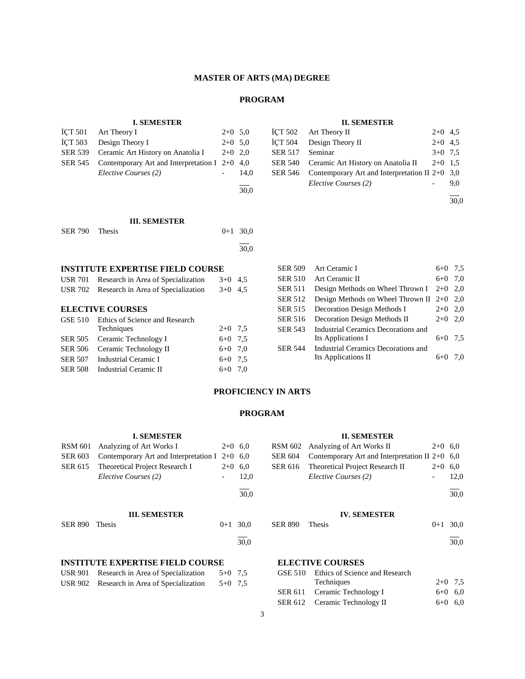# **MASTER OF ARTS (MA) DEGREE**

# **PROGRAM**

## **I. SEMESTER**

|                                         | 1. DEMED I EN                               |           |      |            |  |
|-----------------------------------------|---------------------------------------------|-----------|------|------------|--|
| ICT 501                                 | Art Theory I                                | $2+0$ 5.0 |      | İÇT        |  |
| ICT 503                                 | Design Theory I                             | $2+0$ 5.0 |      | İÇT        |  |
| <b>SER 539</b>                          | Ceramic Art History on Anatolia I           | $2+0$ 2,0 |      | <b>SEF</b> |  |
| <b>SER 545</b>                          | Contemporary Art and Interpretation I $2+0$ |           | 4,0  | <b>SEF</b> |  |
|                                         | Elective Courses (2)                        |           | 14.0 | SEF        |  |
|                                         |                                             |           | 30,0 |            |  |
|                                         | <b>III. SEMESTER</b>                        |           |      |            |  |
| <b>SER 790</b>                          | <b>Thesis</b>                               | $0 + 1$   | 30,0 |            |  |
|                                         |                                             |           | 30.0 |            |  |
| <b>INSTITUTE EXPERTISE FIELD COURSE</b> |                                             |           |      |            |  |

|         | USR 701 Research in Area of Specialization | $3+0$     | 4,5 |
|---------|--------------------------------------------|-----------|-----|
| USR 702 | Research in Area of Specialization         | $3+0$ 4.5 |     |
|         |                                            |           |     |
|         | <b>ELECTIVE COURSES</b>                    |           |     |
|         | GSE 510 Ethics of Science and Research     |           |     |
|         | Techniques                                 | $2+0$ 7.5 |     |
|         | SER 505 Ceramic Technology I               | $6 + 0$   | 7.5 |
| SER 506 | Ceramic Technology II                      | $6 + 0$   | 7.0 |
|         | SER 507 Industrial Ceramic I               | $6 + 0$   | 7.5 |

SER 508 Industrial Ceramic II 6+0 7,0

### **II. SEMESTER**

|                 | ICT 502 Art Theory II                                    | $2+0$ 4.5 |     |
|-----------------|----------------------------------------------------------|-----------|-----|
|                 | ICT 504 Design Theory II                                 | $2+0$ 4.5 |     |
| SER 517 Seminar |                                                          | $3+0$ 7.5 |     |
|                 | SER 540 Ceramic Art History on Anatolia II $2+0$ 1.5     |           |     |
|                 | SER 546 Contemporary Art and Interpretation II $2+0$ 3,0 |           |     |
|                 | Elective Courses (2)                                     |           | 9.0 |
|                 |                                                          |           |     |

l 30,0

| <b>SER 509</b> | Art Ceramic I                           | $6+0$ 7.5 |     |
|----------------|-----------------------------------------|-----------|-----|
| <b>SER 510</b> | Art Ceramic II                          | 6+0       | 7.0 |
| <b>SER 511</b> | Design Methods on Wheel Thrown I $2+0$  |           | 2.0 |
| <b>SER 512</b> | Design Methods on Wheel Thrown II $2+0$ |           | 2.0 |
| <b>SER 515</b> | Decoration Design Methods I             | $2+0$     | 2,0 |
| <b>SER 516</b> | Decoration Design Methods II            | $2+0$     | 2.0 |
| <b>SER 543</b> | Industrial Ceramics Decorations and     |           |     |
|                | Its Applications I                      | 6+0       | 7.5 |
| <b>SER 544</b> | Industrial Ceramics Decorations and     |           |     |
|                | Its Applications II                     |           | 7.0 |
|                |                                         |           |     |

# **PROFICIENCY IN ARTS**

# **PROGRAM**

# **I. SEMESTER**

| --------------- |                                                       |           |      |  |  |
|-----------------|-------------------------------------------------------|-----------|------|--|--|
|                 | RSM 601 Analyzing of Art Works I                      | $2+0$ 6.0 |      |  |  |
|                 | SER 603 Contemporary Art and Interpretation I 2+0 6,0 |           |      |  |  |
|                 | SER 615 Theoretical Project Research I                | $2+0$     | 6.0  |  |  |
|                 | Elective Courses (2)                                  |           | 12.0 |  |  |
|                 |                                                       |           |      |  |  |
|                 |                                                       |           | 30,0 |  |  |

## **III. SEMESTER**

SER 890 Thesis

l  $\overline{30,0}$ 

 $0+1$  30,0

# **INSTITUTE EXPERTISE FIELD COURSE**

| <b>USR 901</b> | Research in Area of Specialization         | $5+0$ 7.5 |  |
|----------------|--------------------------------------------|-----------|--|
|                | USR 902 Research in Area of Specialization | $5+0$ 7.5 |  |

## **II. SEMESTER**

| RSM 602 Analyzing of Art Works II                        | $2+0$ 6.0 |      |  |  |  |
|----------------------------------------------------------|-----------|------|--|--|--|
| SER 604 Contemporary Art and Interpretation II $2+0$ 6,0 |           |      |  |  |  |
| SER 616 Theoretical Project Research II                  | $2+0$ 6.0 |      |  |  |  |
| Elective Courses (2)                                     |           | 12.0 |  |  |  |
|                                                          |           | 30,0 |  |  |  |
| <b>IV. SEMESTER</b>                                      |           |      |  |  |  |

### SER 890 Thesis 0+1 30,0

l  $\overline{30,0}$ 

## **ELECTIVE COURSES**

| GSE 510 | Ethics of Science and Research |           |  |
|---------|--------------------------------|-----------|--|
|         | Techniques                     | $2+0$ 7.5 |  |
|         | SER 611 Ceramic Technology I   | $6+0$ 6.0 |  |
|         | SER 612 Ceramic Technology II  | $6+0$ 6,0 |  |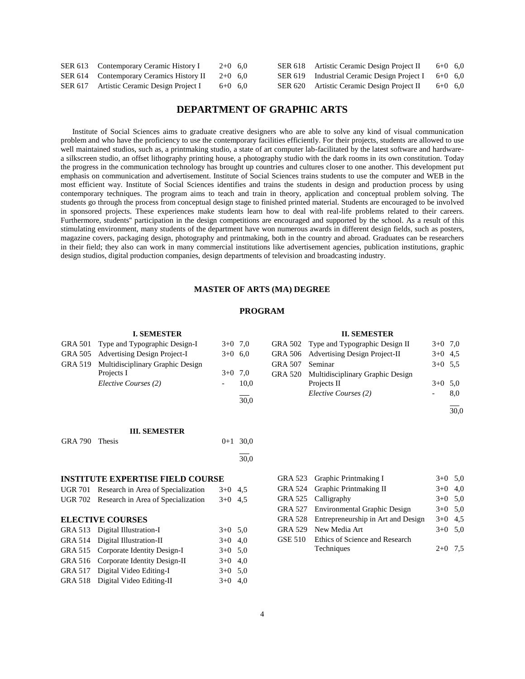| SER 613 Contemporary Ceramic History I             | $2+0$ 6.0 |  | SER 618 Artistic Ceramic Design Project II            | $6+0$ 6,0 |  |
|----------------------------------------------------|-----------|--|-------------------------------------------------------|-----------|--|
| SER 614 Contemporary Ceramics History II $2+0$ 6,0 |           |  | SER 619 Industrial Ceramic Design Project I $6+0$ 6,0 |           |  |
| SER 617 Artistic Ceramic Design Project I          | $6+0$ 6.0 |  | SER 620 Artistic Ceramic Design Project II            | $6+0$ 6.0 |  |

# **DEPARTMENT OF GRAPHIC ARTS**

 Institute of Social Sciences aims to graduate creative designers who are able to solve any kind of visual communication problem and who have the proficiency to use the contemporary facilities efficiently. For their projects, students are allowed to use well maintained studios, such as, a printmaking studio, a state of art computer lab-facilitated by the latest software and hardwarea silkscreen studio, an offset lithography printing house, a photography studio with the dark rooms in its own constitution. Today the progress in the communication technology has brought up countries and cultures closer to one another. This development put emphasis on communication and advertisement. Institute of Social Sciences trains students to use the computer and WEB in the most efficient way. Institute of Social Sciences identifies and trains the students in design and production process by using contemporary techniques. The program aims to teach and train in theory, application and conceptual problem solving. The students go through the process from conceptual design stage to finished printed material. Students are encouraged to be involved in sponsored projects. These experiences make students learn how to deal with real-life problems related to their careers. Furthermore, students'' participation in the design competitions are encouraged and supported by the school. As a result of this stimulating environment, many students of the department have won numerous awards in different design fields, such as posters, magazine covers, packaging design, photography and printmaking, both in the country and abroad. Graduates can be researchers in their field; they also can work in many commercial institutions like advertisement agencies, publication institutions, graphic design studios, digital production companies, design departments of television and broadcasting industry.

### **MASTER OF ARTS (MA) DEGREE**

## **PROGRAM**

### **I. SEMESTER**

| GRA 501 Type and Typographic Design-I    | $3+0$ 7.0 |      |
|------------------------------------------|-----------|------|
| GRA 505 Advertising Design Project-I     | $3+0$ 6.0 |      |
| GRA 519 Multidisciplinary Graphic Design |           |      |
| Projects I                               | $3+0$ 7.0 |      |
| Elective Courses (2)                     |           | 10.0 |
|                                          |           | 30.0 |

### **III. SEMESTER**

| GRA 790 Thesis | $0+1$ 30.0 |                                 |
|----------------|------------|---------------------------------|
|                |            | the control of the con-<br>30,0 |

### **INSTITUTE EXPERTISE FIELD COURSE**

| UGR 701 Research in Area of Specialization | $3+0$ 4.5 |  |
|--------------------------------------------|-----------|--|
| UGR 702 Research in Area of Specialization | $3+0$ 4.5 |  |

## **ELECTIVE COURSES**

| GRA 513 Digital Illustration-I       | $3+0$ 5.0 |  |
|--------------------------------------|-----------|--|
| GRA 514 Digital Illustration-II      | $3+0$ 4.0 |  |
| GRA 515 Corporate Identity Design-I  | $3+0$ 5.0 |  |
| GRA 516 Corporate Identity Design-II | $3+0$ 4.0 |  |
| GRA 517 Digital Video Editing-I      | $3+0$ 5.0 |  |
| GRA 518 Digital Video Editing-II     | $3+0$ 4.0 |  |
|                                      |           |  |

|                | GRA 523 Graphic Printmaking I        | $3+0$ 5.0 |  |
|----------------|--------------------------------------|-----------|--|
|                | GRA 524 Graphic Printmaking II       | $3+0$ 4.0 |  |
|                | GRA 525 Calligraphy                  | $3+0$ 5.0 |  |
|                | GRA 527 Environmental Graphic Design | $3+0$ 5.0 |  |
| GRA 528        | Entrepreneurship in Art and Design   | $3+0$ 4.5 |  |
|                | GRA 529 New Media Art                | $3+0$ 5.0 |  |
| <b>GSE 510</b> | Ethics of Science and Research       |           |  |
|                | Techniques                           | $2+0$ 7.5 |  |
|                |                                      |           |  |

### **II. SEMESTER**

|                 | п. эспірэтек                             |           |     |
|-----------------|------------------------------------------|-----------|-----|
|                 | GRA 502 Type and Typographic Design II   | $3+0$ 7,0 |     |
|                 | GRA 506 Advertising Design Project-II    | $3+0$ 4.5 |     |
| GRA 507 Seminar |                                          | $3+0$ 5.5 |     |
|                 | GRA 520 Multidisciplinary Graphic Design |           |     |
|                 | Projects II                              | $3+0$ 5.0 |     |
|                 | Elective Courses (2)                     |           | 8.0 |
|                 |                                          |           |     |

30,0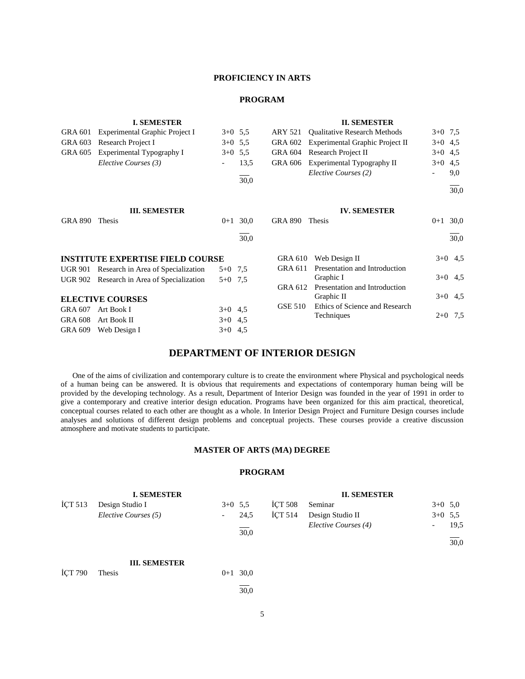## **PROFICIENCY IN ARTS**

## **PROGRAM**

|                | <b>I. SEMESTER</b>                      |                          |           |                | <b>II. SEMESTER</b>                 |           |           |
|----------------|-----------------------------------------|--------------------------|-----------|----------------|-------------------------------------|-----------|-----------|
| GRA 601        | Experimental Graphic Project I          |                          | $3+0$ 5.5 | <b>ARY 521</b> | <b>Qualitative Research Methods</b> | $3+0$ 7.5 |           |
| <b>GRA 603</b> | Research Project I                      |                          | $3+0$ 5.5 | <b>GRA 602</b> | Experimental Graphic Project II     | $3+0$ 4,5 |           |
| <b>GRA 605</b> | Experimental Typography I               |                          | $3+0$ 5.5 | <b>GRA 604</b> | Research Project II                 | $3+0$ 4,5 |           |
|                | Elective Courses (3)                    | $\overline{\phantom{0}}$ | 13,5      | <b>GRA 606</b> | Experimental Typography II          | $3+0$ 4,5 |           |
|                |                                         |                          |           |                | Elective Courses (2)                |           | 9,0       |
|                |                                         |                          | 30,0      |                |                                     |           |           |
|                |                                         |                          |           |                |                                     |           | 30,0      |
|                | <b>III. SEMESTER</b>                    |                          |           |                | <b>IV. SEMESTER</b>                 |           |           |
| GRA 890        | Thesis                                  | $0 + 1$                  | 30,0      | <b>GRA 890</b> | Thesis                              | $0 + 1$   | 30,0      |
|                |                                         |                          | 30,0      |                |                                     |           | 30,0      |
|                | <b>INSTITUTE EXPERTISE FIELD COURSE</b> |                          |           | <b>GRA 610</b> | Web Design II                       |           | $3+0$ 4,5 |
| <b>UGR 901</b> | Research in Area of Specialization      | $5+0$ 7,5                |           | <b>GRA 611</b> | Presentation and Introduction       |           |           |
| <b>UGR 902</b> | Research in Area of Specialization      | $5+0$ 7,5                |           |                | Graphic I                           |           | $3+0$ 4.5 |
|                |                                         |                          |           | GRA 612        | Presentation and Introduction       |           |           |
|                | <b>ELECTIVE COURSES</b>                 |                          |           |                | Graphic II                          |           | $3+0$ 4.5 |
| <b>GRA 607</b> | Art Book I                              | $3+0$ 4,5                |           | <b>GSE 510</b> | Ethics of Science and Research      |           |           |
| <b>GRA 608</b> | Art Book II                             | $3+0$ 4,5                |           |                | Techniques                          |           | $2+0$ 7,5 |
| <b>GRA 609</b> | Web Design I                            | $3+0$ 4,5                |           |                |                                     |           |           |

# **DEPARTMENT OF INTERIOR DESIGN**

 One of the aims of civilization and contemporary culture is to create the environment where Physical and psychological needs of a human being can be answered. It is obvious that requirements and expectations of contemporary human being will be provided by the developing technology. As a result, Department of Interior Design was founded in the year of 1991 in order to give a contemporary and creative interior design education. Programs have been organized for this aim practical, theoretical, conceptual courses related to each other are thought as a whole. In Interior Design Project and Furniture Design courses include analyses and solutions of different design problems and conceptual projects. These courses provide a creative discussion atmosphere and motivate students to participate.

## **MASTER OF ARTS (MA) DEGREE**

# **PROGRAM**

|                    |                 | <b>I. SEMESTER</b>   |                          |      |                    | <b>II. SEMESTER</b>  |           |      |
|--------------------|-----------------|----------------------|--------------------------|------|--------------------|----------------------|-----------|------|
| ICT <sub>513</sub> | Design Studio I |                      | $3+0$ 5.5                |      | <b>ICT 508</b>     | Seminar              | $3+0$ 5.0 |      |
|                    |                 | Elective Courses (5) | $\overline{\phantom{0}}$ | 24,5 | ICT <sub>514</sub> | Design Studio II     | $3+0$ 5.5 |      |
|                    |                 |                      |                          | 30,0 |                    | Elective Courses (4) | -         | 19.5 |
|                    |                 |                      |                          |      |                    |                      |           | 30,0 |
|                    |                 | <b>III. SEMESTER</b> |                          |      |                    |                      |           |      |
| <b>İCT 790</b>     | Thesis          |                      | $0 + 1$                  | 30,0 |                    |                      |           |      |
|                    |                 |                      |                          | 30,0 |                    |                      |           |      |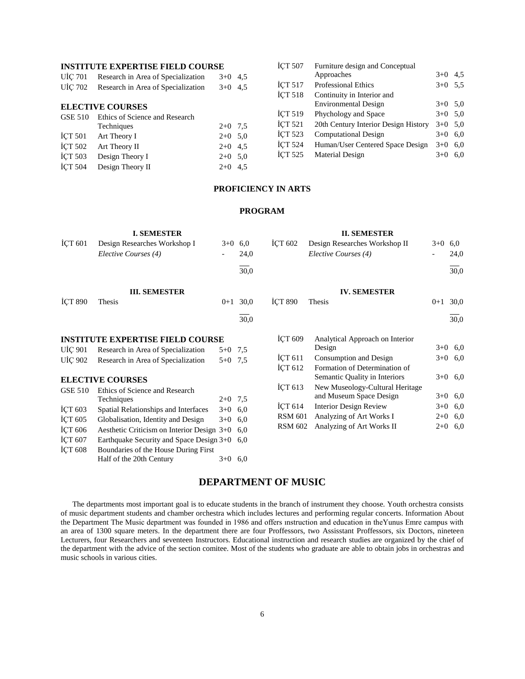## **INSTITUTE EXPERTISE FIELD COURSE**

| <b>UİC 701</b> | Research in Area of Specialization | $3+0$     | 4,5 |
|----------------|------------------------------------|-----------|-----|
| <b>UİÇ 702</b> | Research in Area of Specialization | $3+0$     | 4,5 |
|                |                                    |           |     |
|                | <b>ELECTIVE COURSES</b>            |           |     |
| <b>GSE 510</b> | Ethics of Science and Research     |           |     |
|                | Techniques                         | $2+0$     | 7.5 |
| <b>ICT 501</b> | Art Theory I                       | $2+0$ 5.0 |     |
| <b>İCT 502</b> | Art Theory II                      | $2+0$     | 4,5 |
| <b>İCT 503</b> | Design Theory I                    | $2+0$     | 5,0 |
| <b>ICT 504</b> | Design Theory II                   | $2+0$     | 4.5 |

İÇT 603 Spatial Relationships and Interfaces 3+0 6,0 İÇT 605 Globalisation, Identity and Design 3+0 6,0 İÇT 606 Aesthetic Criticism on Interior Design 3+0 6,0 İÇT 607 Earthquake Security and Space Design 3+0 6,0

Half of the 20th Century 3+0 6,0

İÇT 608 Boundaries of the House During First

| <b>İCT 507</b> | Furniture design and Conceptual      |           |     |
|----------------|--------------------------------------|-----------|-----|
|                | Approaches                           | $3+0$     | 4.5 |
| İCT 517        | <b>Professional Ethics</b>           | $3+0$     | 5.5 |
| <b>İCT 518</b> | Continuity in Interior and           |           |     |
|                | <b>Environmental Design</b>          | $3+0$ 5.0 |     |
| İCT 519        | Phychology and Space                 | $3+0$ 5.0 |     |
| İCT 521        | 20th Century Interior Design History | $3+0$     | 5.0 |
| <b>İCT 523</b> | <b>Computational Design</b>          | $3+0$     | 6.0 |
| İCT 524        | Human/User Centered Space Design     | $3+0$     | 6.0 |
| <b>İCT 525</b> | Material Design                      | $3+0$     | 6.0 |
|                |                                      |           |     |

## **PROFICIENCY IN ARTS**

## **PROGRAM**

|                | <b>I. SEMESTER</b>                 |           |      |                    | <b>II. SEMESTER</b>             |           |           |
|----------------|------------------------------------|-----------|------|--------------------|---------------------------------|-----------|-----------|
| İCT 601        | Design Researches Workshop I       | $3+0$     | 6,0  | ICT <sub>602</sub> | Design Researches Workshop II   | $3+0$ 6.0 |           |
|                | Elective Courses (4)               |           | 24,0 |                    | Elective Courses (4)            |           | 24,0      |
|                |                                    |           | 30,0 |                    |                                 |           | 30,0      |
|                | <b>III. SEMESTER</b>               |           |      |                    | <b>IV. SEMESTER</b>             |           |           |
| <b>İCT 890</b> | Thesis                             | $0+1$     | 30.0 | <b>ICT 890</b>     | Thesis                          | $0 + 1$   | 30,0      |
|                |                                    |           | 30,0 |                    |                                 |           | 30.0      |
|                | INSTITUTE EXPERTISE FIELD COURSE   |           |      | ICT 609            | Analytical Approach on Interior |           |           |
| UİÇ 901        | Research in Area of Specialization | $5+0$ 7.5 |      |                    | Design                          |           | $3+0$ 6,0 |
| UİÇ 902        | Research in Area of Specialization | $5+0$ 7.5 |      | ICT 611            | Consumption and Design          |           | $3+0$ 6,0 |
|                |                                    |           |      | ICT <sub>612</sub> | Formation of Determination of   |           |           |
|                | <b>ELECTIVE COURSES</b>            |           |      |                    | Semantic Quality in Interiors   | $3+0$     | 6,0       |
| GSE 510        | Ethics of Science and Research     |           |      | ICT $613$          | New Museology-Cultural Heritage |           |           |
|                | Techniques                         | $2+0$ 7.5 |      |                    | and Museum Space Design         | $3+0$     | 6,0       |

|         | and Museum Space Design           | $3+0$ 6.0 |  |
|---------|-----------------------------------|-----------|--|
| ICT 614 | <b>Interior Design Review</b>     | $3+0$ 6.0 |  |
|         | RSM 601 Analyzing of Art Works I  | $2+0$ 6.0 |  |
|         | RSM 602 Analyzing of Art Works II | $2+0$ 6.0 |  |
|         |                                   |           |  |

## **DEPARTMENT OF MUSIC**

 The departments most important goal is to educate students in the branch of instrument they choose. Youth orchestra consists of music department students and chamber orchestra which includes lectures and performing regular concerts. Information About the Department The Music department was founded in 1986 and offers ınstruction and education in theYunus Emre campus with an area of 1300 square meters. In the department there are four Proffessors, two Assisstant Proffessors, six Doctors, nineteen Lecturers, four Researchers and seventeen Instructors. Educational instruction and research studies are organized by the chief of the department with the advice of the section comitee. Most of the students who graduate are able to obtain jobs in orchestras and music schools in various cities.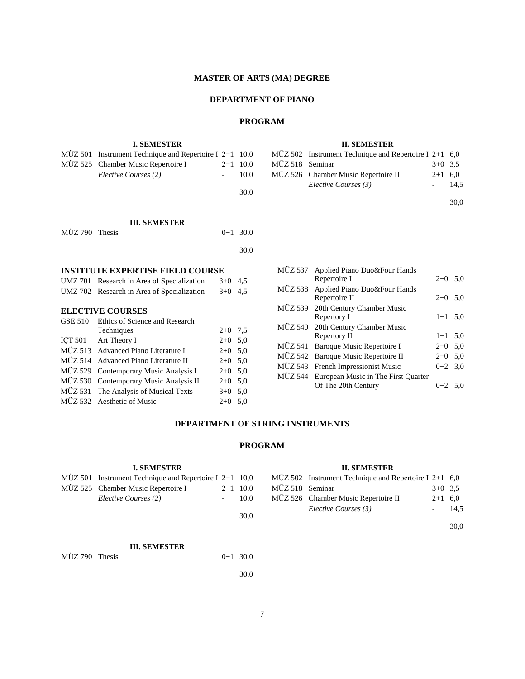## **MASTER OF ARTS (MA) DEGREE**

## **DEPARTMENT OF PIANO**

## **PROGRAM**

## **II. SEMESTER**

|                | <b>I. SEMESTER</b>                           |         |      |       |
|----------------|----------------------------------------------|---------|------|-------|
| MÜZ 501        | Instrument Technique and Repertoire I $2+1$  |         | 10.0 | MÜZ 5 |
| MÜZ 525        | Chamber Music Repertoire I                   | $2 + 1$ | 10,0 | MÜZ 5 |
|                | Elective Courses (2)                         |         | 10.0 | MÜZ 5 |
|                |                                              |         | 30,0 |       |
|                | <b>III. SEMESTER</b>                         |         |      |       |
| MÜZ 790 Thesis |                                              | $0 + 1$ | 30,0 |       |
|                |                                              |         | 30,0 |       |
|                | <b>INSTITUTE EXPERTISE FIELD COURSE</b>      |         |      | MÜZ   |
| UMZ 701        | Research in Area of Specialization           | $3+0$   | 4,5  |       |
|                | UMZ 702 Research in Area of Specialization   | $3+0$   | 4,5  | MÜZ   |
|                | <b>ELECTIVE COURSES</b>                      |         |      | MÜZ   |
| <b>GSE 510</b> | Ethics of Science and Research<br>Techniques | $2+0$   | 7,5  | MÜZ   |
| <b>ICT 501</b> | Art Theory I                                 | $2+0$   | 5,0  | MÜZ   |
| MÜZ 513        | Advanced Piano Literature I                  | $2+0$   | 5,0  | MÜZ   |
| MÜZ 514        | Advanced Piano Literature II                 | $2+0$   | 5,0  | MÜZ   |
| MÜZ 529        | Contemporary Music Analysis I                | $2+0$   | 5,0  | MÜZ   |
| <b>MÜZ 530</b> | Contemporary Music Analysis II               | $2+0$   | 5,0  |       |
| <b>MÜZ 531</b> | The Analysis of Musical Texts                | $3+0$   | 5,0  |       |

|                 | MÜZ 502 Instrument Technique and Repertoire I $2+1$ 6,0 |           |      |
|-----------------|---------------------------------------------------------|-----------|------|
| MÜZ 518 Seminar |                                                         | $3+0$ 3.5 |      |
|                 | MÜZ 526 Chamber Music Repertoire II                     | $2+1$ 6,0 |      |
|                 | Elective Courses (3)                                    |           | 14.5 |
|                 |                                                         |           | 30,0 |

537 Applied Piano Duo&Four Hands Repertoire I 2+0 5,0 538 Applied Piano Duo&Four Hands Repertoire II  $2+0$  5,0 539 20th Century Chamber Music Repertory I  $1+1$  5,0 540 20th Century Chamber Music Repertory II  $1+1$  5,0 541 Baroque Music Repertoire I 2+0 5,0 542 Baroque Music Repertoire II 2+0 5,0 543 French Impressionist Music 0+2 3,0 544 European Music in The First Quarter Of The 20th Century  $0+2$  5,0

## **DEPARTMENT OF STRING INSTRUMENTS**

## **PROGRAM**

### **II. SEMESTER**

|                 | MÜZ 502 Instrument Technique and Repertoire I $2+1$ 6,0 |           |      |
|-----------------|---------------------------------------------------------|-----------|------|
| MÜZ 518 Seminar |                                                         | $3+0$ 3.5 |      |
|                 | MÜZ 526 Chamber Music Repertoire II                     | $2+1$ 6.0 |      |
|                 | Elective Courses (3)                                    |           | 14.5 |
|                 |                                                         |           |      |

30,0

## **III. SEMESTER**

MÜZ 532 Aesthetic of Music 2+0 5,0

**I. SEMESTER** MÜZ 501 Instrument Technique and Repertoire I 2+1 10,0 MÜZ 525 Chamber Music Repertoire I 2+1 10,0

*Elective Courses (2)* - 10,0

MÜZ 790 Thesis 0+1 30,0

l  $\overline{30,0}$ 

 $\overline{a}$ 30,0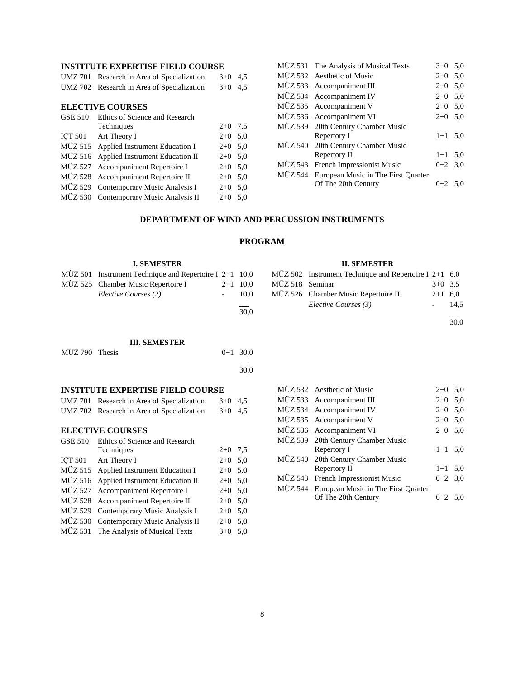# **INSTITUTE EXPERTISE FIELD COURSE**

| UMZ 701 Research in Area of Specialization | $3+0$ 4.5 |  |
|--------------------------------------------|-----------|--|
| UMZ 702 Research in Area of Specialization | $3+0$ 4.5 |  |

## **ELECTIVE COURSES**

| <b>GSE 510</b> | Ethics of Science and Research          |           |     |
|----------------|-----------------------------------------|-----------|-----|
|                | Techniques                              | $2+0$     | 7.5 |
|                | İÇT 501 Art Theory I                    | $2+0$ 5,0 |     |
|                | MÜZ 515 Applied Instrument Education I  | $2+0$ 5,0 |     |
|                | MÜZ 516 Applied Instrument Education II | $2+0$ 5.0 |     |
|                | MÜZ 527 Accompaniment Repertoire I      | $2+0$ 5,0 |     |
|                | MÜZ 528 Accompaniment Repertoire II     | $2+0$ 5,0 |     |
|                | MÜZ 529 Contemporary Music Analysis I   | $2+0$ 5.0 |     |
|                | MÜZ 530 Contemporary Music Analysis II  | $2+0$ 5.0 |     |
|                |                                         |           |     |

| MÜZ 531 The Analysis of Musical Texts       | $3+0$     | 5,0 |
|---------------------------------------------|-----------|-----|
| MÜZ 532 Aesthetic of Music                  | $2+0$ 5,0 |     |
| MÜZ 533 Accompaniment III                   | $2 + 0$   | 5,0 |
| MÜZ 534 Accompaniment IV                    | $2+0$ 5.0 |     |
| MÜZ 535 Accompaniment V                     | $2+0$ 5.0 |     |
| MÜZ 536 Accompaniment VI                    | $2+0$ 5.0 |     |
| MÜZ 539 20th Century Chamber Music          |           |     |
| Repertory I                                 | $1+1$ 5,0 |     |
| MÜZ 540 20th Century Chamber Music          |           |     |
| Repertory II                                | $1+1$ 5,0 |     |
| MÜZ 543 French Impressionist Music          | $0+2$ 3.0 |     |
| MÜZ 544 European Music in The First Quarter |           |     |
| Of The 20th Century                         | $0+2$ 5,0 |     |
|                                             |           |     |

# **DEPARTMENT OF WIND AND PERCUSSION INSTRUMENTS**

# **PROGRAM**

## **I. SEMESTER**

| MÜZ 501 Instrument Technique and Repertoire I $2+1$ 10,0 |             |  |
|----------------------------------------------------------|-------------|--|
| MÜZ 525 Chamber Music Repertoire I                       | $2+1$ 10.0  |  |
| Elective Courses (2)                                     | 10.0        |  |
|                                                          | ---<br>30.0 |  |

## **III. SEMESTER**

| MÜZ 790 Thesis |  | $0+1$ 30.0 |
|----------------|--|------------|
|                |  | --<br>30,0 |
|                |  |            |

# **INSTITUTE EXPERTISE FIELD COURSE**

| UMZ 701 Research in Area of Specialization | $3+0$ 4.5 |  |
|--------------------------------------------|-----------|--|
| UMZ 702 Research in Area of Specialization | $3+0$ 4.5 |  |

## **ELECTIVE COURSES**

| <b>GSE 510</b> | Ethics of Science and Research          |              |  |
|----------------|-----------------------------------------|--------------|--|
|                | Techniques                              | $2+0$ 7.5    |  |
|                | İÇT 501 Art Theory I                    | $2+0$ 5.0    |  |
|                | MÜZ 515 Applied Instrument Education I  | $2+0$ 5.0    |  |
|                | MÜZ 516 Applied Instrument Education II | $2+0$ 5.0    |  |
|                | MÜZ 527 Accompaniment Repertoire I      | $2+0$ 5.0    |  |
|                | MÜZ 528 Accompaniment Repertoire II     | $2+0$ 5.0    |  |
|                | MÜZ 529 Contemporary Music Analysis I   | $2+0$ 5.0    |  |
|                | MÜZ 530 Contemporary Music Analysis II  | $2+0$ 5.0    |  |
|                | MÜZ 531 The Analysis of Musical Texts   | 5,0<br>$3+0$ |  |
|                |                                         |              |  |

# **II. SEMESTER**

|      |                 | <b>II. SEMESTER</b>                                     |           |      |
|------|-----------------|---------------------------------------------------------|-----------|------|
| 10,0 |                 | MÜZ 502 Instrument Technique and Repertoire I $2+1$ 6,0 |           |      |
| 10,0 | MÜZ 518 Seminar |                                                         | $3+0$ 3.5 |      |
| 10.0 |                 | MÜZ 526 Chamber Music Repertoire II                     | $2+1$ 6,0 |      |
| 30,0 |                 | Elective Courses (3)                                    |           | 14.5 |
|      |                 |                                                         |           | 30,0 |

| MÜZ 532 Aesthetic of Music                  | $2+0$ 5.0 |  |
|---------------------------------------------|-----------|--|
| MÜZ 533 Accompaniment III                   | $2+0$ 5.0 |  |
| MÜZ 534 Accompaniment IV                    | $2+0$ 5.0 |  |
| MÜZ 535 Accompaniment V                     | $2+0$ 5.0 |  |
| MÜZ 536 Accompaniment VI                    | $2+0$ 5.0 |  |
| MÜZ 539 20th Century Chamber Music          |           |  |
| Repertory I                                 | $1+1$ 5.0 |  |
| MÜZ 540 20th Century Chamber Music          |           |  |
| Repertory II                                | $1+1$ 5,0 |  |
| MÜZ 543 French Impressionist Music          | $0+2$ 3.0 |  |
| MÜZ 544 European Music in The First Quarter |           |  |
| Of The 20th Century                         | $0+2$ 5.0 |  |
|                                             |           |  |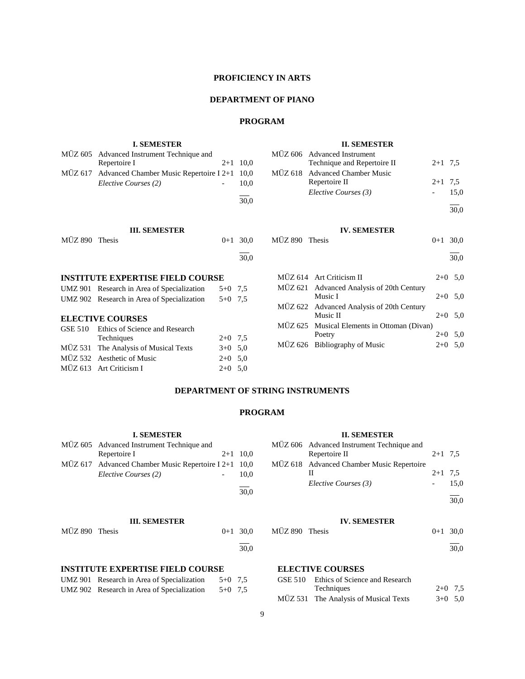## **PROFICIENCY IN ARTS**

## **DEPARTMENT OF PIANO**

## **PROGRAM**

## **II. SEMESTER**

| MUZ 605        | Advanced Instrument Technique and          |                          |            | <b>MUZ 606</b> | <b>Advanced Instrument</b>                |           |           |
|----------------|--------------------------------------------|--------------------------|------------|----------------|-------------------------------------------|-----------|-----------|
|                | Repertoire I                               |                          | $2+1$ 10.0 |                | Technique and Repertoire II               | $2+1$ 7.5 |           |
| MUZ 617        | Advanced Chamber Music Repertoire I 2+1    |                          | 10.0       | MUZ 618        | <b>Advanced Chamber Music</b>             |           |           |
|                | Elective Courses (2)                       | $\overline{\phantom{a}}$ | 10,0       |                | Repertoire II                             | $2+1$ 7.5 |           |
|                |                                            |                          |            |                | Elective Courses (3)                      |           | 15,0      |
|                |                                            |                          | 30,0       |                |                                           |           |           |
|                |                                            |                          |            |                |                                           |           | 30,0      |
|                | <b>III. SEMESTER</b>                       |                          |            |                | <b>IV. SEMESTER</b>                       |           |           |
| MÜZ 890 Thesis |                                            | $0 + 1$                  | 30.0       | MÜZ 890 Thesis |                                           | $0+1$     | 30,0      |
|                |                                            |                          |            |                |                                           |           |           |
|                |                                            |                          | 30,0       |                |                                           |           | 30,0      |
|                | <b>INSTITUTE EXPERTISE FIELD COURSE</b>    |                          |            |                | MUZ 614 Art Criticism II                  |           | $2+0$ 5.0 |
|                | UMZ 901 Research in Area of Specialization | $5+0$ 7,5                |            |                | MÜZ 621 Advanced Analysis of 20th Century |           |           |
|                | UMZ 902 Research in Area of Specialization | $5+0$ 7,5                |            |                | Music I                                   |           | $2+0$ 5,0 |
|                |                                            |                          |            | MUZ 622        | Advanced Analysis of 20th Century         |           |           |
|                | <b>ELECTIVE COURSES</b>                    |                          |            |                | Music II                                  |           | $2+0$ 5,0 |
| GSE 510        | Ethics of Science and Research             |                          |            | MUZ 625        | Musical Elements in Ottoman (Divan)       |           |           |
|                | Techniques                                 | $2+0$ 7,5                |            |                | Poetry                                    |           | $2+0$ 5,0 |
|                |                                            |                          |            |                |                                           |           |           |

## **DEPARTMENT OF STRING INSTRUMENTS**

## **PROGRAM**

30,0

l 30,0

 $0+1$  30,0

## **I. SEMESTER**

MÜZ 531 The Analysis of Musical Texts  $3+0$  5,0 MÜZ 532 Aesthetic of Music 2+0 5,0 MÜZ 613 Art Criticism I  $2+0$  5,0

**I. SEMESTER**

| MÜZ 605 Advanced Instrument Technique and            |            |
|------------------------------------------------------|------------|
| Repertoire I                                         | $2+1$ 10.0 |
| MÜZ 617 Advanced Chamber Music Repertoire I 2+1 10,0 |            |
| Elective Courses (2)                                 | 10.0       |
|                                                      |            |

**III. SEMESTER**

## **II. SEMESTER**

MÜZ 626 Bibliography of Music  $2+0$  5,0

| MÜZ 606 Advanced Instrument Technique and<br>Repertoire II        | $2+1$ 7.5 |      |
|-------------------------------------------------------------------|-----------|------|
| MÜZ 618 Advanced Chamber Music Repertoire<br>Elective Courses (3) | $2+1$ 7.5 | 15,0 |
|                                                                   |           | 30,0 |
| IV. SEMESTER                                                      |           |      |

### **IV. SEMESTER** MÜZ 890 Thesis 0+1 30,0

l 30,0

## **INSTITUTE EXPERTISE FIELD COURSE**

MÜZ 890 Thesis

| UMZ 901 Research in Area of Specialization | $5+0$ 7.5 |  |
|--------------------------------------------|-----------|--|
| UMZ 902 Research in Area of Specialization | $5+0$ 7.5 |  |

# **ELECTIVE COURSES**

| GSE 510 Ethics of Science and Research |           |  |
|----------------------------------------|-----------|--|
| <b>Techniques</b>                      | $2+0$ 7.5 |  |
| MÜZ 531 The Analysis of Musical Texts  | $3+0$ 5.0 |  |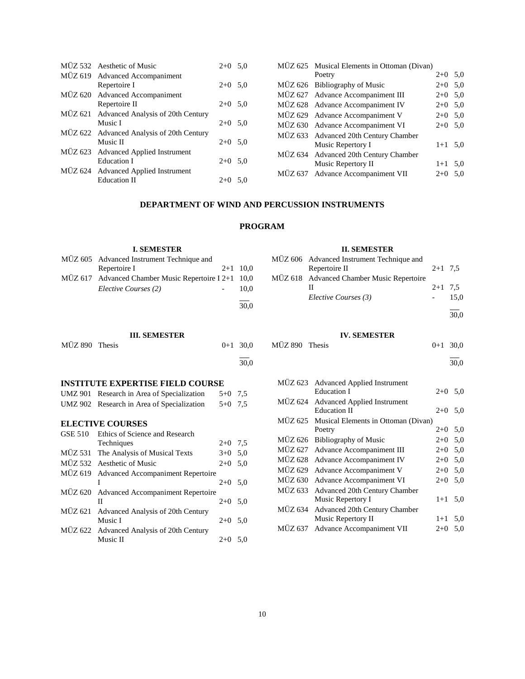| MÜZ 532 Aesthetic of Music                | $2+0$ 5.0 |  |
|-------------------------------------------|-----------|--|
| MÜZ 619 Advanced Accompaniment            |           |  |
| Repertoire I                              | $2+0$ 5.0 |  |
| MÜZ 620 Advanced Accompaniment            |           |  |
| Repertoire II                             | $2+0$ 5.0 |  |
| MÜZ 621 Advanced Analysis of 20th Century |           |  |
| Music I                                   | $2+0$ 5.0 |  |
| MÜZ 622 Advanced Analysis of 20th Century |           |  |
| Music II                                  | $2+0$ 5.0 |  |
| MÜZ 623 Advanced Applied Instrument       |           |  |
| <b>Education I</b>                        | $2+0$ 5.0 |  |
| MÜZ 624 Advanced Applied Instrument       |           |  |
| <b>Education II</b>                       | $2+0$ 5.0 |  |

**I. SEMESTER**

| MÜZ 625 Musical Elements in Ottoman (Divan) |           |     |
|---------------------------------------------|-----------|-----|
| Poetry                                      | $2+0$     | 5,0 |
| MÜZ 626 Bibliography of Music               | $2+0$     | 5,0 |
| MÜZ 627 Advance Accompaniment III           | $2+0$     | 5,0 |
| MÜZ 628 Advance Accompaniment IV            | $2+0$     | 5,0 |
| MÜZ 629 Advance Accompaniment V             | $2+0$ 5,0 |     |
| MÜZ 630 Advance Accompaniment VI            | $2+0$     | 5,0 |
| MÜZ 633 Advanced 20th Century Chamber       |           |     |
| Music Repertory I                           | $1+1$     | 5,0 |
| MÜZ 634 Advanced 20th Century Chamber       |           |     |
| Music Repertory II                          | $1+1$     | 5.0 |
| MÜZ 637 Advance Accompaniment VII           | $2+0$     | 5.0 |
|                                             |           |     |

# **DEPARTMENT OF WIND AND PERCUSSION INSTRUMENTS**

# **PROGRAM**

## **II. SEMESTER**

|         | MÜZ 605 Advanced Instrument Technique and       |           |            | MÜZ (          |
|---------|-------------------------------------------------|-----------|------------|----------------|
|         | Repertoire I                                    | $2+1$     | 10,0       |                |
|         | MÜZ 617 Advanced Chamber Music Repertoire I 2+1 |           | 10,0       | MÜZ (          |
|         | Elective Courses (2)                            |           | 10,0       |                |
|         |                                                 |           | 30,0       |                |
|         | <b>III. SEMESTER</b>                            |           |            |                |
| MÜZ 890 | Thesis                                          |           | $0+1$ 30,0 | MÜZ 8          |
|         |                                                 |           |            |                |
|         |                                                 |           | 30,0       |                |
|         | <b>INSTITUTE EXPERTISE FIELD COURSE</b>         |           |            | МÜ             |
| UMZ 901 | Research in Area of Specialization              | $5+0$ 7,5 |            |                |
|         | UMZ 902 Research in Area of Specialization      | $5+0$ 7.5 |            | MÜZ            |
|         | <b>ELECTIVE COURSES</b>                         |           |            | MÜZ            |
| GSE 510 | Ethics of Science and Research                  |           |            | MÜZ            |
|         | Techniques                                      | $2+0$ 7.5 |            |                |
|         | MUZ 531 The Analysis of Musical Texts           | $3+0$ 5,0 |            | MÜZ<br>חז"זה ב |

| 1 echniques                               | $2+0$ (.5) |     |
|-------------------------------------------|------------|-----|
| MÜZ 531 The Analysis of Musical Texts     | $3+0$ 5.0  |     |
| MÜZ 532 Aesthetic of Music                | $2+0$ 5.0  |     |
| MÜZ 619 Advanced Accompaniment Repertoire |            |     |
|                                           | $2+0$ 5.0  |     |
| MÜZ 620 Advanced Accompaniment Repertoire |            |     |
| П                                         | $2+0$ 5.0  |     |
| MÜZ 621 Advanced Analysis of 20th Century |            |     |
| Music I                                   | $2+0$ 5.0  |     |
| MÜZ 622 Advanced Analysis of 20th Century |            |     |
| Music II                                  | $2+0$      | 5.0 |
|                                           |            |     |

| MÜZ 606 Advanced Instrument Technique and |           |      |
|-------------------------------------------|-----------|------|
| Repertoire II                             | $2+1$ 7.5 |      |
| MÜZ 618 Advanced Chamber Music Repertoire |           |      |
|                                           | $2+1$ 7.5 |      |
| Elective Courses (3)                      |           | 15.0 |
|                                           |           | 30,0 |

## **IV. SEMESTER**

| 890 Thesis |  | $0+1$ 30,0 |
|------------|--|------------|
|------------|--|------------|

 $\overline{a}$ 30,0

| MUZ 623 | <b>Advanced Applied Instrument</b>          |         |     |
|---------|---------------------------------------------|---------|-----|
|         | <b>Education I</b>                          | $2+0$   | 5,0 |
|         | MÜZ 624 Advanced Applied Instrument         |         |     |
|         | <b>Education II</b>                         | $2+0$   | 5,0 |
|         | MÜZ 625 Musical Elements in Ottoman (Divan) |         |     |
|         | Poetry                                      | $2+0$   | 5,0 |
| MÜZ 626 | Bibliography of Music                       | $2 + 0$ | 5,0 |
| MÜZ 627 | Advance Accompaniment III                   | $2+0$   | 5,0 |
| MÜZ 628 | Advance Accompaniment IV                    | $2+0$   | 5,0 |
| MÜZ 629 | Advance Accompaniment V                     | $2+0$   | 5,0 |
| MÜZ 630 | Advance Accompaniment VI                    | $2+0$   | 5,0 |
| MÜZ 633 | Advanced 20th Century Chamber               |         |     |
|         | Music Repertory I                           | $1+1$   | 5,0 |
|         | MÜZ 634 Advanced 20th Century Chamber       |         |     |
|         | Music Repertory II                          | $1+1$   | 5,0 |
| MUZ 637 | Advance Accompaniment VII                   | $2+0$   | 5,0 |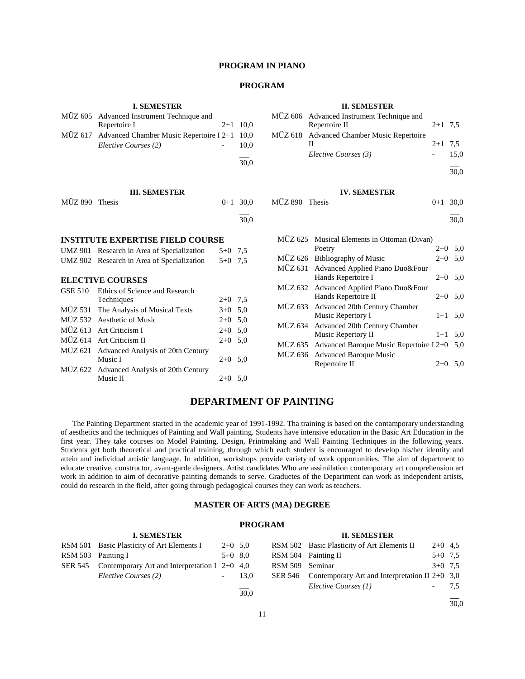## **PROGRAM IN PIANO**

## **PROGRAM**

30,0

## **I. SEMESTER**

| MÜZ 605 Advanced Instrument Technique and                     |            |
|---------------------------------------------------------------|------------|
| Repertoire I                                                  | $2+1$ 10.0 |
| $M\ddot{U}Z$ 617 Advanced Chamber Music Repertoire I 2+1 10,0 |            |
| Elective Courses (2)                                          | 10.0       |
|                                                               | 30.0       |

## **III. SEMESTER**

| MÜZ 890 Thesis |  | $0+1$ 30,0 |
|----------------|--|------------|
|                |  |            |

**INSTITUTE EXPERTISE FIELD COURSE**

|                  | UMZ 901 Research in Area of Specialization | $5+0$ 7.5 |     |
|------------------|--------------------------------------------|-----------|-----|
|                  | UMZ 902 Research in Area of Specialization | $5 + 0$   | 7.5 |
|                  | <b>ELECTIVE COURSES</b>                    |           |     |
| GSE 510          | Ethics of Science and Research             |           |     |
|                  | Techniques                                 | $2+0$ 7,5 |     |
|                  | MÜZ 531 The Analysis of Musical Texts      | $3+0$ 5.0 |     |
|                  | MÜZ 532 Aesthetic of Music                 | $2+0$ 5.0 |     |
| $M\ddot{U}Z$ 613 | Art Criticism I                            | $2+0$ 5.0 |     |
|                  | MÜZ 614 Art Criticism II                   | $2+0$     | 5.0 |
|                  | MÜZ 621 Advanced Analysis of 20th Century  |           |     |
|                  | Music I                                    | $2+0$     | 5,0 |
|                  | MÜZ 622 Advanced Analysis of 20th Century  |           |     |
|                  | Music II                                   | $2+0$     | 5.0 |

### **II. SEMESTER**

| MÜZ 606 Advanced Instrument Technique and |           |      |
|-------------------------------------------|-----------|------|
| Repertoire II                             | $2+1$ 7.5 |      |
| MÜZ 618 Advanced Chamber Music Repertoire |           |      |
| н                                         | $2+1$ 7.5 |      |
| Elective Courses (3)                      |           | 15.0 |

 $\overline{a}$ 30,0

### **IV. SEMESTER**

| MÜZ 890 Thesis | $0+1$ 30.0 |  |
|----------------|------------|--|
|----------------|------------|--|

l 30,0

|         | MÜZ 625 Musical Elements in Ottoman (Divan) |           |     |
|---------|---------------------------------------------|-----------|-----|
|         | Poetry                                      | $2+0$ 5.0 |     |
|         | MÜZ 626 Bibliography of Music               | $2+0$ 5.0 |     |
|         | MÜZ 631 Advanced Applied Piano Duo&Four     |           |     |
|         | Hands Repertoire I                          | $2+0$ 5.0 |     |
|         | MÜZ 632 Advanced Applied Piano Duo&Four     |           |     |
|         | Hands Repertoire II                         | $2+0$ 5.0 |     |
|         | MÜZ 633 Advanced 20th Century Chamber       |           |     |
|         | Music Repertory I                           | $1 + 1$   | 5,0 |
|         | MÜZ 634 Advanced 20th Century Chamber       |           |     |
|         | Music Repertory II                          | $1 + 1$   | 5,0 |
| MÜZ 635 | Advanced Baroque Music Repertoire I 2+0     |           | 5.0 |
|         | MÜZ 636 Advanced Baroque Music              |           |     |
|         | Repertoire II                               | $2+0$     | 5,0 |
|         |                                             |           |     |

# **DEPARTMENT OF PAINTING**

 The Painting Department started in the academic year of 1991-1992. Tha training is based on the contamporary understanding of aesthetics and the techniques of Painting and Wall painting. Students have intensive education in the Basic Art Education in the first year. They take courses on Model Painting, Design, Printmaking and Wall Painting Techniques in the following years. Students get both theoretical and practical training, through which each student is encouraged to develop his/her identity and attein and individual artistic language. In addition, workshops provide variety of work opportunities. The aim of department to educate creative, constructor, avant-garde designers. Artist candidates Who are assimilation contemporary art comprehension art work in addition to aim of decorative painting demands to serve. Graduetes of the Department can work as independent artists, could do research in the field, after going through pedagogical courses they can work as teachers.

## **MASTER OF ARTS (MA) DEGREE**

## **PROGRAM**

### **I. SEMESTER** RSM 501 Basic Plasticity of Art Elements I 2+0 5,0 RSM 503 Painting I 5+0 8,0 SER 545 Contemporary Art and Interpretation I 2+0 4,0 *Elective Courses (2)* - 13,0 l 30,0 **II. SEMESTER** RSM 502 Basic Plasticity of Art Elements II 2+0 4,5 RSM 504 Painting II 5+0 7,5 RSM 509 Seminar 3+0 7,5 SER 546 Contemporary Art and Interpretation II 2+0 3,0 *Elective Courses (1)* - 7,5 l

30,0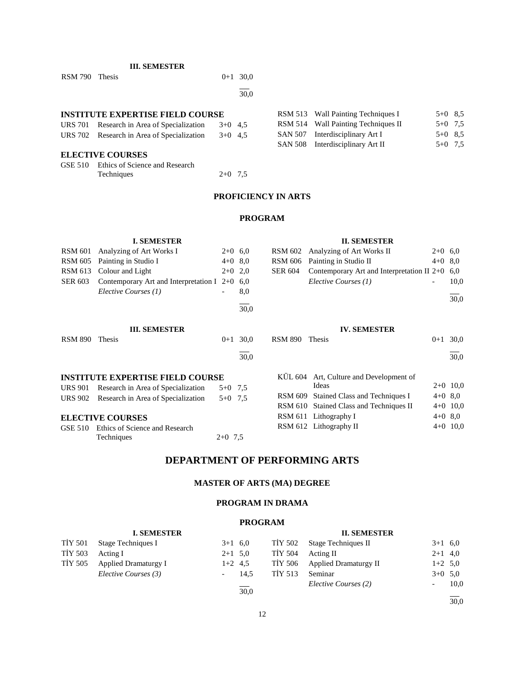# **III. SEMESTER**

RSM 790 Thesis 0+1 30,0

l 30,0

## **INSTITUTE EXPERTISE FIELD COURSE**

| URS 701 | Research in Area of Specialization         | $3+0$ 4.5 |
|---------|--------------------------------------------|-----------|
|         | URS 702 Research in Area of Specialization | $3+0$ 4.5 |

**I. SEMESTER**

Techniques 2+0 7,5

## **ELECTIVE COURSES**

| GSE 510 Ethics of Science and Research |           |  |
|----------------------------------------|-----------|--|
| Techniques                             | $2+0$ 7.5 |  |

|  | $5+0$ 8.5                                                                                                                                        |  |
|--|--------------------------------------------------------------------------------------------------------------------------------------------------|--|
|  | $5+0$ 7.5                                                                                                                                        |  |
|  | $5+0$ 8.5                                                                                                                                        |  |
|  | $5+0$ 7.5                                                                                                                                        |  |
|  | RSM 513 Wall Painting Techniques I<br>RSM 514 Wall Painting Techniques II<br>SAN 507 Interdisciplinary Art I<br>SAN 508 Interdisciplinary Art II |  |

## **PROFICIENCY IN ARTS**

## **PROGRAM**

## **II. SEMESTER**

| <b>RSM 601</b> | Analyzing of Art Works I                        | $2+0$ 6.0                |      | <b>RSM 602</b> | Analyzing of Art Works II                    | $2+0$ 6.0 |            |
|----------------|-------------------------------------------------|--------------------------|------|----------------|----------------------------------------------|-----------|------------|
| <b>RSM 605</b> | Painting in Studio I                            | $4+0$ 8,0                |      | <b>RSM 606</b> | Painting in Studio II                        | $4+0$ 8,0 |            |
| <b>RSM 613</b> | Colour and Light                                | $2+0$ 2,0                |      | <b>SER 604</b> | Contemporary Art and Interpretation II $2+0$ |           | 6,0        |
| <b>SER 603</b> | Contemporary Art and Interpretation I $2+0$ 6,0 |                          |      |                | Elective Courses (1)                         |           | 10,0       |
|                | Elective Courses (1)                            | $\overline{\phantom{0}}$ | 8,0  |                |                                              |           | 30,0       |
|                |                                                 |                          | 30,0 |                |                                              |           |            |
|                | <b>III. SEMESTER</b>                            |                          |      |                | <b>IV. SEMESTER</b>                          |           |            |
| <b>RSM 890</b> | Thesis                                          | $0+1$                    | 30,0 | <b>RSM 890</b> | Thesis                                       | $0 + 1$   | 30,0       |
|                |                                                 |                          | 30.0 |                |                                              |           | 30.0       |
|                | <b>INSTITUTE EXPERTISE FIELD COURSE</b>         |                          |      | KUL 604        | Art, Culture and Development of              |           |            |
| <b>URS 901</b> | Research in Area of Specialization              | $5+0$ 7.5                |      |                | Ideas                                        |           | $2+0$ 10,0 |
| <b>URS 902</b> | Research in Area of Specialization              | $5+0$ 7.5                |      | <b>RSM 609</b> | Stained Class and Techniques I               | $4+0$ 8.0 |            |
|                |                                                 |                          |      | <b>RSM 610</b> | Stained Class and Techniques II              |           | $4+0$ 10,0 |
|                | <b>ELECTIVE COURSES</b>                         |                          |      | RSM 611        | Lithography I                                | $4+0$ 8.0 |            |
|                | GSE 510 Ethics of Science and Research          |                          |      |                | RSM 612 Lithography II                       |           | $4+0$ 10,0 |

## **DEPARTMENT OF PERFORMING ARTS**

## **MASTER OF ARTS (MA) DEGREE**

## **PROGRAM IN DRAMA**

## **PROGRAM**

|                | <b>I. SEMESTER</b>   |                          |           |                | <b>II. SEMESTER</b>           |           |
|----------------|----------------------|--------------------------|-----------|----------------|-------------------------------|-----------|
| TIY 501        | Stage Techniques I   |                          | $3+1$ 6.0 |                | TIY 502 Stage Techniques II   | $3+1$ 6.0 |
| <b>TİY 503</b> | Acting I             |                          | $2+1$ 5.0 | TIY 504        | Acting II                     | $2+1$ 4,0 |
| TIY 505        | Applied Dramaturgy I |                          | $1+2$ 4.5 |                | TIY 506 Applied Dramaturgy II | $1+2$ 5.0 |
|                | Elective Courses (3) | $\overline{\phantom{0}}$ | 14.5      | <b>TIY 513</b> | Seminar                       | $3+0$ 5.0 |
|                |                      |                          |           |                | Elective Courses (2)          | 10,0      |
|                |                      |                          | 30,0      |                |                               |           |

30,0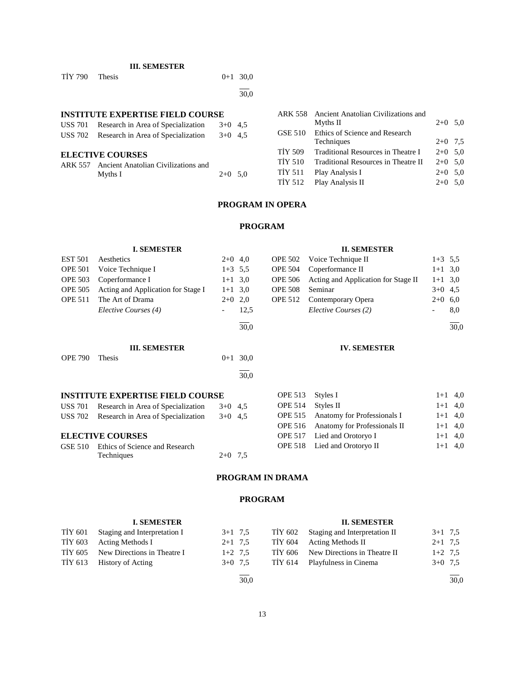## **III. SEMESTER**

$$
T\dot{I}Y 790 \qquad \text{Thesis} \qquad 0+1 \quad 30,0
$$

l  $\frac{1}{30,0}$ 

## **INSTITUTE EXPERTISE FIELD COURSE**

| USS 701 | Research in Area of Specialization | $3+0$ 4.5 |  |
|---------|------------------------------------|-----------|--|
| USS 702 | Research in Area of Specialization | $3+0$ 4.5 |  |
|         |                                    |           |  |

# **ELECTIVE COURSES**

| ARK 557 Ancient Anatolian Civilizations and |           |  |
|---------------------------------------------|-----------|--|
| Myths I                                     | $2+0$ 5.0 |  |

|                | ARK 558 Ancient Anatolian Civilizations and |           |  |
|----------------|---------------------------------------------|-----------|--|
|                | Myths II                                    | $2+0$ 5.0 |  |
| <b>GSE 510</b> | Ethics of Science and Research              |           |  |
|                | Techniques                                  | $2+0$ 7.5 |  |
| <b>TİY 509</b> | Traditional Resources in Theatre I          | $2+0$ 5.0 |  |
| <b>TIY 510</b> | Traditional Resources in Theatre II         | $2+0$ 5.0 |  |
| <b>TİY 511</b> | Play Analysis I                             | $2+0$ 5.0 |  |
| TİY 512        | Play Analysis II                            | $2+0$ 5.0 |  |

## **PROGRAM IN OPERA**

## **PROGRAM**

### **I. SEMESTER** EST 501 Aesthetics  $2+0$  4,0 OPE 501 Voice Technique I 1+3 5,5 OPE 503 Coperformance I 1+1 3,0 OPE 505 Acting and Application for Stage I  $1+1$  3,0 OPE 511 The Art of Drama 2+0 2,0 *Elective Courses (4)* - 12,5 l 30,0 **II. SEMESTER** OPE 502 Voice Technique II 1+3 5,5 OPE 504 Coperformance II  $1+1$  3,0 OPE 506 Acting and Application for Stage II  $1+1$  3,0 OPE 508 Seminar 3+0 4,5 OPE 512 Contemporary Opera 2+0 6,0 *Elective Courses (2)* - 8,0 l  $\overline{30.0}$ **III. SEMESTER** OPE 790 Thesis 0+1 30,0 l 30,0 **IV. SEMESTER INSTITUTE EXPERTISE FIELD COURSE** USS 701 Research in Area of Specialization 3+0 4,5 USS 702 Research in Area of Specialization 3+0 4,5 **ELECTIVE COURSES** GSE 510 Ethics of Science and Research Techniques 2+0 7,5 OPE 513 Styles I 1+1 4,0 OPE 514 Styles II  $1+1$  4,0 OPE 515 Anatomy for Professionals I 1+1 4,0 OPE 516 Anatomy for Professionals II  $1+1$  4,0 OPE 517 Lied and Orotoryo I  $1+1$  4,0 OPE 518 Lied and Orotoryo II 1+1 4,0

## **PROGRAM IN DRAMA**

## **PROGRAM**

### **I. SEMESTER** TİY 601 Staging and Interpretation I 3+1 7,5 TİY 603 Acting Methods I  $2+1$  7,5 TİY 605 New Directions in Theatre I  $1+2$  7,5 TİY 613 History of Acting  $3+0$  7,5 l  $\frac{1}{30.0}$ **II. SEMESTER** TİY 602 Staging and Interpretation II 3+1 7,5 TİY 604 Acting Methods II  $2+1$  7,5 TİY 606 New Directions in Theatre II  $1+2$  7,5 TİY 614 Playfulness in Cinema  $3+0$  7,5 l  $\frac{1}{30.0}$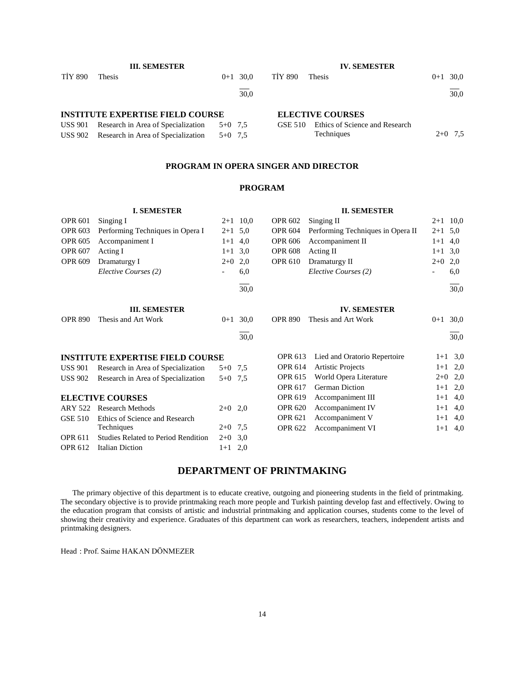|         |        | <b>III. SEMESTER</b> |            |         |        | <b>IV. SEMESTER</b> |         |                                  |
|---------|--------|----------------------|------------|---------|--------|---------------------|---------|----------------------------------|
| TİY 890 | Thesis |                      | $0+1$ 30.0 | TIY 890 | Thesis |                     | $0 + 1$ | 30,0                             |
|         |        |                      | 30,0       |         |        |                     |         | $\overline{\phantom{a}}$<br>30,0 |
|         |        |                      |            |         |        |                     |         |                                  |

# **INSTITUTE EXPERTISE FIELD COURSE**

| USS 901 | Research in Area of Specialization | $5+0$ 7.5 |  |
|---------|------------------------------------|-----------|--|
| USS 902 | Research in Area of Specialization | $5+0$ 7.5 |  |

## **ELECTIVE COURSES**

| GSE 510 Ethics of Science and Research |           |
|----------------------------------------|-----------|
| Techniques                             | $2+0$ 7.5 |

## **PROGRAM IN OPERA SINGER AND DIRECTOR**

## **PROGRAM**

|                | <b>I. SEMESTER</b>                         |           |            |                | <b>II. SEMESTER</b>               |           |            |
|----------------|--------------------------------------------|-----------|------------|----------------|-----------------------------------|-----------|------------|
| <b>OPR 601</b> | Singing I                                  |           | $2+1$ 10,0 | <b>OPR 602</b> | Singing II                        |           | $2+1$ 10,0 |
| <b>OPR 603</b> | Performing Techniques in Opera I           | $2 + 1$   | 5,0        | <b>OPR 604</b> | Performing Techniques in Opera II | $2+1$ 5,0 |            |
| <b>OPR 605</b> | Accompaniment I                            | $1 + 1$   | 4,0        | <b>OPR 606</b> | Accompaniment II                  | $1+1$ 4,0 |            |
| <b>OPR 607</b> | Acting I                                   |           | $1+1$ 3,0  | <b>OPR 608</b> | Acting II                         | $1+1$ 3,0 |            |
| <b>OPR 609</b> | Dramaturgy I                               | $2+0$     | 2,0        | <b>OPR 610</b> | Dramaturgy II                     | $2+0$ 2,0 |            |
|                | Elective Courses (2)                       |           | 6,0        |                | Elective Courses (2)              |           | 6,0        |
|                |                                            |           | 30,0       |                |                                   |           | 30,0       |
|                | <b>III. SEMESTER</b>                       |           |            |                | <b>IV. SEMESTER</b>               |           |            |
| <b>OPR 890</b> | Thesis and Art Work                        | $0+1$     | 30,0       | <b>OPR 890</b> | Thesis and Art Work               | $0 + 1$   | 30,0       |
|                |                                            |           | 30,0       |                |                                   |           | 30,0       |
|                | <b>INSTITUTE EXPERTISE FIELD COURSE</b>    |           |            | <b>OPR 613</b> | Lied and Oratorio Repertoire      |           | $1+1$ 3,0  |
| <b>USS 901</b> | Research in Area of Specialization         | $5+0$ 7,5 |            | <b>OPR 614</b> | <b>Artistic Projects</b>          |           | $1+1$ 2,0  |
| <b>USS 902</b> | Research in Area of Specialization         | $5+0$ 7.5 |            | <b>OPR 615</b> | World Opera Literature            | $2+0$     | 2,0        |
|                |                                            |           |            | <b>OPR 617</b> | <b>German Diction</b>             |           | $1+1$ 2,0  |
|                | <b>ELECTIVE COURSES</b>                    |           |            | <b>OPR 619</b> | Accompaniment III                 | $1+1$     | 4,0        |
| <b>ARY 522</b> | <b>Research Methods</b>                    | $2+0$ 2,0 |            | <b>OPR 620</b> | Accompaniment IV                  |           | $1+1$ 4,0  |
| <b>GSE 510</b> | Ethics of Science and Research             |           |            | <b>OPR 621</b> | Accompaniment V                   |           | $1+1$ 4,0  |
|                | Techniques                                 | $2+0$ 7,5 |            | <b>OPR 622</b> | Accompaniment VI                  | $1 + 1$   | 4,0        |
| <b>OPR 611</b> | <b>Studies Related to Period Rendition</b> | $2+0$     | 3,0        |                |                                   |           |            |
| <b>OPR 612</b> | Italian Diction                            | $1 + 1$   | 2,0        |                |                                   |           |            |

# **DEPARTMENT OF PRINTMAKING**

 The primary objective of this department is to educate creative, outgoing and pioneering students in the field of printmaking. The secondary objective is to provide printmaking reach more people and Turkish painting develop fast and effectively. Owing to the education program that consists of artistic and industrial printmaking and application courses, students come to the level of showing their creativity and experience. Graduates of this department can work as researchers, teachers, independent artists and printmaking designers.

Head : Prof. Saime HAKAN DÖNMEZER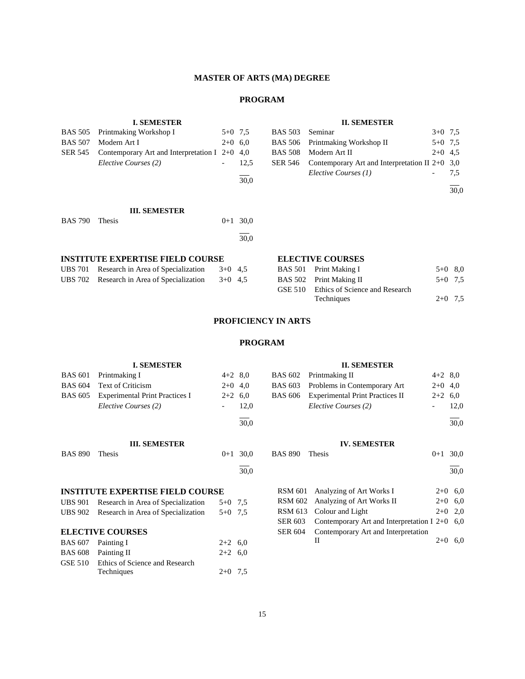## **MASTER OF ARTS (MA) DEGREE**

## **PROGRAM**

30,0

## **I. SEMESTER**

| BAS 505 Printmaking Workshop I                          | $5+0$ 7.5 |      |
|---------------------------------------------------------|-----------|------|
| BAS 507 Modern Art I                                    | $2+0$ 6.0 |      |
| SER 545 Contemporary Art and Interpretation I $2+0$ 4.0 |           |      |
| Elective Courses (2)                                    |           | 12.5 |
|                                                         |           |      |

### **II. SEMESTER**

| BAS 503 Seminar |                                                          | $3+0$ 7.5 |     |
|-----------------|----------------------------------------------------------|-----------|-----|
|                 | BAS 506 Printmaking Workshop II                          | $5+0$ 7.5 |     |
|                 | BAS 508 Modern Art II                                    | $2+0$ 4.5 |     |
|                 | SER 546 Contemporary Art and Interpretation II 2+0 $3,0$ |           |     |
|                 | Elective Courses (1)                                     |           | 7.5 |
|                 |                                                          |           |     |

### **III. SEMESTER**

| BAS 790 Thesis |  | $0+1$ 30.0 |
|----------------|--|------------|
|                |  | 30,0       |

### **INSTITUTE EXPERTISE FIELD COURSE**

| UBS 701 Research in Area of Specialization | $3+0$ 4.5 |  |
|--------------------------------------------|-----------|--|
| UBS 702 Research in Area of Specialization | $3+0$ 4.5 |  |

## **ELECTIVE COURSES**

| BAS 501 Print Making I                 | $5+0$ 8.0 |  |
|----------------------------------------|-----------|--|
| BAS 502 Print Making II                | $5+0$ 7.5 |  |
| GSE 510 Ethics of Science and Research |           |  |
| Techniques                             | $2+0$ 7.5 |  |

## **PROFICIENCY IN ARTS**

## **PROGRAM**

## **I. SEMESTER** BAS 601 Printmaking I 4+2 8,0 BAS 604 Text of Criticism 2+0 4,0 BAS 605 Experimental Print Practices I 2+2 6,0 *Elective Courses (2)* - 12,0 l 30,0 **III. SEMESTER** BAS 890 Thesis 0+1 30,0  $\overline{a}$ 30,0 **INSTITUTE EXPERTISE FIELD COURSE** UBS 901 Research in Area of Specialization 5+0 7,5 UBS 902 Research in Area of Specialization 5+0 7,5 **ELECTIVE COURSES** BAS  $607$  Painting I  $2+2$  6,0 BAS  $608$  Painting II 2+2  $6,0$ GSE 510 Ethics of Science and Research RSM 601 RSM 602 RSM 613 SER 604 Contemporary Art and Interpretation

Techniques 2+0 7,5

### **II. SEMESTER**

## BAS  $602$  Printmaking II  $4+2$  8,0 BAS 603 Problems in Contemporary Art 2+0 4,0 BAS 606 Experimental Print Practices II 2+2 6,0 *Elective Courses (2)* - 12,0 l

30,0

### **IV. SEMESTER**

| BAS 890 Thesis |                                                 |       | $0+1$ 30,0 |
|----------------|-------------------------------------------------|-------|------------|
|                |                                                 |       | 30,0       |
|                | RSM 601 Analyzing of Art Works I                | $2+0$ | 6.0        |
|                | RSM 602 Analyzing of Art Works II               | $2+0$ | 6.0        |
|                | RSM 613 Colour and Light                        | $2+0$ | 2.0        |
| SER 603        | Contemporary Art and Interpretation I $2+0$ 6,0 |       |            |

II  $2+0$  6,0

15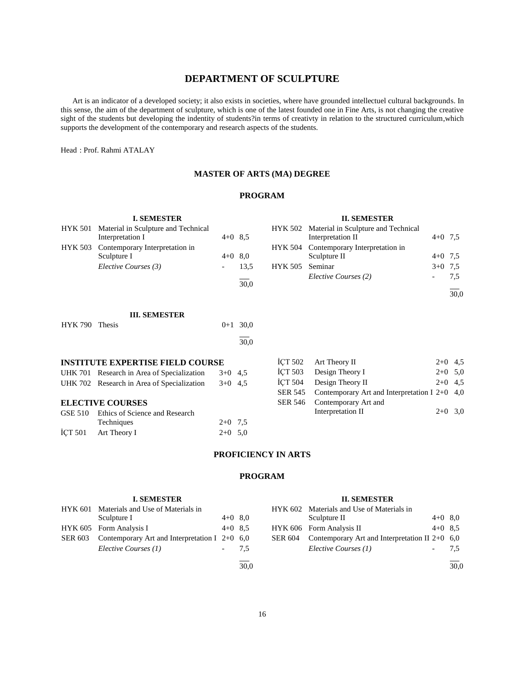# **DEPARTMENT OF SCULPTURE**

 Art is an indicator of a developed society; it also exists in societies, where have grounded intellectuel cultural backgrounds. In this sense, the aim of the department of sculpture, which is one of the latest founded one in Fine Arts, is not changing the creative sight of the students but developing the indentity of students?in terms of creativty in relation to the structured curriculum,which supports the development of the contemporary and research aspects of the students.

Head : Prof. Rahmi ATALAY

## **MASTER OF ARTS (MA) DEGREE**

## **PROGRAM**

|                | <b>I. SEMESTER</b>                                      |           |            |                | <b>II. SEMESTER</b>                                      |           |           |
|----------------|---------------------------------------------------------|-----------|------------|----------------|----------------------------------------------------------|-----------|-----------|
| <b>HYK 501</b> | Material in Sculpture and Technical<br>Interpretation I | $4+0$ 8.5 |            | <b>HYK 502</b> | Material in Sculpture and Technical<br>Interpretation II | $4+0$ 7.5 |           |
| <b>HYK 503</b> | Contemporary Interpretation in<br>Sculpture I           | $4+0$ 8,0 |            | <b>HYK 504</b> | Contemporary Interpretation in<br>Sculpture II           | $4+0$ 7,5 |           |
|                | Elective Courses (3)                                    |           | 13.5       | <b>HYK 505</b> | Seminar                                                  | $3+0$ 7.5 |           |
|                |                                                         |           | 30,0       |                | Elective Courses (2)                                     |           | 7.5       |
|                |                                                         |           |            |                |                                                          |           | 30,0      |
|                | <b>III. SEMESTER</b>                                    |           |            |                |                                                          |           |           |
| <b>HYK 790</b> | Thesis                                                  |           | $0+1$ 30,0 |                |                                                          |           |           |
|                |                                                         |           | 30,0       |                |                                                          |           |           |
|                | <b>INSTITUTE EXPERTISE FIELD COURSE</b>                 |           |            | <b>ICT 502</b> | Art Theory II                                            |           | $2+0$ 4,5 |
|                | UHK 701 Research in Area of Specialization              | $3+0$ 4.5 |            | <b>ICT 503</b> | Design Theory I                                          |           | $2+0$ 5,0 |
|                | UHK 702 Research in Area of Specialization              | $3+0$ 4.5 |            | <b>ICT 504</b> | Design Theory II                                         |           | $2+0$ 4,5 |
|                |                                                         |           |            | <b>SER 545</b> | Contemporary Art and Interpretation I $2+0$ 4,0          |           |           |
|                | <b>ELECTIVE COURSES</b>                                 |           |            | <b>SER 546</b> | Contemporary Art and                                     |           |           |
| <b>GSE 510</b> | Ethics of Science and Research                          |           |            |                | Interpretation II                                        |           | $2+0$ 3,0 |
|                | Techniques                                              | $2+0$ 7,5 |            |                |                                                          |           |           |

## **PROFICIENCY IN ARTS**

# **PROGRAM**

## **I. SEMESTER**

İÇT 501 Art Theory I 2+0 5,0

| HYK 601 Materials and Use of Materials in             |           | HYK 602 Materials |           |
|-------------------------------------------------------|-----------|-------------------|-----------|
| Sculpture I                                           | $4+0$ 8.0 |                   | Sculpture |
| HYK 605 Form Analysis I                               | $4+0$ 8.5 | HYK 606 Form An   |           |
| SER 603 Contemporary Art and Interpretation I 2+0 6,0 |           | SER 604 Contemp   |           |
| Elective Courses (1)                                  | $-7.5$    |                   | Elective  |
|                                                       |           |                   |           |

### 30,0

## **II. SEMESTER**

| HYK 602 Materials and Use of Materials in                |           |      |
|----------------------------------------------------------|-----------|------|
| Sculpture II                                             | $4+0$ 8,0 |      |
| HYK 606 Form Analysis II                                 | $4+0$ 8.5 |      |
| SER 604 Contemporary Art and Interpretation II 2+0 $6,0$ |           |      |
| Elective Courses (1)                                     |           | 7.5  |
|                                                          |           | 30.0 |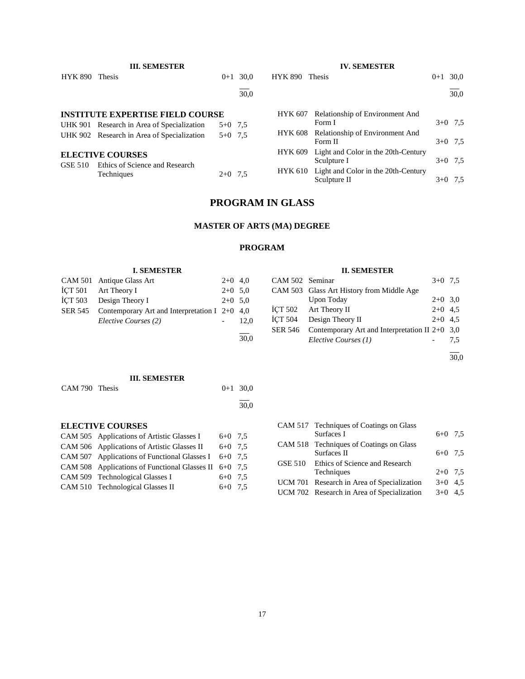|                | <b>III. SEMESTER</b>                         |           |      |                | <b>IV. SEMESTER</b>                                 |         |           |
|----------------|----------------------------------------------|-----------|------|----------------|-----------------------------------------------------|---------|-----------|
| <b>HYK 890</b> | Thesis                                       | $0+1$     | 30.0 | <b>HYK 890</b> | Thesis                                              | $0 + 1$ | 30.0      |
|                |                                              |           | 30.0 |                |                                                     |         | 30,0      |
|                | <b>INSTITUTE EXPERTISE FIELD COURSE</b>      |           |      | <b>HYK 607</b> | Relationship of Environment And                     |         |           |
|                | UHK 901 Research in Area of Specialization   | $5+0$ 7.5 |      |                | Form I                                              |         | $3+0$ 7.5 |
|                | UHK 902 Research in Area of Specialization   | $5+0$ 7.5 |      | <b>HYK 608</b> | Relationship of Environment And<br>Form II          |         | $3+0$ 7.5 |
|                | <b>ELECTIVE COURSES</b>                      |           |      | <b>HYK 609</b> | Light and Color in the 20th-Century<br>Sculpture I  |         | $3+0$ 7.5 |
| GSE 510        | Ethics of Science and Research<br>Techniques | $2+0$ 7.5 |      | <b>HYK 610</b> | Light and Color in the 20th-Century<br>Sculpture II | $3+0$   | 7.5       |

# **PROGRAM IN GLASS**

# **MASTER OF ARTS (MA) DEGREE**

## **PROGRAM**

|                | <b>I. SEMESTER</b>                            |           |            |                | <b>II. SEMESTER</b>                              |           |           |
|----------------|-----------------------------------------------|-----------|------------|----------------|--------------------------------------------------|-----------|-----------|
| <b>CAM 501</b> | Antique Glass Art                             | $2+0$ 4,0 |            | <b>CAM 502</b> | Seminar                                          | $3+0$ 7.5 |           |
| ICT 501        | Art Theory I                                  | $2+0$ 5,0 |            | <b>CAM 503</b> | Glass Art History from Middle Age                |           |           |
| <b>ICT 503</b> | Design Theory I                               | $2+0$ 5.0 |            |                | Upon Today                                       | $2+0$ 3,0 |           |
| <b>SER 545</b> | Contemporary Art and Interpretation I $2+0$   |           | 4.0        | <b>ICT 502</b> | Art Theory II                                    | $2+0$ 4,5 |           |
|                | Elective Courses (2)                          |           | 12,0       | <b>ICT 504</b> | Design Theory II                                 | $2+0$ 4.5 |           |
|                |                                               |           |            | <b>SER 546</b> | Contemporary Art and Interpretation II $2+0$ 3,0 |           |           |
|                |                                               |           | 30,0       |                | Elective Courses (1)                             |           | 7,5       |
|                |                                               |           |            |                |                                                  |           | 30,0      |
|                | <b>III. SEMESTER</b>                          |           |            |                |                                                  |           |           |
| CAM 790 Thesis |                                               |           | $0+1$ 30.0 |                |                                                  |           |           |
|                |                                               |           | 30,0       |                |                                                  |           |           |
|                | <b>ELECTIVE COURSES</b>                       |           |            | <b>CAM 517</b> | Techniques of Coatings on Glass                  |           |           |
|                | CAM 505 Applications of Artistic Glasses I    | $6+0$ 7,5 |            |                | Surfaces I                                       |           | $6+0$ 7.5 |
|                | CAM 506 Applications of Artistic Glasses II   | $6+0$ 7,5 |            | <b>CAM 518</b> | Techniques of Coatings on Glass                  |           |           |
| CAM 507        | Applications of Functional Glasses I          | $6 + 0$   | 7.5        |                | Surfaces II                                      | $6 + 0$   | 7,5       |
|                | CAM 508 Applications of Functional Glasses II | $6 + 0$   | 7,5        | GSE 510        | Ethics of Science and Research                   |           |           |
|                | CAM 509 Technological Glasses I               | $6+0$ 7,5 |            |                | Techniques                                       | $2+0$     | 7,5       |
|                | CAM 510 Technological Glasses II              | $6 + 0$   | 7,5        | <b>UCM 701</b> | Research in Area of Specialization               | $3+0$     | 4,5       |
|                |                                               |           |            |                | UCM 702 Research in Area of Specialization       |           | $3+0$ 4,5 |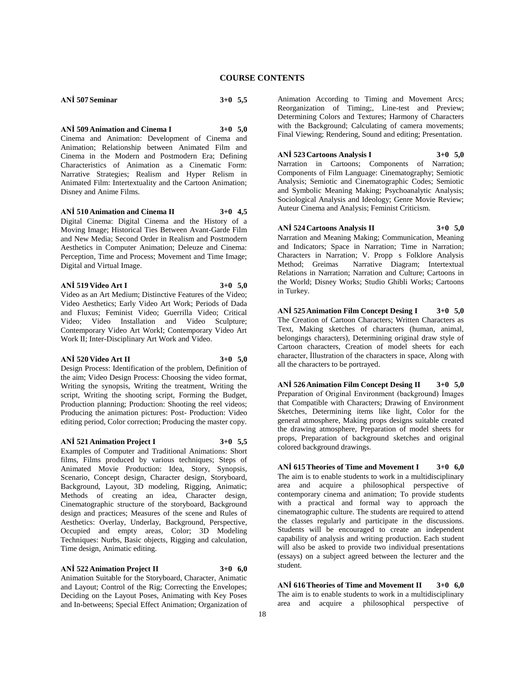**ANİ 507 Seminar 3+0 5,5**

**ANİ 509 Animation and Cinema I 3+0 5,0** Cinema and Animation: Development of Cinema and Animation; Relationship between Animated Film and Cinema in the Modern and Postmodern Era; Defining Characteristics of Animation as a Cinematic Form: Narrative Strategies; Realism and Hyper Relism in Animated Film: Intertextuality and the Cartoon Animation; Disney and Anime Films.

**ANİ 510 Animation and Cinema II 3+0 4,5** Digital Cinema: Digital Cinema and the History of a Moving Image; Historical Ties Between Avant-Garde Film and New Media; Second Order in Realism and Postmodern Aesthetics in Computer Animation; Deleuze and Cinema: Perception, Time and Process; Movement and Time Image; Digital and Virtual Image.

### **ANİ 519 Video Art I 3+0 5,0**

Video as an Art Medium; Distinctive Features of the Video; Video Aesthetics; Early Video Art Work; Periods of Dada and Fluxus; Feminist Video; Guerrilla Video; Critical Video; Video Installation and Video Sculpture; Contemporary Video Art WorkI; Contemporary Video Art Work II; Inter-Disciplinary Art Work and Video.

## **ANİ 520 Video Art II 3+0 5,0**

Design Process: Identification of the problem, Definition of the aim; Video Design Process: Choosing the video format, Writing the synopsis, Writing the treatment, Writing the script, Writing the shooting script, Forming the Budget, Production planning; Production: Shooting the reel videos; Producing the animation pictures: Post- Production: Video editing period, Color correction; Producing the master copy.

### **ANİ 521 Animation Project I 3+0 5,5**

Examples of Computer and Traditional Animations: Short films, Films produced by various techniques; Steps of Animated Movie Production: Idea, Story, Synopsis, Scenario, Concept design, Character design, Storyboard, Background, Layout, 3D modeling, Rigging, Animatic; Methods of creating an idea, Character design, Cinematographic structure of the storyboard, Background design and practices; Measures of the scene and Rules of Aesthetics: Overlay, Underlay, Background, Perspective, Occupied and empty areas, Color; 3D Modeling Techniques: Nurbs, Basic objects, Rigging and calculation, Time design, Animatic editing.

## **ANİ 522 Animation Project II 3+0 6,0**

Animation Suitable for the Storyboard, Character, Animatic and Layout; Control of the Rig; Correcting the Envelopes; Deciding on the Layout Poses, Animating with Key Poses and In-betweens; Special Effect Animation; Organization of

Animation According to Timing and Movement Arcs; Reorganization of Timing;, Line-test and Preview; Determining Colors and Textures; Harmony of Characters with the Background; Calculating of camera movements; Final Viewing; Rendering, Sound and editing; Presentation.

## **ANİ 523 Cartoons Analysis I 3+0 5,0**

Narration in Cartoons; Components of Narration; Components of Film Language: Cinematography; Semiotic Analysis; Semiotic and Cinematographic Codes; Semiotic and Symbolic Meaning Making; Psychoanalytic Analysis; Sociological Analysis and Ideology; Genre Movie Review; Auteur Cinema and Analysis; Feminist Criticism.

## **ANİ 524 Cartoons Analysis II 3+0 5,0**

Narration and Meaning Making; Communication, Meaning and Indicators; Space in Narration; Time in Narration; Characters in Narration; V. Propp s Folklore Analysis Method; Greimas Narrative Diagram; Intertextual Relations in Narration; Narration and Culture; Cartoons in the World; Disney Works; Studio Ghibli Works; Cartoons in Turkey.

**ANİ 525 Animation Film Concept Desing I 3+0 5,0** The Creation of Cartoon Characters; Written Characters as Text, Making sketches of characters (human, animal, belongings characters), Determining original draw style of Cartoon characters, Creation of model sheets for each character, İllustration of the characters in space, Along with all the characters to be portrayed.

**ANİ 526 Animation Film Concept Desing II 3+0 5,0** Preparation of Original Environment (background) İmages that Compatible with Characters; Drawing of Environment Sketches, Determining items like light, Color for the general atmosphere, Making props designs suitable created the drawing atmosphere, Preparation of model sheets for props, Preparation of background sketches and original colored background drawings.

**ANİ 615 Theories of Time and Movement I 3+0 6,0** The aim is to enable students to work in a multidisciplinary area and acquire a philosophical perspective of contemporary cinema and animation; To provide students with a practical and formal way to approach the cinematographic culture. The students are required to attend the classes regularly and participate in the discussions. Students will be encouraged to create an independent capability of analysis and writing production. Each student will also be asked to provide two individual presentations (essays) on a subject agreed between the lecturer and the student.

**ANİ 616 Theories of Time and Movement II 3+0 6,0** The aim is to enable students to work in a multidisciplinary area and acquire a philosophical perspective of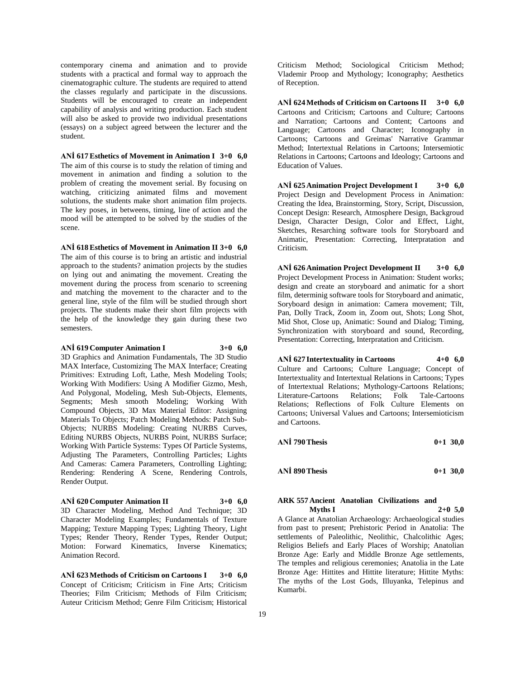contemporary cinema and animation and to provide students with a practical and formal way to approach the cinematographic culture. The students are required to attend the classes regularly and participate in the discussions. Students will be encouraged to create an independent capability of analysis and writing production. Each student will also be asked to provide two individual presentations (essays) on a subject agreed between the lecturer and the student.

**ANİ 617 Esthetics of Movement in Animation I 3+0 6,0** The aim of this course is to study the relation of timing and movement in animation and finding a solution to the problem of creating the movement serial. By focusing on watching, criticizing animated films and movement solutions, the students make short animation film projects. The key poses, in betweens, timing, line of action and the mood will be attempted to be solved by the studies of the scene.

## **ANİ 618 Esthetics of Movement in Animation II 3+0 6,0**

The aim of this course is to bring an artistic and industrial approach to the students? animation projects by the studies on lying out and animating the movement. Creating the movement during the process from scenario to screening and matching the movement to the character and to the general line, style of the film will be studied through short projects. The students make their short film projects with the help of the knowledge they gain during these two semesters.

## **ANİ 619 Computer Animation I 3+0 6,0**

3D Graphics and Animation Fundamentals, The 3D Studio MAX Interface, Customizing The MAX Interface; Creating Primitives: Extruding Loft, Lathe, Mesh Modeling Tools; Working With Modifiers: Using A Modifier Gizmo, Mesh, And Polygonal, Modeling, Mesh Sub-Objects, Elements, Segments; Mesh smooth Modeling; Working With Compound Objects, 3D Max Material Editor: Assigning Materials To Objects; Patch Modeling Methods: Patch Sub-Objects; NURBS Modeling: Creating NURBS Curves, Editing NURBS Objects, NURBS Point, NURBS Surface; Working With Particle Systems: Types Of Particle Systems, Adjusting The Parameters, Controlling Particles; Lights And Cameras: Camera Parameters, Controlling Lighting; Rendering: Rendering A Scene, Rendering Controls, Render Output.

## **ANİ 620 Computer Animation II 3+0 6,0**

3D Character Modeling, Method And Technique; 3D Character Modeling Examples; Fundamentals of Texture Mapping; Texture Mapping Types; Lighting Theory, Light Types; Render Theory, Render Types, Render Output; Motion: Forward Kinematics, Inverse Kinematics; Animation Record.

**ANİ 623 Methods of Criticism on Cartoons I 3+0 6,0** Concept of Criticism; Criticism in Fine Arts; Criticism Theories; Film Criticism; Methods of Film Criticism; Auteur Criticism Method; Genre Film Criticism; Historical

Criticism Method; Sociological Criticism Method; Vlademir Proop and Mythology; Iconography; Aesthetics of Reception.

**ANİ 624 Methods of Criticism on Cartoons II 3+0 6,0** Cartoons and Criticism; Cartoons and Culture; Cartoons and Narration; Cartoons and Content; Cartoons and Language; Cartoons and Character; Iconography in Cartoons; Cartoons and Greimas' Narrative Grammar Method; Intertextual Relations in Cartoons; Intersemiotic Relations in Cartoons; Cartoons and Ideology; Cartoons and Education of Values.

**ANİ 625 Animation Project Development I 3+0 6,0** Project Design and Development Process in Animation: Creating the Idea, Brainstorming, Story, Script, Discussion, Concept Design: Research, Atmosphere Design, Backgroud Design, Character Design, Color and Effect, Light, Sketches, Resarching software tools for Storyboard and Animatic, Presentation: Correcting, Interpratation and Criticism.

**ANİ 626 Animation Project Development II 3+0 6,0** Project Development Process in Animation: Student works; design and create an storyboard and animatic for a short film, determinig software tools for Storyboard and animatic, Soryboard design in animation: Camera movement; Tilt, Pan, Dolly Track, Zoom in, Zoom out, Shots; Long Shot, Mid Shot, Close up, Animatic: Sound and Dialog; Timing, Synchronization with storyboard and sound, Recording, Presentation: Correcting, Interpratation and Criticism.

**ANİ 627 Intertextuality in Cartoons 4+0 6,0** Culture and Cartoons; Culture Language; Concept of Intertextuality and Intertextual Relations in Cartoons; Types of Intertextual Relations; Mythology-Cartoons Relations;<br>Literature-Cartoons Relations: Folk Tale-Cartoons Literature-Cartoons Relations; Folk Relations; Reflections of Folk Culture Elements on Cartoons; Universal Values and Cartoons; Intersemioticism and Cartoons.

| ANİ 790 Thesis | $0+1$ 30,0 |
|----------------|------------|
|                |            |
| ANI 890 Thesis | $0+1$ 30.0 |

# **ARK 557 Ancient Anatolian Civilizations and**

**Myths I 2+0 5,0** A Glance at Anatolian Archaeology: Archaeological studies from past to present; Prehistoric Period in Anatolia: The settlements of Paleolithic, Neolithic, Chalcolithic Ages; Religios Beliefs and Early Places of Worship; Anatolian Bronze Age: Early and Middle Bronze Age settlements, The temples and religious ceremonies; Anatolia in the Late Bronze Age: Hittites and Hittite literature; Hittite Myths: The myths of the Lost Gods, Illuyanka, Telepinus and Kumarbi.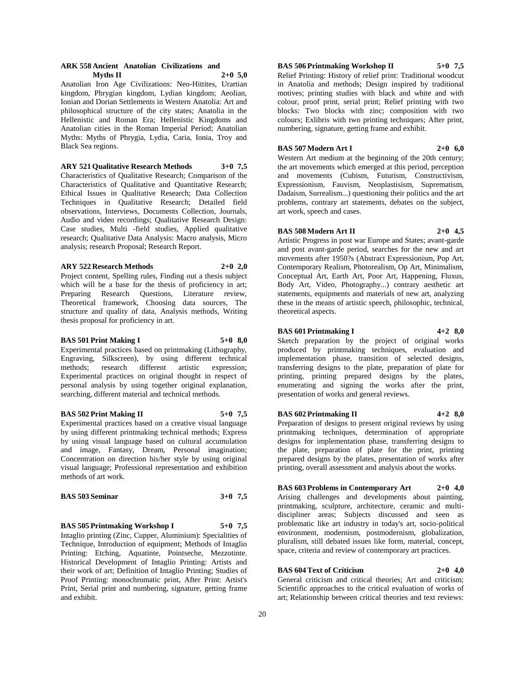### **ARK 558 Ancient Anatolian Civilizations and Myths II 2+0 5,0**

Anatolian Iron Age Civilizations: Neo-Hittites, Urartian kingdom, Phrygian kingdom, Lydian kingdom; Aeolian, Ionian and Dorian Settlements in Western Anatolia: Art and philosophical structure of the city states; Anatolia in the Hellenistic and Roman Era; Hellenistic Kingdoms and Anatolian cities in the Roman Imperial Period; Anatolian Myths: Myths of Phrygia, Lydia, Caria, Ionia, Troy and Black Sea regions.

**ARY 521 Qualitative Research Methods 3+0 7,5** Characteristics of Qualitative Research; Comparison of the

Characteristics of Qualitative and Quantitative Research; Ethical Issues in Qualitative Research; Data Collection Techniques in Qualitative Research; Detailed field observations, Interviews, Documents Collection, Journals, Audio and video recordings; Qualitative Research Design: Case studies, Multi -field studies, Applied qualitative research; Qualitative Data Analysis: Macro analysis, Micro analysis; research Proposal; Research Report.

### **ARY 522 Research Methods 2+0 2,0**

Project content, Spelling rules, Finding out a thesis subject which will be a base for the thesis of proficiency in art; Preparing Research Questions, Literature review, Theoretical framework, Choosing data sources, The structure and quality of data, Analysis methods, Writing thesis proposal for proficiency in art.

### **BAS 501 Print Making I 5+0 8,0**

Experimental practices based on printmaking (Lithography, Engraving, Silkscreen), by using different technical<br>methods; research different artistic expression: methods; research different artistic expression; Experimental practices on original thought in respect of personal analysis by using together original explanation, searching, different material and technical methods.

## **BAS 502 Print Making II 5+0 7,5**

Experimental practices based on a creative visual language by using different printmaking technical methods; Express by using visual language based on cultural accumulation and image, Fantasy, Dream, Personal imagination; Concentration on direction his/her style by using original visual language; Professional representation and exhibition methods of art work.

## **BAS 503 Seminar 3+0 7,5**

**BAS 505 Printmaking Workshop I 5+0 7,5** Intaglio printing (Zinc, Cupper, Aluminium): Specialities of Technique, Introduction of equipment; Methods of Intaglio Printing: Etching, Aquatinte, Pointseche, Mezzotinte. Historical Development of Intaglio Printing: Artists and their work of art; Definition of Intaglio Printing; Studies of Proof Printing: monochromatic print, After Print: Artist's Print, Serial print and numbering, signature, getting frame and exhibit.

## **BAS 506 Printmaking Workshop II 5+0 7,5**

Relief Printing: History of relief print: Traditional woodcut in Anatolia and methods; Design inspired by traditional motives; printing studies with black and white and with colour, proof print, serial print; Relief printing with two blocks: Two blocks with zinc; composition with two colours; Exlibris with two printing techniques; After print, numbering, signature, getting frame and exhibit.

## **BAS 507 Modern Art I 2+0 6,0**

Western Art medium at the beginning of the 20th century; the art movements which emerged at this period, perception and movements (Cubism, Futurism, Constructivism, Expressionism, Fauvism, Neoplastisism, Suprematism, Dadaism, Surrealism...) questioning their politics and the art problems, contrary art statements, debates on the subject, art work, speech and cases.

## **BAS 508 Modern Art II 2+0 4,5**

Artistic Progress in post war Europe and States; avant-garde and post avant-garde period, searches for the new and art movements after 1950?s (Abstract Expressionism, Pop Art, Contemporary Realism, Photorealism, Op Art, Minimalism, Conceptual Art, Earth Art, Poor Art, Happening, Fluxus, Body Art, Video, Photography...) contrary aesthetic art statements, equipments and materials of new art, analyzing these in the means of artistic speech, philosophic, technical, theoretical aspects.

## **BAS 601 Printmaking I 4+2 8,0**

Sketch preparation by the project of original works

produced by printmaking techniques, evaluation and implementation phase, transition of selected designs, transferring designs to the plate, preparation of plate for printing, printing prepared designs by the plates, enumerating and signing the works after the print, presentation of works and general reviews.

### **BAS 602 Printmaking II 4+2 8,0**

Preparation of designs to present original reviews by using printmaking techniques, determination of appropriate designs for implementation phase, transferring designs to the plate, preparation of plate for the print, printing prepared designs by the plates, presentation of works after printing, overall assessment and analysis about the works.

## **BAS 603 Problems in Contemporary Art 2+0 4,0**

Arising challenges and developments about painting, printmaking, sculpture, architecture, ceramic and multidiscipliner areas; Subjects discussed and seen as problematic like art industry in today's art, socio-political environment, modernism, postmodernism, globalization, pluralism, still debated issues like form, material, concept, space, criteria and review of contemporary art practices.

## **BAS 604 Text of Criticism 2+0 4,0**

General criticism and critical theories; Art and criticism; Scientific approaches to the critical evaluation of works of art; Relationship between critical theories and text reviews: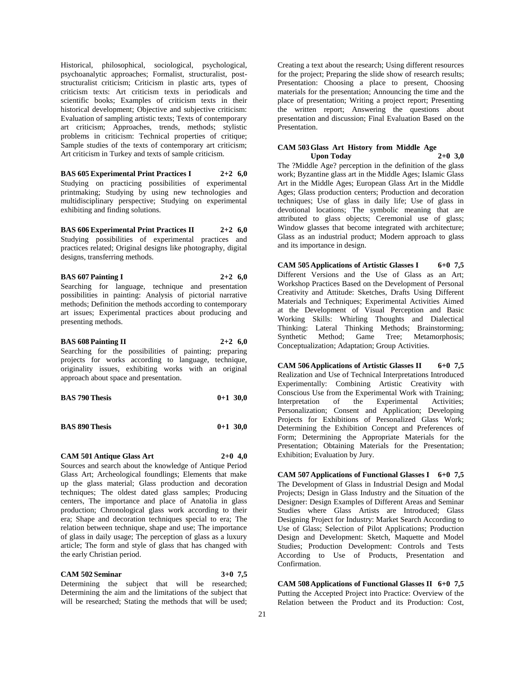Historical, philosophical, sociological, psychological, psychoanalytic approaches; Formalist, structuralist, poststructuralist criticism; Criticism in plastic arts, types of criticism texts: Art criticism texts in periodicals and scientific books; Examples of criticism texts in their historical development; Objective and subjective criticism: Evaluation of sampling artistic texts; Texts of contemporary art criticism; Approaches, trends, methods; stylistic problems in criticism: Technical properties of critique; Sample studies of the texts of contemporary art criticism; Art criticism in Turkey and texts of sample criticism.

**BAS 605 Experimental Print Practices I 2+2 6,0** Studying on practicing possibilities of experimental printmaking; Studying by using new technologies and multidisciplinary perspective; Studying on experimental exhibiting and finding solutions.

**BAS 606 Experimental Print Practices II 2+2 6,0** Studying possibilities of experimental practices and practices related; Original designs like photography, digital designs, transferring methods.

**BAS 607 Painting I 2+2 6,0** Searching for language, technique and presentation possibilities in painting: Analysis of pictorial narrative methods; Definition the methods according to contemporary art issues; Experimental practices about producing and presenting methods.

## **BAS 608 Painting II 2+2 6,0**

Searching for the possibilities of painting; preparing projects for works according to language, technique, originality issues, exhibiting works with an original approach about space and presentation.

| <b>BAS 790 Thesis</b> |  | $0+1$ 30,0 |
|-----------------------|--|------------|
|-----------------------|--|------------|

| <b>BAS 890 Thesis</b> |  | $0+1$ 30,0 |
|-----------------------|--|------------|
|-----------------------|--|------------|

**CAM 501 Antique Glass Art 2+0 4,0**

Sources and search about the knowledge of Antique Period Glass Art; Archeological foundlings; Elements that make up the glass material; Glass production and decoration techniques; The oldest dated glass samples; Producing centers, The importance and place of Anatolia in glass production; Chronological glass work according to their era; Shape and decoration techniques special to era; The relation between technique, shape and use; The importance of glass in daily usage; The perception of glass as a luxury article; The form and style of glass that has changed with the early Christian period.

**CAM 502 Seminar 3+0 7,5**

Determining the subject that will be researched; Determining the aim and the limitations of the subject that will be researched; Stating the methods that will be used;

Creating a text about the research; Using different resources for the project; Preparing the slide show of research results; Presentation: Choosing a place to present, Choosing materials for the presentation; Announcing the time and the place of presentation; Writing a project report; Presenting the written report; Answering the questions about presentation and discussion; Final Evaluation Based on the Presentation.

## **CAM 503 Glass Art History from Middle Age Upon Today 2+0 3,0**

The ?Middle Age? perception in the definition of the glass work; Byzantine glass art in the Middle Ages; Islamic Glass Art in the Middle Ages; European Glass Art in the Middle Ages; Glass production centers; Production and decoration techniques; Use of glass in daily life; Use of glass in devotional locations; The symbolic meaning that are attributed to glass objects; Ceremonial use of glass; Window glasses that become integrated with architecture; Glass as an industrial product; Modern approach to glass and its importance in design.

**CAM 505 Applications of Artistic Glasses I 6+0 7,5** Different Versions and the Use of Glass as an Art; Workshop Practices Based on the Development of Personal Creativity and Attitude: Sketches, Drafts Using Different Materials and Techniques; Experimental Activities Aimed at the Development of Visual Perception and Basic Working Skills: Whirling Thoughts and Dialectical Thinking: Lateral Thinking Methods; Brainstorming; Synthetic Method; Game Tree; Metamorphosis; Conceptualization; Adaptation; Group Activities.

**CAM 506 Applications of Artistic Glasses II 6+0 7,5** Realization and Use of Technical Interpretations Introduced Experimentally: Combining Artistic Creativity with Conscious Use from the Experimental Work with Training; Interpretation of the Experimental Activities; Personalization; Consent and Application; Developing Projects for Exhibitions of Personalized Glass Work; Determining the Exhibition Concept and Preferences of Form; Determining the Appropriate Materials for the Presentation; Obtaining Materials for the Presentation; Exhibition; Evaluation by Jury.

**CAM 507 Applications of Functional Glasses I 6+0 7,5** The Development of Glass in Industrial Design and Modal Projects; Design in Glass Industry and the Situation of the Designer: Design Examples of Different Areas and Seminar Studies where Glass Artists are Introduced; Glass Designing Project for Industry: Market Search According to Use of Glass; Selection of Pilot Applications; Production Design and Development: Sketch, Maquette and Model Studies; Production Development: Controls and Tests According to Use of Products, Presentation and Confirmation.

**CAM 508 Applications of Functional Glasses II 6+0 7,5** Putting the Accepted Project into Practice: Overview of the Relation between the Product and its Production: Cost,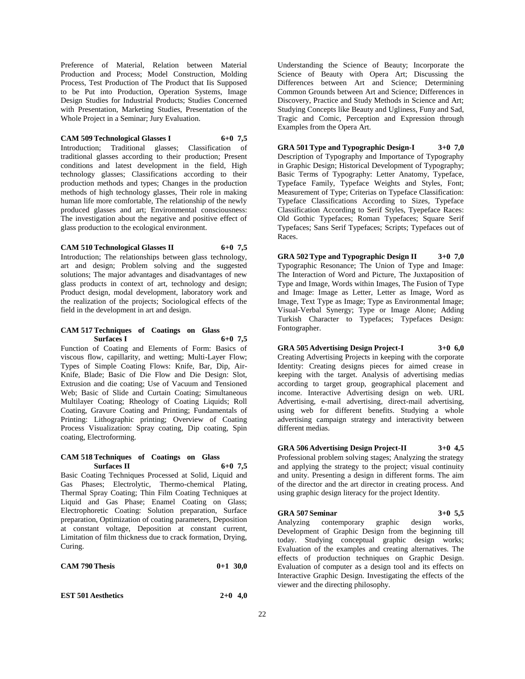Preference of Material, Relation between Material Production and Process; Model Construction, Molding Process, Test Production of The Product that Iis Supposed to be Put into Production, Operation Systems, Image Design Studies for Industrial Products; Studies Concerned with Presentation, Marketing Studies, Presentation of the Whole Project in a Seminar; Jury Evaluation.

### **CAM 509 Technological Glasses I 6+0 7,5**

Introduction; Traditional glasses; Classification of traditional glasses according to their production; Present conditions and latest development in the field, High technology glasses; Classifications according to their production methods and types; Changes in the production methods of high technology glasses, Their role in making human life more comfortable, The relationship of the newly produced glasses and art; Environmental consciousness: The investigation about the negative and positive effect of glass production to the ecological environment.

## **CAM 510 Technological Glasses II 6+0 7,5**

Introduction; The relationships between glass technology, art and design; Problem solving and the suggested solutions; The major advantages and disadvantages of new glass products in context of art, technology and design; Product design, modal development, laboratory work and the realization of the projects; Sociological effects of the field in the development in art and design.

### **CAM 517 Techniques of Coatings on Glass Surfaces I 6+0 7,5**

Function of Coating and Elements of Form: Basics of viscous flow, capillarity, and wetting; Multi-Layer Flow; Types of Simple Coating Flows: Knife, Bar, Dip, Air-Knife, Blade; Basic of Die Flow and Die Design: Slot, Extrusion and die coating; Use of Vacuum and Tensioned Web; Basic of Slide and Curtain Coating; Simultaneous Multilayer Coating; Rheology of Coating Liquids; Roll Coating, Gravure Coating and Printing; Fundamentals of Printing: Lithographic printing; Overview of Coating Process Visualization: Spray coating, Dip coating, Spin coating, Electroforming.

### **CAM 518 Techniques of Coatings on Glass Surfaces II 6+0 7,5**

Basic Coating Techniques Processed at Solid, Liquid and Gas Phases; Electrolytic, Thermo-chemical Plating, Thermal Spray Coating; Thin Film Coating Techniques at Liquid and Gas Phase; Enamel Coating on Glass; Electrophoretic Coating: Solution preparation, Surface preparation, Optimization of coating parameters, Deposition at constant voltage, Deposition at constant current, Limitation of film thickness due to crack formation, Drying, Curing.

| <b>CAM 790 Thesis</b> |  | $0+1$ 30,0 |
|-----------------------|--|------------|
|-----------------------|--|------------|

**EST 501 Aesthetics 2+0 4,0**

Understanding the Science of Beauty; Incorporate the Science of Beauty with Opera Art; Discussing the Differences between Art and Science; Determining Common Grounds between Art and Science; Differences in Discovery, Practice and Study Methods in Science and Art; Studying Concepts like Beauty and Ugliness, Funy and Sad, Tragic and Comic, Perception and Expression through Examples from the Opera Art.

**GRA 501 Type and Typographic Design-I 3+0 7,0** Description of Typography and Importance of Typography in Graphic Design; Historical Development of Typography; Basic Terms of Typography: Letter Anatomy, Typeface, Typeface Family, Typeface Weights and Styles, Font; Measurement of Type; Criterias on Typeface Classification: Typeface Classifications According to Sizes, Typeface Classification According to Serif Styles, Tyepeface Races: Old Gothic Typefaces; Roman Typefaces; Square Serif Typefaces; Sans Serif Typefaces; Scripts; Typefaces out of Races.

**GRA 502 Type and Typographic Design II 3+0 7,0** Typographic Resonance; The Union of Type and Image: The Interaction of Word and Picture, The Juxtaposition of Type and Image, Words within Images, The Fusion of Type and Image: Image as Letter, Letter as Image, Word as Image, Text Type as Image; Type as Environmental Image; Visual-Verbal Synergy; Type or Image Alone; Adding Turkish Character to Typefaces; Typefaces Design: Fontographer.

## **GRA 505 Advertising Design Project-I 3+0 6,0**

Creating Advertising Projects in keeping with the corporate Identity: Creating designs pieces for aimed crease in keeping with the target. Analysis of advertising medias according to target group, geographical placement and income. Interactive Advertising design on web. URL Advertising, e-mail advertising, direct-mail advertising, using web for different benefits. Studying a whole advertising campaign strategy and interactivity between different medias.

## **GRA 506 Advertising Design Project-II 3+0 4,5**

Professional problem solving stages; Analyzing the strategy and applying the strategy to the project; visual continuity and unity. Presenting a design in different forms. The aim of the director and the art director in creating process. And using graphic design literacy for the project Identity.

## **GRA 507 Seminar 3+0 5,5**

Analyzing contemporary graphic design works, Development of Graphic Design from the beginning till today. Studying conceptual graphic design works; Evaluation of the examples and creating alternatives. The effects of production techniques on Graphic Design. Evaluation of computer as a design tool and its effects on Interactive Graphic Design. Investigating the effects of the viewer and the directing philosophy.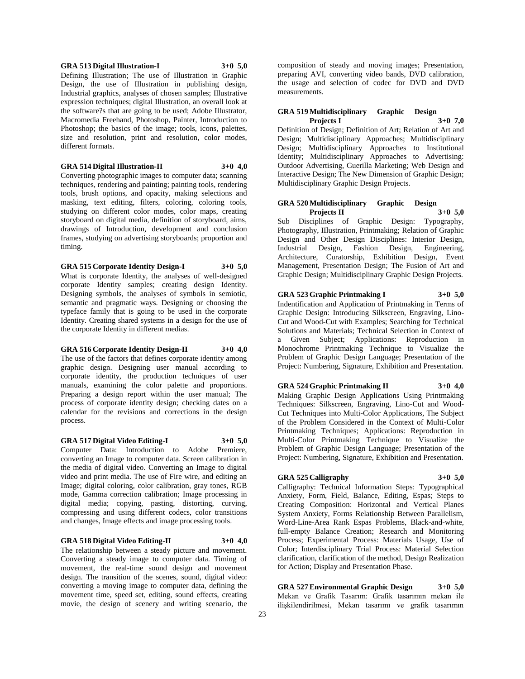### **GRA 513 Digital Illustration-I 3+0 5,0**

Defining Illustration; The use of Illustration in Graphic Design, the use of Illustration in publishing design, Industrial graphics, analyses of chosen samples; Illustrative expression techniques; digital Illustration, an overall look at the software?s that are going to be used; Adobe Illustrator, Macromedia Freehand, Photoshop, Painter, Introduction to Photoshop; the basics of the image; tools, icons, palettes, size and resolution, print and resolution, color modes, different formats.

### **GRA 514 Digital Illustration-II 3+0 4,0**

Converting photographic images to computer data; scanning techniques, rendering and painting; painting tools, rendering tools, brush options, and opacity, making selections and masking, text editing, filters, coloring, coloring tools, studying on different color modes, color maps, creating storyboard on digital media, definition of storyboard, aims, drawings of Introduction, development and conclusion frames, studying on advertising storyboards; proportion and timing.

### **GRA 515 Corporate Identity Design-I 3+0 5,0**

What is corporate Identity, the analyses of well-designed corporate Identity samples; creating design Identity. Designing symbols, the analyses of symbols in semiotic, semantic and pragmatic ways. Designing or choosing the typeface family that is going to be used in the corporate Identity. Creating shared systems in a design for the use of the corporate Identity in different medias.

## **GRA 516 Corporate Identity Design-II 3+0 4,0**

The use of the factors that defines corporate identity among graphic design. Designing user manual according to corporate identity, the production techniques of user manuals, examining the color palette and proportions. Preparing a design report within the user manual; The process of corporate identity design; checking dates on a calendar for the revisions and corrections in the design process.

### **GRA 517 Digital Video Editing-I 3+0 5,0**

Computer Data: Introduction to Adobe Premiere, converting an Image to computer data. Screen calibration in the media of digital video. Converting an Image to digital video and print media. The use of Fire wire, and editing an Image; digital coloring, color calibration, gray tones, RGB mode, Gamma correction calibration; Image processing in digital media; copying, pasting, distorting, curving, compressing and using different codecs, color transitions and changes, Image effects and image processing tools.

### **GRA 518 Digital Video Editing-II 3+0 4,0**

The relationship between a steady picture and movement. Converting a steady image to computer data. Timing of movement, the real-time sound design and movement design. The transition of the scenes, sound, digital video: converting a moving image to computer data, defining the movement time, speed set, editing, sound effects, creating movie, the design of scenery and writing scenario, the

composition of steady and moving images; Presentation, preparing AVI, converting video bands, DVD calibration, the usage and selection of codec for DVD and DVD measurements.

### **GRA 519 Multidisciplinary Graphic Design Projects I 3+0 7,0**

Definition of Design; Definition of Art; Relation of Art and Design; Multidisciplinary Approaches; Multidisciplinary Design; Multidisciplinary Approaches to Institutional Identity; Multidisciplinary Approaches to Advertising: Outdoor Advertising, Guerilla Marketing; Web Design and Interactive Design; The New Dimension of Graphic Design; Multidisciplinary Graphic Design Projects.

### **GRA 520 Multidisciplinary Graphic Design Projects II 3+0 5,0**

Sub Disciplines of Graphic Design: Typography, Photography, IIlustration, Printmaking; Relation of Graphic Design and Other Design Disciplines: Interior Design, Industrial Design, Fashion Design, Engineering, Architecture, Curatorship, Exhibition Design, Event Management, Presentation Design; The Fusion of Art and Graphic Design; Multidisciplinary Graphic Design Projects.

## **GRA 523 Graphic Printmaking I 3+0 5,0**

Indentification and Application of Printmaking in Terms of Graphic Design: Introducing Silkscreen, Engraving, Lino-Cut and Wood-Cut with Examples; Searching for Technical Solutions and Materials; Technical Selection in Context of a Given Subject; Applications: Reproduction in Monochrome Printmaking Technique to Visualize the Problem of Graphic Design Language; Presentation of the Project: Numbering, Signature, Exhibition and Presentation.

## **GRA 524 Graphic Printmaking II 3+0 4,0**

Making Graphic Design Applications Using Printmaking Techniques: Silkscreen, Engraving, Lino-Cut and Wood-Cut Techniques into Multi-Color Applications, The Subject of the Problem Considered in the Context of Multi-Color Printmaking Techniques; Applications: Reproduction in Multi-Color Printmaking Technique to Visualize the Problem of Graphic Design Language; Presentation of the Project: Numbering, Signature, Exhibition and Presentation.

### **GRA 525 Calligraphy 3+0 5,0**

Calligraphy: Technical Information Steps: Typographical Anxiety, Form, Field, Balance, Editing, Espas; Steps to Creating Composition: Horizontal and Vertical Planes System Anxiety, Forms Relationship Between Parallelism, Word-Line-Area Rank Espas Problems, Black-and-white, full-empty Balance Creation; Research and Monitoring Process; Experimental Process: Materials Usage, Use of Color; Interdisciplinary Trial Process: Material Selection clarification, clarification of the method, Design Realization for Action; Display and Presentation Phase.

# **GRA 527 Environmental Graphic Design 3+0 5,0**

Mekan ve Grafik Tasarım: Grafik tasarımın mekan ile ilişkilendirilmesi, Mekan tasarımı ve grafik tasarımın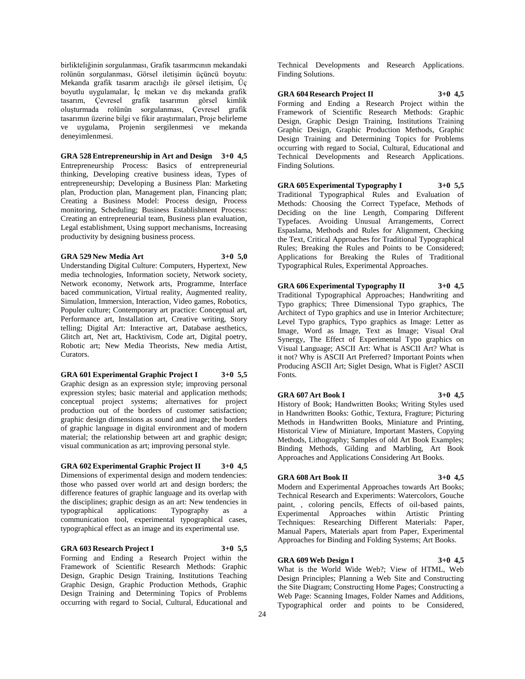birlikteliğinin sorgulanması, Grafik tasarımcının mekandaki rolünün sorgulanması, Görsel iletişimin üçüncü boyutu: Mekanda grafik tasarım aracılığı ile görsel iletişim, Üç boyutlu uygulamalar, İç mekan ve dış mekanda grafik tasarım, Çevresel grafik tasarımın görsel kimlik oluşturmada rolünün sorgulanması, Çevresel grafik tasarımın üzerine bilgi ve fikir araştırmaları, Proje belirleme ve uygulama, Projenin sergilenmesi ve mekanda deneyimlenmesi.

**GRA 528 Entrepreneurship in Art and Design 3+0 4,5** Entrepreneurship Process: Basics of entrepreneurial thinking, Developing creative business ideas, Types of entrepreneurship; Developing a Business Plan: Marketing plan, Production plan, Management plan, Financing plan; Creating a Business Model: Process design, Process monitoring, Scheduling; Business Establishment Process: Creating an entrepreneurial team, Business plan evaluation, Legal establishment, Using support mechanisms, Increasing productivity by designing business process.

### **GRA 529 New Media Art 3+0 5,0**

Understanding Digital Culture: Computers, Hypertext, New media technologies, Information society, Network society, Network economy, Network arts, Programme, Interface baced communication, Virtual reality, Augmented reality, Simulation, Immersion, Interaction, Video games, Robotics, Populer culture; Contemporary art practice: Conceptual art, Performance art, Installation art, Creative writing, Story telling; Digital Art: Interactive art, Database aesthetics, Glitch art, Net art, Hacktivism, Code art, Digital poetry, Robotic art; New Media Theorists, New media Artist, Curators.

## **GRA 601 Experimental Graphic Project I 3+0 5,5**

Graphic design as an expression style; improving personal expression styles; basic material and application methods; conceptual project systems; alternatives for project production out of the borders of customer satisfaction; graphic design dimensions as sound and image; the borders of graphic language in digital environment and of modern material; the relationship between art and graphic design; visual communication as art; improving personal style.

## **GRA 602 Experimental Graphic Project II 3+0 4,5**

Dimensions of experimental design and modern tendencies: those who passed over world art and design borders; the difference features of graphic language and its overlap with the disciplines; graphic design as an art: New tendencies in typographical applications: Typography as a communication tool, experimental typographical cases, typographical effect as an image and its experimental use.

### **GRA 603 Research Project I 3+0 5,5**

Forming and Ending a Research Project within the Framework of Scientific Research Methods: Graphic Design, Graphic Design Training, Institutions Teaching Graphic Design, Graphic Production Methods, Graphic Design Training and Determining Topics of Problems occurring with regard to Social, Cultural, Educational and

Technical Developments and Research Applications. Finding Solutions.

**GRA 604 Research Project II 3+0 4,5** Forming and Ending a Research Project within the Framework of Scientific Research Methods: Graphic Design, Graphic Design Training, Institutions Training Graphic Design, Graphic Production Methods, Graphic Design Training and Determining Topics for Problems occurring with regard to Social, Cultural, Educational and Technical Developments and Research Applications. Finding Solutions.

**GRA 605 Experimental Typography I 3+0 5,5** Traditional Typographical Rules and Evaluation of Methods: Choosing the Correct Typeface, Methods of Deciding on the line Length, Comparing Different Typefaces. Avoiding Unusual Arrangements, Correct Espaslama, Methods and Rules for Alignment, Checking the Text, Critical Approaches for Traditional Typographical Rules; Breaking the Rules and Points to be Considered; Applications for Breaking the Rules of Traditional Typographical Rules, Experimental Approaches.

**GRA 606 Experimental Typography II 3+0 4,5** Traditional Typographical Approaches; Handwriting and Typo graphics; Three Dimensional Typo graphics, The Architect of Typo graphics and use in Interior Architecture; Level Typo graphics, Typo graphics as Image: Letter as Image, Word as Image, Text as Image; Visual Oral Synergy, The Effect of Experimental Typo graphics on Visual Language; ASCII Art: What is ASCII Art? What is it not? Why is ASCII Art Preferred? Important Points when Producing ASCII Art; Siglet Design, What is Figlet? ASCII Fonts.

## **GRA 607 Art Book I 3+0 4,5**

History of Book; Handwritten Books; Writing Styles used in Handwritten Books: Gothic, Textura, Fragture; Picturing Methods in Handwritten Books, Miniature and Printing, Historical View of Miniature, Important Masters, Copying Methods, Lithography; Samples of old Art Book Examples; Binding Methods, Gilding and Marbling, Art Book Approaches and Applications Considering Art Books.

### **GRA 608 Art Book II 3+0 4,5**

Modern and Experimental Approaches towards Art Books; Technical Research and Experiments: Watercolors, Gouche paint, , coloring pencils, Effects of oil-based paints, Experimental Approaches within Artistic Printing Techniques: Researching Different Materials: Paper, Manual Papers, Materials apart from Paper, Experimental Approaches for Binding and Folding Systems; Art Books.

## **GRA 609 Web Design I 3+0 4,5**

What is the World Wide Web?; View of HTML, Web Design Principles; Planning a Web Site and Constructing the Site Diagram; Constructing Home Pages; Constructing a Web Page: Scanning Images, Folder Names and Additions, Typographical order and points to be Considered,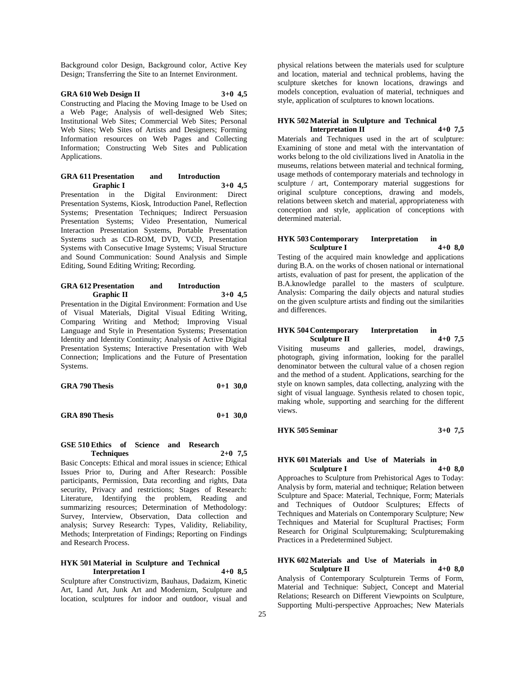Background color Design, Background color, Active Key Design; Transferring the Site to an Internet Environment.

## **GRA 610 Web Design II 3+0 4,5**

Constructing and Placing the Moving Image to be Used on a Web Page; Analysis of well-designed Web Sites; Institutional Web Sites; Commercial Web Sites; Personal Web Sites; Web Sites of Artists and Designers; Forming Information resources on Web Pages and Collecting Information; Constructing Web Sites and Publication Applications.

## **GRA 611 Presentation and Introduction Graphic I 3+0 4,5**

Presentation in the Digital Environment: Direct Presentation Systems, Kiosk, Introduction Panel, Reflection Systems; Presentation Techniques; Indirect Persuasion Presentation Systems; Video Presentation, Numerical Interaction Presentation Systems, Portable Presentation Systems such as CD-ROM, DVD, VCD, Presentation Systems with Consecutive Image Systems; Visual Structure and Sound Communication: Sound Analysis and Simple Editing, Sound Editing Writing; Recording.

### **GRA 612 Presentation and Introduction Graphic II 3+0 4,5**

Presentation in the Digital Environment: Formation and Use of Visual Materials, Digital Visual Editing Writing, Comparing Writing and Method; Improving Visual Language and Style in Presentation Systems; Presentation Identity and Identity Continuity; Analysis of Active Digital Presentation Systems; Interactive Presentation with Web Connection; Implications and the Future of Presentation Systems.

| <b>GRA 790 Thesis</b> | $0+1$ 30,0 |  |
|-----------------------|------------|--|
|                       |            |  |

**GRA 890 Thesis 0+1 30,0**

### **GSE 510 Ethics of Science and Research Techniques 2+0 7,5**

Basic Concepts: Ethical and moral issues in science; Ethical Issues Prior to, During and After Research: Possible participants, Permission, Data recording and rights, Data security, Privacy and restrictions; Stages of Research: Literature, Identifying the problem, Reading and summarizing resources; Determination of Methodology: Survey, Interview, Observation, Data collection and analysis; Survey Research: Types, Validity, Reliability, Methods; Interpretation of Findings; Reporting on Findings and Research Process.

### **HYK 501 Material in Sculpture and Technical Interpretation I 4+0 8,5**

Sculpture after Constructivizm, Bauhaus, Dadaizm, Kinetic Art, Land Art, Junk Art and Modernizm, Sculpture and location, sculptures for indoor and outdoor, visual and

physical relations between the materials used for sculpture and location, material and technical problems, having the sculpture sketches for known locations, drawings and models conception, evaluation of material, techniques and style, application of sculptures to known locations.

### **HYK 502 Material in Sculpture and Technical Interpretation II**

Materials and Techniques used in the art of sculpture: Examining of stone and metal with the intervantation of works belong to the old civilizations lived in Anatolia in the museums, relations between material and technical forming, usage methods of contemporary materials and technology in sculpture / art, Contemporary material suggestions for original sculpture conceptions, drawing and models, relations between sketch and material, appropriateness with conception and style, application of conceptions with determined material.

### **HYK 503 Contemporary Interpretation in Sculpture I 4+0 8,0**

Testing of the acquired main knowledge and applications during B.A. on the works of chosen national or international artists, evaluation of past for present, the application of the B.A.knowledge parallel to the masters of sculpture. Analysis: Comparing the daily objects and natural studies on the given sculpture artists and finding out the similarities and differences.

### **HYK 504 Contemporary Interpretation in Sculpture II**

Visiting museums and galleries, model, drawings, photograph, giving information, looking for the parallel denominator between the cultural value of a chosen region and the method of a student. Applications, searching for the style on known samples, data collecting, analyzing with the sight of visual language. Synthesis related to chosen topic, making whole, supporting and searching for the different views.

### **HYK 505 Seminar 3+0 7,5**

## **HYK 601 Materials and Use of Materials in Sculpture I 4+0 8,0**

Approaches to Sculpture from Prehistorical Ages to Today: Analysis by form, material and technique; Relation between Sculpture and Space: Material, Technique, Form; Materials and Techniques of Outdoor Sculptures; Effects of Techniques and Materials on Contemporary Sculpture; New Techniques and Material for Scupltural Practises; Form Research for Original Sculpturemaking; Sculpturemaking Practices in a Predetermined Subject.

## **HYK 602 Materials and Use of Materials in Sculpture II**

Analysis of Contemporary Sculpturein Terms of Form, Material and Technique: Subject, Concept and Material Relations; Research on Different Viewpoints on Sculpture, Supporting Multi-perspective Approaches; New Materials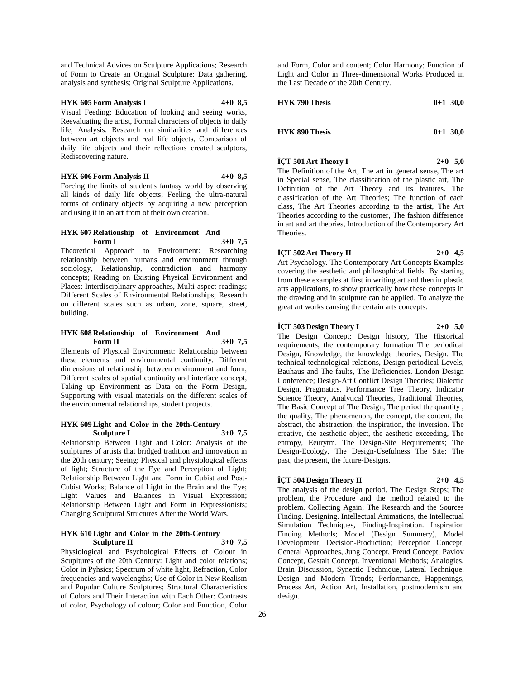and Technical Advices on Sculpture Applications; Research of Form to Create an Original Sculpture: Data gathering, analysis and synthesis; Original Sculpture Applications.

## **HYK 605 Form Analysis I 4+0 8,5**

Visual Feeding: Education of looking and seeing works, Reevaluating the artist, Formal characters of objects in daily life; Analysis: Research on similarities and differences between art objects and real life objects, Comparison of daily life objects and their reflections created sculptors, Rediscovering nature.

### **HYK 606 Form Analysis II 4+0 8,5**

Forcing the limits of student's fantasy world by observing all kinds of daily life objects; Feeling the ultra-natural forms of ordinary objects by acquiring a new perception and using it in an art from of their own creation.

## **HYK 607 Relationship of Environment And Form I 3+0 7,5**

Theoretical Approach to Environment: Researching relationship between humans and environment through sociology, Relationship, contradiction and harmony concepts; Reading on Existing Physical Environment and Places: Interdisciplinary approaches, Multi-aspect readings; Different Scales of Environmental Relationships; Research on different scales such as urban, zone, square, street, building.

### **HYK 608 Relationship of Environment And Form II 3+0 7,5**

Elements of Physical Environment: Relationship between these elements and environmental continuity, Different dimensions of relationship between environment and form, Different scales of spatial continuity and interface concept, Taking up Environment as Data on the Form Design, Supporting with visual materials on the different scales of the environmental relationships, student projects.

### **HYK 609 Light and Color in the 20th-Century Sculpture I 3+0 7,5**

Relationship Between Light and Color: Analysis of the sculptures of artists that bridged tradition and innovation in the 20th century; Seeing: Physical and physiological effects of light; Structure of the Eye and Perception of Light; Relationship Between Light and Form in Cubist and Post-Cubist Works; Balance of Light in the Brain and the Eye; Light Values and Balances in Visual Expression; Relationship Between Light and Form in Expressionists; Changing Sculptural Structures After the World Wars.

### **HYK 610 Light and Color in the 20th-Century Sculpture II**

Physiological and Psychological Effects of Colour in Scupltures of the 20th Century: Light and color relations; Color in Pyhsics; Spectrum of white light, Refraction, Color frequencies and wavelengths; Use of Color in New Realism and Popular Culture Sculptures; Structural Characteristics of Colors and Their Interaction with Each Other: Contrasts of color, Psychology of colour; Color and Function, Color

and Form, Color and content; Color Harmony; Function of Light and Color in Three-dimensional Works Produced in the Last Decade of the 20th Century.

| HYK 790 Thesis |  | $0+1$ 30,0 |
|----------------|--|------------|
|----------------|--|------------|

| <b>HYK 890 Thesis</b><br>$0+1$ 30,0 |  |  |  |
|-------------------------------------|--|--|--|
|-------------------------------------|--|--|--|

## **İÇT 501 Art Theory I 2+0 5,0**

The Definition of the Art, The art in general sense, The art in Special sense, The classification of the plastic art, The Definition of the Art Theory and its features. The classification of the Art Theories; The function of each class, The Art Theories according to the artist, The Art Theories according to the customer, The fashion difference in art and art theories, Introduction of the Contemporary Art Theories.

**İÇT 502 Art Theory II 2+0 4,5**

Art Psychology. The Contemporary Art Concepts Examples covering the aesthetic and philosophical fields. By starting from these examples at first in writing art and then in plastic arts applications, to show practically how these concepts in the drawing and in sculpture can be applied. To analyze the great art works causing the certain arts concepts.

## **İÇT 503 Design Theory I 2+0 5,0**

The Design Concept; Design history, The Historical requirements, the contemporary formation The periodical Design, Knowledge, the knowledge theories, Design. The technical-technological relations, Design periodical Levels, Bauhaus and The faults, The Deficiencies. London Design Conference; Design-Art Conflict Design Theories; Dialectic Design, Pragmatics, Performance Tree Theory, Indicator Science Theory, Analytical Theories, Traditional Theories, The Basic Concept of The Design; The period the quantity , the quality, The phenomenon, the concept, the content, the abstract, the abstraction, the inspiration, the inversion. The creative, the aesthetic object, the aesthetic exceeding, The entropy, Eeurytm. The Design-Site Requirements; The Design-Ecology, The Design-Usefulness The Site; The past, the present, the future-Designs.

### **İÇT 504 Design Theory II 2+0 4,5**

The analysis of the design period. The Design Steps; The problem, the Procedure and the method related to the problem. Collecting Again; The Research and the Sources Finding. Designing. Intellectual Animations, the Intellectual Simulation Techniques, Finding-Inspiration. Inspiration Finding Methods; Model (Design Summery), Model Development, Decision-Production; Perception Concept, General Approaches, Jung Concept, Freud Concept, Pavlov Concept, Gestalt Concept. Inventional Methods; Analogies, Brain Discussion, Synectic Technique, Lateral Technique. Design and Modern Trends; Performance, Happenings, Process Art, Action Art, Installation, postmodernism and design.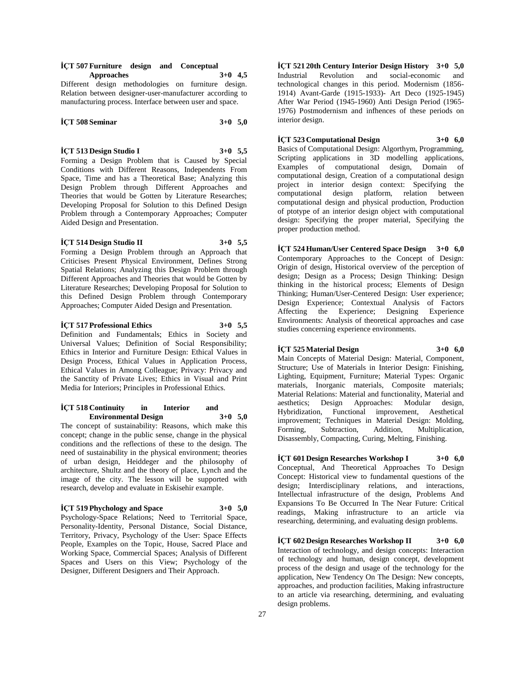### **İÇT 507 Furniture design and Conceptual Approaches 3+0 4,5**

Different design methodologies on furniture design. Relation between designer-user-manufacturer according to manufacturing process. Interface between user and space.

## **İÇT 508 Seminar 3+0 5,0**

**İÇT 513 Design Studio I 3+0 5,5**

Forming a Design Problem that is Caused by Special Conditions with Different Reasons, Independents From Space, Time and has a Theoretical Base; Analyzing this Design Problem through Different Approaches and Theories that would be Gotten by Literature Researches; Developing Proposal for Solution to this Defined Design Problem through a Contemporary Approaches; Computer Aided Design and Presentation.

### **İÇT 514 Design Studio II 3+0 5,5**

Forming a Design Problem through an Approach that Criticises Present Physical Environment, Defines Strong Spatial Relations; Analyzing this Design Problem through Different Approaches and Theories that would be Gotten by Literature Researches; Developing Proposal for Solution to this Defined Design Problem through Contemporary Approaches; Computer Aided Design and Presentation.

**İÇT 517 Professional Ethics 3+0 5,5** Definition and Fundamentals; Ethics in Society and Universal Values; Definition of Social Responsibility; Ethics in Interior and Furniture Design: Ethical Values in Design Process, Ethical Values in Application Process, Ethical Values in Among Colleague; Privacy: Privacy and the Sanctity of Private Lives; Ethics in Visual and Print Media for Interiors; Principles in Professional Ethics.

### **İÇT 518 Continuity in Interior and Environmental Design 3+0 5,0**

The concept of sustainability: Reasons, which make this concept; change in the public sense, change in the physical conditions and the reflections of these to the design. The need of sustainability in the physical environment; theories of urban design, Heiddeger and the philosophy of architecture, Shultz and the theory of place, Lynch and the image of the city. The lesson will be supported with research, develop and evaluate in Eskisehir example.

## **İÇT 519 Phychology and Space 3+0 5,0**

Psychology-Space Relations; Need to Territorial Space, Personality-Identity, Personal Distance, Social Distance, Territory, Privacy, Psychology of the User: Space Effects People, Examples on the Topic, House, Sacred Place and Working Space, Commercial Spaces; Analysis of Different Spaces and Users on this View; Psychology of the Designer, Different Designers and Their Approach.

**İÇT 521 20th Century Interior Design History 3+0 5,0** Industrial Revolution and social-economic and technological changes in this period. Modernism (1856- 1914) Avant-Garde (1915-1933)- Art Deco (1925-1945) After War Period (1945-1960) Anti Design Period (1965- 1976) Postmodernism and infhences of these periods on interior design.

**İÇT 523 Computational Design 3+0 6,0** Basics of Computational Design: Algorthym, Programming, Scripting applications in 3D modelling applications, Examples of computational design, Domain of computational design, Creation of a computational design project in interior design context: Specifying the computational design platform, relation between computational design and physical production, Production of ptotype of an interior design object with computational design: Specifying the proper material, Specifying the proper production method.

**İÇT 524 Human/User Centered Space Design 3+0 6,0** Contemporary Approaches to the Concept of Design: Origin of design, Historical overview of the perception of design; Design as a Process; Design Thinking: Design thinking in the historical process; Elements of Design Thinking; Human/User-Centered Design: User experience; Design Experience; Contextual Analysis of Factors Affecting the Experience; Designing Experience Environments: Analysis of theoretical approaches and case studies concerning experience environments.

## **İÇT 525 Material Design 3+0 6,0**

Main Concepts of Material Design: Material, Component, Structure; Use of Materials in Interior Design: Finishing, Lighting, Equipment, Furniture; Material Types: Organic materials, Inorganic materials, Composite materials; Material Relations: Material and functionality, Material and aesthetics; Design Approaches: Modular design, Hybridization, Functional improvement, Aesthetical improvement; Techniques in Material Design: Molding, Forming, Subtraction, Addition, Multiplication, Disassembly, Compacting, Curing, Melting, Finishing.

**İÇT 601 Design Researches Workshop I 3+0 6,0** Conceptual, And Theoretical Approaches To Design Concept: Historical view to fundamental questions of the design; Interdisciplinary relations, and interactions, Intellectual infrastructure of the design, Problems And Expansions To Be Occurred In The Near Future: Critical readings, Making infrastructure to an article via researching, determining, and evaluating design problems.

**İÇT 602 Design Researches Workshop II 3+0 6,0** Interaction of technology, and design concepts: Interaction of technology and human, design concept, development process of the design and usage of the technology for the application, New Tendency On The Design: New concepts, approaches, and production facilities, Making infrastructure to an article via researching, determining, and evaluating design problems.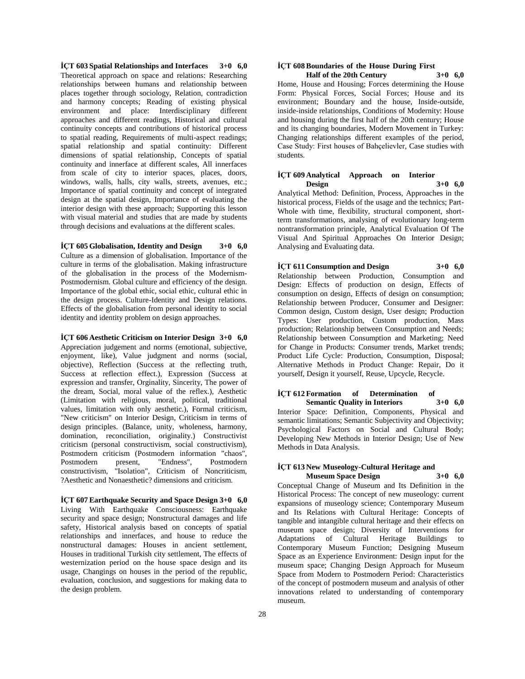**İÇT 603 Spatial Relationships and Interfaces 3+0 6,0** Theoretical approach on space and relations: Researching relationships between humans and relationship between places together through sociology, Relation, contradiction and harmony concepts; Reading of existing physical environment and place: Interdisciplinary different approaches and different readings, Historical and cultural continuity concepts and contributions of historical process to spatial reading, Requirements of multi-aspect readings; spatial relationship and spatial continuity: Different dimensions of spatial relationship, Concepts of spatial continuity and innerface at different scales, All innerfaces from scale of city to interior spaces, places, doors, windows, walls, halls, city walls, streets, avenues, etc.; Importance of spatial continuity and concept of integrated design at the spatial design, Importance of evaluating the interior design with these approach; Supporting this lesson with visual material and studies that are made by students through decisions and evaluations at the different scales.

**İÇT 605 Globalisation, Identity and Design 3+0 6,0** Culture as a dimension of globalisation. Importance of the culture in terms of the globalisation. Making infrastructure of the globalisation in the process of the Modernism-Postmodernism. Global culture and efficiency of the design. Importance of the global ethic, social ethic, cultural ethic in the design process. Culture-Identity and Design relations. Effects of the globalisation from personal identity to social identity and identity problem on design approaches.

**İÇT 606 Aesthetic Criticism on Interior Design 3+0 6,0** Appreciation judgement and norms (emotional, subjective, enjoyment, like), Value judgment and norms (social, objective), Reflection (Success at the reflecting truth, Success at reflection effect.), Expression (Success at expression and transfer, Orginality, Sincerity, The power of the dream, Social, moral value of the reflex.), Aesthetic (Limitation with religious, moral, political, traditional values, limitation with only aesthetic.), Formal criticism, "New criticism" on Interior Design, Criticism in terms of design principles. (Balance, unity, wholeness, harmony, domination, reconciliation, originality.) Constructivist criticism (personal constructivism, social constructivism), Postmodern criticism (Postmodern information "chaos", Postmodern present, "Endness", Postmodern constructivism, "Isolation", Criticism of Noncriticism, ?Aesthetic and Nonaesthetic? dimensions and criticism.

**İÇT 607 Earthquake Security and Space Design 3+0 6,0** Living With Earthquake Consciousness: Earthquake security and space design; Nonstructural damages and life safety, Historical analysis based on concepts of spatial relationships and innerfaces, and house to reduce the nonstructural damages: Houses in ancient settlement, Houses in traditional Turkish city settlement, The effects of westernization period on the house space design and its usage, Changings on houses in the period of the republic, evaluation, conclusion, and suggestions for making data to the design problem.

### **İÇT 608 Boundaries of the House During First Half of the 20th Century 3+0 6,0**

Home, House and Housing; Forces determining the House Form: Physical Forces, Social Forces; House and its environment; Boundary and the house, Inside-outside, inside-inside relationships, Conditions of Modernity: House and housing during the first half of the 20th century; House and its changing boundaries, Modern Movement in Turkey: Changing relationships different examples of the period, Case Study: First houses of Bahçelievler, Case studies with students.

### **İÇT 609 Analytical Approach on Interior Design 3+0 6,0**

Analytical Method: Definition, Process, Approaches in the historical process, Fields of the usage and the technics; Part-Whole with time, flexibility, structural component, shortterm transformations, analysing of evolutionary long-term nontransformation principle, Analytical Evaluation Of The Visual And Spiritual Approaches On Interior Design; Analysing and Evaluating data.

**İÇT 611 Consumption and Design 3+0 6,0** Relationship between Production, Consumption and Design: Effects of production on design, Effects of consumption on design, Effects of design on consumption; Relationship between Producer, Consumer and Designer: Common design, Custom design, User design; Production Types: User production, Custom production, Mass production; Relationship between Consumption and Needs; Relationship between Consumption and Marketing; Need for Change in Products: Consumer trends, Market trends; Product Life Cycle: Production, Consumption, Disposal; Alternative Methods in Product Change: Repair, Do it yourself, Design it yourself, Reuse, Upcycle, Recycle.

### **İÇT 612 Formation of Determination of Semantic Quality in Interiors 3+0 6,0**

Interior Space: Definition, Components, Physical and semantic limitations; Semantic Subjectivity and Objectivity; Psychological Factors on Social and Cultural Body; Developing New Methods in Interior Design; Use of New Methods in Data Analysis.

## **İÇT 613 New Museology-Cultural Heritage and Museum Space Design 3+0 6,0**

Conceptual Change of Museum and Its Definition in the Historical Process: The concept of new museology: current expansions of museology science; Contemporary Museum and Its Relations with Cultural Heritage: Concepts of tangible and intangible cultural heritage and their effects on museum space design; Diversity of Interventions for Adaptations of Cultural Heritage Buildings to Contemporary Museum Function; Designing Museum Space as an Experience Environment: Design input for the museum space; Changing Design Approach for Museum Space from Modern to Postmodern Period: Characteristics of the concept of postmodern museum and analysis of other innovations related to understanding of contemporary museum.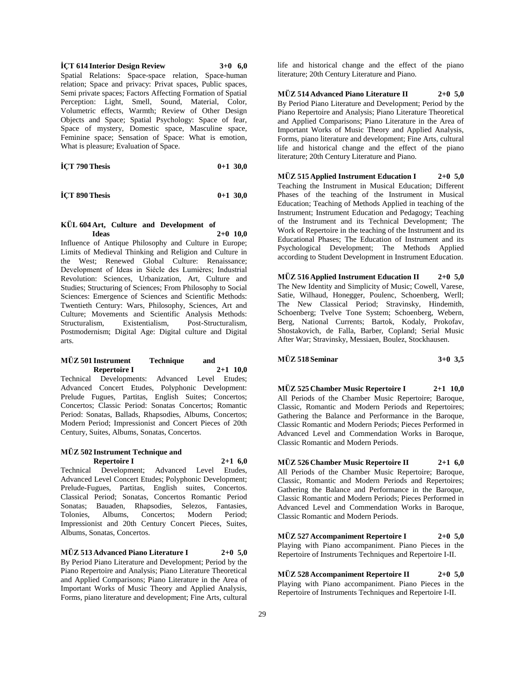**İÇT 614 Interior Design Review 3+0 6,0** Spatial Relations: Space-space relation, Space-human relation; Space and privacy: Privat spaces, Public spaces, Semi private spaces; Factors Affecting Formation of Spatial Perception: Light, Smell, Sound, Material, Color, Volumetric effects, Warmth; Review of Other Design Objects and Space; Spatial Psychology: Space of fear, Space of mystery, Domestic space, Masculine space, Feminine space; Sensation of Space: What is emotion, What is pleasure; Evaluation of Space.

| <b>ICT 790 Thesis</b> | $0+1$ 30,0 |  |
|-----------------------|------------|--|
|-----------------------|------------|--|

| ICT 890 Thesis |  | $0+1$ 30,0 |
|----------------|--|------------|
|----------------|--|------------|

### **KÜL 604 Art, Culture and Development of Ideas 2+0 10,0**

Influence of Antique Philosophy and Culture in Europe; Limits of Medieval Thinking and Religion and Culture in the West; Renewed Global Culture: Renaissance; Development of Ideas in Siécle des Lumières; Industrial Revolution: Sciences, Urbanization, Art, Culture and Studies; Structuring of Sciences; From Philosophy to Social Sciences: Emergence of Sciences and Scientific Methods: Twentieth Century: Wars, Philosophy, Sciences, Art and Culture; Movements and Scientific Analysis Methods: Structuralism, Existentialism, Post-Structuralism, Postmodernism; Digital Age: Digital culture and Digital arts.

### **MÜZ 501 Instrument Technique and Repertoire I 2+1 10,0**

Technical Developments: Advanced Level Etudes; Advanced Concert Etudes, Polyphonic Development: Prelude Fugues, Partitas, English Suites; Concertos; Concertos; Classic Period: Sonatas Concertos; Romantic Period: Sonatas, Ballads, Rhapsodies, Albums, Concertos; Modern Period; Impressionist and Concert Pieces of 20th Century, Suites, Albums, Sonatas, Concertos.

### **MÜZ 502 Instrument Technique and Repertoire I 2+1 6,0**

Technical Development; Advanced Level Etudes, Advanced Level Concert Etudes; Polyphonic Development; Prelude-Fugues, Partitas, English suites, Concertos. Classical Period; Sonatas, Concertos Romantic Period Sonatas; Bauaden, Rhapsodies, Selezos, Fantasies, Tolonies, Albums, Concertos; Modern Period; Impressionist and 20th Century Concert Pieces, Suites, Albums, Sonatas, Concertos.

**MÜZ 513 Advanced Piano Literature I 2+0 5,0** By Period Piano Literature and Development; Period by the Piano Repertoire and Analysis; Piano Literature Theoretical and Applied Comparisons; Piano Literature in the Area of Important Works of Music Theory and Applied Analysis, Forms, piano literature and development; Fine Arts, cultural

life and historical change and the effect of the piano literature; 20th Century Literature and Piano.

**MÜZ 514 Advanced Piano Literature II 2+0 5,0** By Period Piano Literature and Development; Period by the Piano Repertoire and Analysis; Piano Literature Theoretical and Applied Comparisons; Piano Literature in the Area of Important Works of Music Theory and Applied Analysis, Forms, piano literature and development; Fine Arts, cultural life and historical change and the effect of the piano literature; 20th Century Literature and Piano.

**MÜZ 515 Applied Instrument Education I 2+0 5,0** Teaching the Instrument in Musical Education; Different Phases of the teaching of the Instrument in Musical Education; Teaching of Methods Applied in teaching of the Instrument; Instrument Education and Pedagogy; Teaching of the Instrument and its Technical Development; The Work of Repertoire in the teaching of the Instrument and its Educational Phases; The Education of Instrument and its Psychological Development; The Methods Applied according to Student Development in Instrument Education.

**MÜZ 516 Applied Instrument Education II 2+0 5,0** The New Identity and Simplicity of Music; Cowell, Varese, Satie, Wilhaud, Honegger, Poulenc, Schoenberg, Werll; The New Classical Period; Stravinsky, Hindemith, Schoenberg; Tvelve Tone System; Schoenberg, Webern, Berg, National Currents; Bartok, Kodaly, Prokofav, Shostakovich, de Falla, Barber, Copland; Serial Music After War; Stravinsky, Messiaen, Boulez, Stockhausen.

### **MÜZ 518 Seminar 3+0 3,5**

**MÜZ 525 Chamber Music Repertoire I 2+1 10,0** All Periods of the Chamber Music Repertoire; Baroque, Classic, Romantic and Modern Periods and Repertoires; Gathering the Balance and Performance in the Baroque, Classic Romantic and Modern Periods; Pieces Performed in Advanced Level and Commendation Works in Baroque, Classic Romantic and Modern Periods.

**MÜZ 526 Chamber Music Repertoire II 2+1 6,0** All Periods of the Chamber Music Repertoire; Baroque, Classic, Romantic and Modern Periods and Repertoires; Gathering the Balance and Performance in the Baroque, Classic Romantic and Modern Periods; Pieces Performed in Advanced Level and Commendation Works in Baroque, Classic Romantic and Modern Periods.

**MÜZ 527 Accompaniment Repertoire I 2+0 5,0** Playing with Piano accompaniment. Piano Pieces in the Repertoire of Instruments Techniques and Repertoire I-II.

**MÜZ 528 Accompaniment Repertoire II 2+0 5,0** Playing with Piano accompaniment. Piano Pieces in the Repertoire of Instruments Techniques and Repertoire I-II.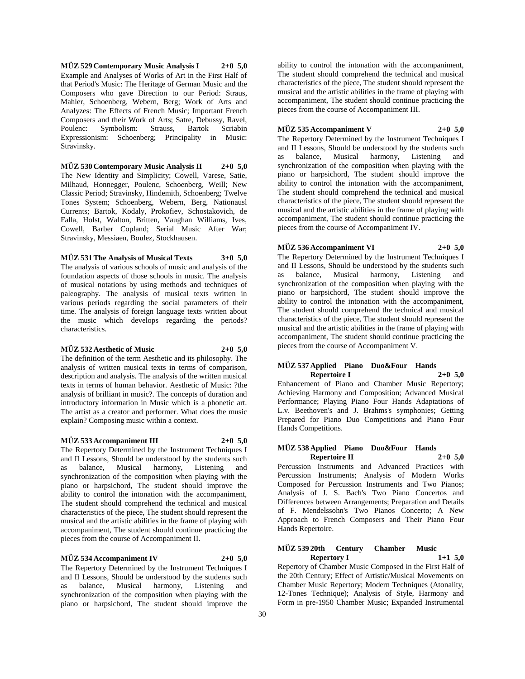**MÜZ 529 Contemporary Music Analysis I 2+0 5,0** Example and Analyses of Works of Art in the First Half of that Period's Music: The Heritage of German Music and the Composers who gave Direction to our Period: Straus, Mahler, Schoenberg, Webern, Berg; Work of Arts and Analyzes: The Effects of French Music; Important French Composers and their Work of Arts; Satre, Debussy, Ravel, Poulenc: Symbolism: Strauss, Bartok Scriabin Expressionism: Schoenberg; Principality in Music: Stravinsky.

**MÜZ 530 Contemporary Music Analysis II 2+0 5,0** The New Identity and Simplicity; Cowell, Varese, Satie, Milhaud, Honnegger, Poulenc, Schoenberg, Weill; New Classic Period; Stravinsky, Hindemith, Schoenberg; Twelve Tones System; Schoenberg, Webern, Berg, Nationausl Currents; Bartok, Kodaly, Prokofiev, Schostakovich, de Falla, Holst, Walton, Britten, Vaughan Williams, Ives, Cowell, Barber Copland; Serial Music After War; Stravinsky, Messiaen, Boulez, Stockhausen.

### **MÜZ 531 The Analysis of Musical Texts 3+0 5,0**

The analysis of various schools of music and analysis of the foundation aspects of those schools in music. The analysis of musical notations by using methods and techniques of paleography. The analysis of musical texts written in various periods regarding the social parameters of their time. The analysis of foreign language texts written about the music which develops regarding the periods? characteristics.

## **MÜZ 532 Aesthetic of Music 2+0 5,0**

The definition of the term Aesthetic and its philosophy. The analysis of written musical texts in terms of comparison, description and analysis. The analysis of the written musical texts in terms of human behavior. Aesthetic of Music: ?the analysis of brilliant in music?. The concepts of duration and introductory information in Music which is a phonetic art. The artist as a creator and performer. What does the music explain? Composing music within a context.

### **MÜZ 533 Accompaniment III 2+0 5,0**

The Repertory Determined by the Instrument Techniques I and II Lessons, Should be understood by the students such as balance, Musical harmony, Listening and synchronization of the composition when playing with the piano or harpsichord, The student should improve the ability to control the intonation with the accompaniment, The student should comprehend the technical and musical characteristics of the piece, The student should represent the musical and the artistic abilities in the frame of playing with accompaniment, The student should continue practicing the pieces from the course of Accompaniment II.

### **MÜZ 534 Accompaniment IV 2+0 5,0**

The Repertory Determined by the Instrument Techniques I and II Lessons, Should be understood by the students such as balance, Musical harmony, Listening and synchronization of the composition when playing with the piano or harpsichord, The student should improve the

ability to control the intonation with the accompaniment, The student should comprehend the technical and musical characteristics of the piece, The student should represent the musical and the artistic abilities in the frame of playing with accompaniment, The student should continue practicing the pieces from the course of Accompaniment III.

## **MÜZ 535 Accompaniment V 2+0 5,0**

The Repertory Determined by the Instrument Techniques I and II Lessons, Should be understood by the students such as balance, Musical harmony, Listening and synchronization of the composition when playing with the piano or harpsichord, The student should improve the ability to control the intonation with the accompaniment, The student should comprehend the technical and musical characteristics of the piece, The student should represent the musical and the artistic abilities in the frame of playing with accompaniment, The student should continue practicing the

## **MÜZ 536 Accompaniment VI 2+0 5,0**

pieces from the course of Accompaniment IV.

The Repertory Determined by the Instrument Techniques I and II Lessons, Should be understood by the students such as balance, Musical harmony, Listening and synchronization of the composition when playing with the piano or harpsichord, The student should improve the ability to control the intonation with the accompaniment, The student should comprehend the technical and musical characteristics of the piece, The student should represent the musical and the artistic abilities in the frame of playing with accompaniment, The student should continue practicing the pieces from the course of Accompaniment V.

### **MÜZ 537 Applied Piano Duo&Four Hands Repertoire I 2+0 5,0**

Enhancement of Piano and Chamber Music Repertory; Achieving Harmony and Composition; Advanced Musical Performance; Playing Piano Four Hands Adaptations of L.v. Beethoven's and J. Brahms's symphonies; Getting Prepared for Piano Duo Competitions and Piano Four Hands Competitions.

### **MÜZ 538 Applied Piano Duo&Four Hands Repertoire II 2+0 5,0**

Percussion Instruments and Advanced Practices with Percussion Instruments; Analysis of Modern Works Composed for Percussion Instruments and Two Pianos; Analysis of J. S. Bach's Two Piano Concertos and Differences between Arrangements; Preparation and Details of F. Mendelssohn's Two Pianos Concerto; A New Approach to French Composers and Their Piano Four Hands Repertoire.

# **MÜZ 539 20th Century Chamber Music**

**Repertory I 1+1 5,0** Repertory of Chamber Music Composed in the First Half of the 20th Century; Effect of Artistic/Musical Movements on Chamber Music Repertory; Modern Techniques (Atonality, 12-Tones Technique); Analysis of Style, Harmony and Form in pre-1950 Chamber Music; Expanded Instrumental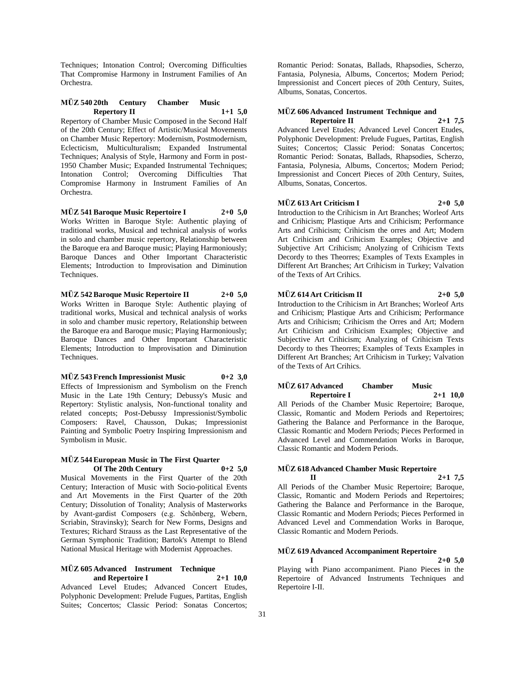Techniques; Intonation Control; Overcoming Difficulties That Compromise Harmony in Instrument Families of An Orchestra.

## **MÜZ 540 20th Century Chamber Music Repertory II 1+1 5,0**

Repertory of Chamber Music Composed in the Second Half of the 20th Century; Effect of Artistic/Musical Movements on Chamber Music Repertory: Modernism, Postmodernism, Eclecticism, Multiculturalism; Expanded Instrumental Techniques; Analysis of Style, Harmony and Form in post-1950 Chamber Music; Expanded Instrumental Techniques; Intonation Control; Overcoming Difficulties That Compromise Harmony in Instrument Families of An Orchestra.

**MÜZ 541 Baroque Music Repertoire I 2+0 5,0** Works Written in Baroque Style: Authentic playing of traditional works, Musical and technical analysis of works in solo and chamber music repertory, Relationship between the Baroque era and Baroque music; Playing Harmoniously; Baroque Dances and Other Important Characteristic Elements; Introduction to Improvisation and Diminution Techniques.

## **MÜZ 542 Baroque Music Repertoire II 2+0 5,0** Works Written in Baroque Style: Authentic playing of traditional works, Musical and technical analysis of works in solo and chamber music repertory, Relationship between the Baroque era and Baroque music; Playing Harmoniously; Baroque Dances and Other Important Characteristic Elements; Introduction to Improvisation and Diminution Techniques.

**MÜZ 543 French Impressionist Music 0+2 3,0**

Effects of Impressionism and Symbolism on the French Music in the Late 19th Century; Debussy's Music and Repertory: Stylistic analysis, Non-functional tonality and related concepts; Post-Debussy Impressionist/Symbolic Composers: Ravel, Chausson, Dukas; Impressionist Painting and Symbolic Poetry Inspiring Impressionism and Symbolism in Music.

### **MÜZ 544 European Music in The First Quarter Of The 20th Century 0+2 5,0**

Musical Movements in the First Quarter of the 20th Century; Interaction of Music with Socio-political Events and Art Movements in the First Quarter of the 20th Century; Dissolution of Tonality; Analysis of Masterworks by Avant-gardist Composers (e.g. Schönberg, Webern, Scriabin, Stravinsky); Search for New Forms, Designs and Textures; Richard Strauss as the Last Representative of the German Symphonic Tradition; Bartok's Attempt to Blend National Musical Heritage with Modernist Approaches.

## **MÜZ 605 Advanced Instrument Technique and Repertoire I 2+1 10,0**

Advanced Level Etudes; Advanced Concert Etudes, Polyphonic Development: Prelude Fugues, Partitas, English Suites; Concertos; Classic Period: Sonatas Concertos; Romantic Period: Sonatas, Ballads, Rhapsodies, Scherzo, Fantasia, Polynesia, Albums, Concertos; Modern Period; Impressionist and Concert pieces of 20th Century, Suites, Albums, Sonatas, Concertos.

## **MÜZ 606 Advanced Instrument Technique and**

**Repertoire II 2+1 7,5** Advanced Level Etudes; Advanced Level Concert Etudes, Polyphonic Development: Prelude Fugues, Partitas, English Suites; Concertos; Classic Period: Sonatas Concertos; Romantic Period: Sonatas, Ballads, Rhapsodies, Scherzo, Fantasia, Polynesia, Albums, Concertos; Modern Period; Impressionist and Concert Pieces of 20th Century, Suites, Albums, Sonatas, Concertos.

### **MÜZ 613 Art Criticism I 2+0 5,0**

Introduction to the Crihicism in Art Branches; Worleof Arts and Crihicism; Plastique Arts and Crihicism; Performance Arts and Crihicism; Crihicism the orres and Art; Modern Art Crihicism and Crihicism Examples; Objective and Subjective Art Crihicism; Anolyzing of Crihicism Texts Decordy to thes Theorres; Examples of Texts Examples in Different Art Branches; Art Crihicism in Turkey; Valvation of the Texts of Art Crihics.

## **MÜZ 614 Art Criticism II 2+0 5,0**

Introduction to the Crihicism in Art Branches; Worleof Arts and Crihicism; Plastique Arts and Crihicism; Performance Arts and Crihicism; Crihicism the Orres and Art; Modern Art Crihicism and Crihicism Examples; Objective and Subjective Art Crihicism; Analyzing of Crihicism Texts Decordy to thes Theorres; Examples of Texts Examples in Different Art Branches; Art Crihicism in Turkey; Valvation of the Texts of Art Crihics.

# **MÜZ 617 Advanced Chamber Music Repertoire I 2+1 10,0**

All Periods of the Chamber Music Repertoire; Baroque, Classic, Romantic and Modern Periods and Repertoires; Gathering the Balance and Performance in the Baroque, Classic Romantic and Modern Periods; Pieces Performed in Advanced Level and Commendation Works in Baroque, Classic Romantic and Modern Periods.

### **MÜZ 618 Advanced Chamber Music Repertoire II 2+1 7,5**

All Periods of the Chamber Music Repertoire; Baroque, Classic, Romantic and Modern Periods and Repertoires; Gathering the Balance and Performance in the Baroque, Classic Romantic and Modern Periods; Pieces Performed in Advanced Level and Commendation Works in Baroque, Classic Romantic and Modern Periods.

## **MÜZ 619 Advanced Accompaniment Repertoire**

## **I 2+0 5,0** Playing with Piano accompaniment. Piano Pieces in the Repertoire of Advanced Instruments Techniques and Repertoire I-II.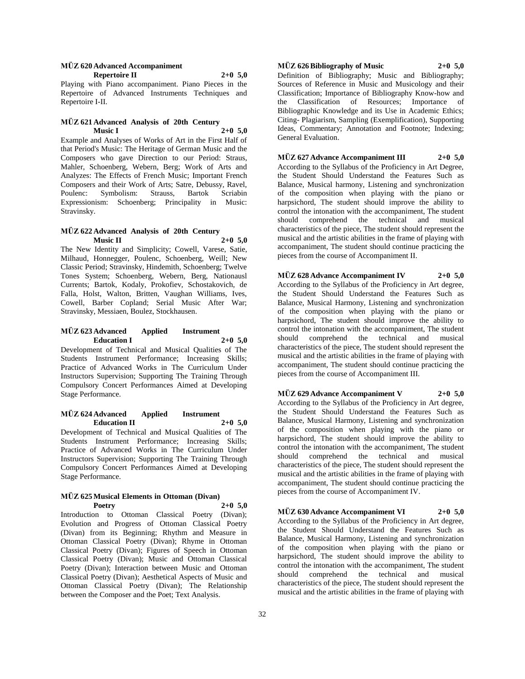## **MÜZ 620 Advanced Accompaniment Repertoire II 2+0 5,0**

Playing with Piano accompaniment. Piano Pieces in the Repertoire of Advanced Instruments Techniques and Repertoire I-II.

### **MÜZ 621 Advanced Analysis of 20th Century Music I 2+0 5,0**

Example and Analyses of Works of Art in the First Half of that Period's Music: The Heritage of German Music and the Composers who gave Direction to our Period: Straus, Mahler, Schoenberg, Webern, Berg; Work of Arts and Analyzes: The Effects of French Music; Important French Composers and their Work of Arts; Satre, Debussy, Ravel, Poulenc: Symbolism: Strauss, Bartok Scriabin Expressionism: Schoenberg; Principality in Music: Stravinsky.

## **MÜZ 622 Advanced Analysis of 20th Century Music II 2+0 5,0**

The New Identity and Simplicity; Cowell, Varese, Satie, Milhaud, Honnegger, Poulenc, Schoenberg, Weill; New Classic Period; Stravinsky, Hindemith, Schoenberg; Twelve Tones System; Schoenberg, Webern, Berg, Nationausl Currents; Bartok, Kodaly, Prokofiev, Schostakovich, de Falla, Holst, Walton, Britten, Vaughan Williams, Ives, Cowell, Barber Copland; Serial Music After War; Stravinsky, Messiaen, Boulez, Stockhausen.

## **MÜZ 623 Advanced Applied Instrument Education I 2+0 5,0**

Development of Technical and Musical Qualities of The Students Instrument Performance; Increasing Skills; Practice of Advanced Works in The Curriculum Under Instructors Supervision; Supporting The Training Through Compulsory Concert Performances Aimed at Developing Stage Performance.

## **MÜZ 624 Advanced Applied Instrument Education II 2+0 5,0**

Development of Technical and Musical Qualities of The Students Instrument Performance; Increasing Skills; Practice of Advanced Works in The Curriculum Under Instructors Supervision; Supporting The Training Through Compulsory Concert Performances Aimed at Developing Stage Performance.

### **MÜZ 625 Musical Elements in Ottoman (Divan) Poetry 2+0 5,0**

Introduction to Ottoman Classical Poetry (Divan); Evolution and Progress of Ottoman Classical Poetry (Divan) from its Beginning; Rhythm and Measure in Ottoman Classical Poetry (Divan); Rhyme in Ottoman Classical Poetry (Divan); Figures of Speech in Ottoman Classical Poetry (Divan); Music and Ottoman Classical Poetry (Divan); Interaction between Music and Ottoman Classical Poetry (Divan); Aesthetical Aspects of Music and Ottoman Classical Poetry (Divan); The Relationship between the Composer and the Poet; Text Analysis.

# **MÜZ 626 Bibliography of Music 2+0 5,0**

Definition of Bibliography; Music and Bibliography; Sources of Reference in Music and Musicology and their Classification; Importance of Bibliography Know-how and the Classification of Resources; Importance of Bibliographic Knowledge and its Use in Academic Ethics; Citing- Plagiarism, Sampling (Exemplification), Supporting Ideas, Commentary; Annotation and Footnote; Indexing; General Evaluation.

**MÜZ 627 Advance Accompaniment III 2+0 5,0** According to the Syllabus of the Proficiency in Art Degree, the Student Should Understand the Features Such as Balance, Musical harmony, Listening and synchronization of the composition when playing with the piano or harpsichord, The student should improve the ability to control the intonation with the accompaniment, The student should comprehend the technical and musical characteristics of the piece, The student should represent the musical and the artistic abilities in the frame of playing with accompaniment, The student should continue practicing the pieces from the course of Accompaniment II.

## **MÜZ 628 Advance Accompaniment IV 2+0 5,0** According to the Syllabus of the Proficiency in Art degree, the Student Should Understand the Features Such as Balance, Musical Harmony, Listening and synchronization of the composition when playing with the piano or harpsichord, The student should improve the ability to control the intonation with the accompaniment, The student should comprehend the technical and musical characteristics of the piece, The student should represent the musical and the artistic abilities in the frame of playing with accompaniment, The student should continue practicing the pieces from the course of Accompaniment III.

**MÜZ 629 Advance Accompaniment V 2+0 5,0** According to the Syllabus of the Proficiency in Art degree, the Student Should Understand the Features Such as Balance, Musical Harmony, Listening and synchronization of the composition when playing with the piano or harpsichord, The student should improve the ability to control the intonation with the accompaniment, The student should comprehend the technical and musical characteristics of the piece, The student should represent the musical and the artistic abilities in the frame of playing with accompaniment, The student should continue practicing the pieces from the course of Accompaniment IV.

**MÜZ 630 Advance Accompaniment VI 2+0 5,0** According to the Syllabus of the Proficiency in Art degree, the Student Should Understand the Features Such as Balance, Musical Harmony, Listening and synchronization of the composition when playing with the piano or harpsichord, The student should improve the ability to control the intonation with the accompaniment, The student should comprehend the technical and musical characteristics of the piece, The student should represent the musical and the artistic abilities in the frame of playing with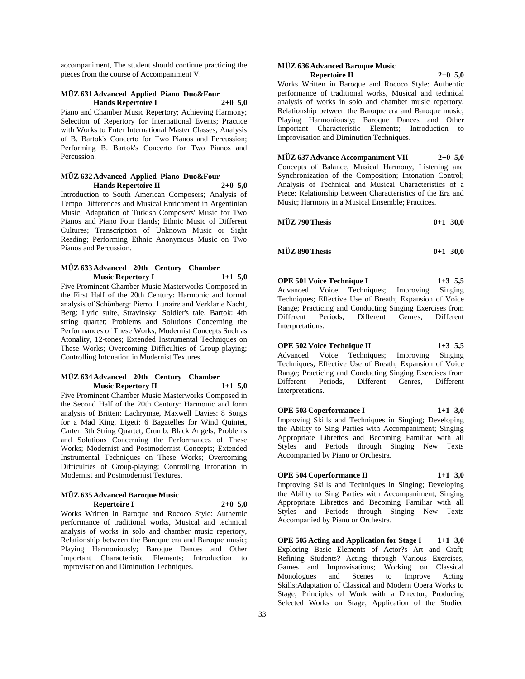accompaniment, The student should continue practicing the pieces from the course of Accompaniment V.

## **MÜZ 631 Advanced Applied Piano Duo&Four Hands Repertoire I 2+0 5,0**

Piano and Chamber Music Repertory; Achieving Harmony; Selection of Repertory for International Events; Practice with Works to Enter International Master Classes; Analysis of B. Bartok's Concerto for Two Pianos and Percussion; Performing B. Bartok's Concerto for Two Pianos and Percussion.

### **MÜZ 632 Advanced Applied Piano Duo&Four Hands Repertoire II 2+0 5,0**

Introduction to South American Composers; Analysis of Tempo Differences and Musical Enrichment in Argentinian Music; Adaptation of Turkish Composers' Music for Two Pianos and Piano Four Hands; Ethnic Music of Different Cultures; Transcription of Unknown Music or Sight Reading; Performing Ethnic Anonymous Music on Two Pianos and Percussion.

### **MÜZ 633 Advanced 20th Century Chamber Music Repertory I 1+1 5,0**

Five Prominent Chamber Music Masterworks Composed in the First Half of the 20th Century: Harmonic and formal analysis of Schönberg: Pierrot Lunaire and Verklarte Nacht, Berg: Lyric suite, Stravinsky: Soldier's tale, Bartok: 4th string quartet; Problems and Solutions Concerning the Performances of These Works; Modernist Concepts Such as Atonality, 12-tones; Extended Instrumental Techniques on These Works; Overcoming Difficulties of Group-playing; Controlling Intonation in Modernist Textures.

### **MÜZ 634 Advanced 20th Century Chamber Music Repertory II 1+1 5,0**

Five Prominent Chamber Music Masterworks Composed in the Second Half of the 20th Century: Harmonic and form analysis of Britten: Lachrymae, Maxwell Davies: 8 Songs for a Mad King, Ligeti: 6 Bagatelles for Wind Quintet, Carter: 3th String Quartet, Crumb: Black Angels; Problems and Solutions Concerning the Performances of These Works; Modernist and Postmodernist Concepts; Extended Instrumental Techniques on These Works; Overcoming Difficulties of Group-playing; Controlling Intonation in Modernist and Postmodernist Textures.

### **MÜZ 635 Advanced Baroque Music Repertoire I 2+0 5,0**

Works Written in Baroque and Rococo Style: Authentic performance of traditional works, Musical and technical analysis of works in solo and chamber music repertory, Relationship between the Baroque era and Baroque music; Playing Harmoniously; Baroque Dances and Other Important Characteristic Elements; Introduction to Improvisation and Diminution Techniques.

### **MÜZ 636 Advanced Baroque Music Repertoire II 2+0 5,0**

Improvisation and Diminution Techniques.

Works Written in Baroque and Rococo Style: Authentic performance of traditional works, Musical and technical analysis of works in solo and chamber music repertory, Relationship between the Baroque era and Baroque music; Playing Harmoniously; Baroque Dances and Other Important Characteristic Elements; Introduction to

**MÜZ 637 Advance Accompaniment VII 2+0 5,0** Concepts of Balance, Musical Harmony, Listening and Synchronization of the Composition; Intonation Control; Analysis of Technical and Musical Characteristics of a Piece; Relationship between Characteristics of the Era and Music; Harmony in a Musical Ensemble; Practices.

| MÜZ 790 Thesis | $0+1$ 30,0 |  |
|----------------|------------|--|
|                |            |  |

| <b>MÜZ 890 Thesis</b> | $0+1$ 30,0 |
|-----------------------|------------|
|                       |            |

**OPE 501 Voice Technique I 1+3 5,5** Advanced Voice Techniques; Improving Singing Techniques; Effective Use of Breath; Expansion of Voice Range; Practicing and Conducting Singing Exercises from Different Periods, Different Genres, Different Interpretations.

**OPE 502 Voice Technique II 1+3 5,5** Advanced Voice Techniques; Improving Singing Techniques; Effective Use of Breath; Expansion of Voice Range; Practicing and Conducting Singing Exercises from<br>Different Periods, Different Genres, Different Different Periods, Different Genres, Different Interpretations.

**OPE 503 Coperformance I 1+1 3,0** Improving Skills and Techniques in Singing; Developing the Ability to Sing Parties with Accompaniment; Singing Appropriate Librettos and Becoming Familiar with all Styles and Periods through Singing New Texts Accompanied by Piano or Orchestra.

## **OPE 504 Coperformance II 1+1 3,0**

Improving Skills and Techniques in Singing; Developing the Ability to Sing Parties with Accompaniment; Singing Appropriate Librettos and Becoming Familiar with all Styles and Periods through Singing New Texts Accompanied by Piano or Orchestra.

**OPE 505 Acting and Application for Stage I 1+1 3,0** Exploring Basic Elements of Actor?s Art and Craft; Refining Students? Acting through Various Exercises, Games and Improvisations; Working on Classical<br>Monologues and Scenes to Improve Acting Monologues and Scenes to Improve Acting Skills;Adaptation of Classical and Modern Opera Works to Stage; Principles of Work with a Director; Producing Selected Works on Stage; Application of the Studied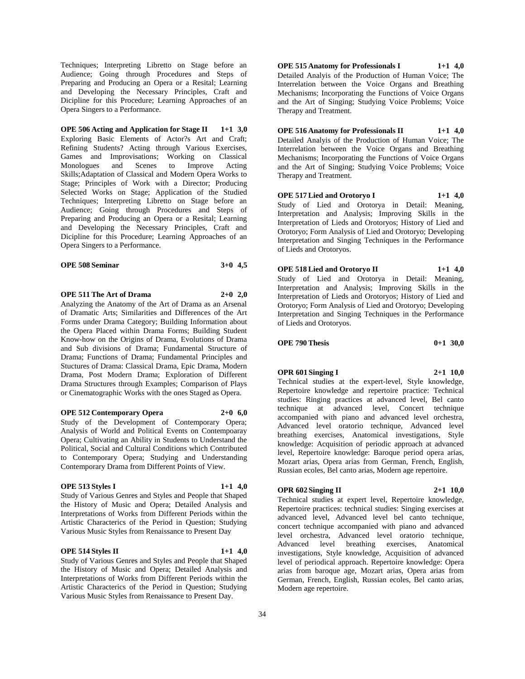Techniques; Interpreting Libretto on Stage before an Audience; Going through Procedures and Steps of Preparing and Producing an Opera or a Resital; Learning and Developing the Necessary Principles, Craft and Dicipline for this Procedure; Learning Approaches of an Opera Singers to a Performance.

**OPE 506 Acting and Application for Stage II 1+1 3,0** Exploring Basic Elements of Actor?s Art and Craft; Refining Students? Acting through Various Exercises, Games and Improvisations; Working on Classical Monologues and Scenes to Improve Acting Skills;Adaptation of Classical and Modern Opera Works to Stage; Principles of Work with a Director; Producing Selected Works on Stage; Application of the Studied Techniques; Interpreting Libretto on Stage before an Audience; Going through Procedures and Steps of Preparing and Producing an Opera or a Resital; Learning and Developing the Necessary Principles, Craft and Dicipline for this Procedure; Learning Approaches of an Opera Singers to a Performance.

| $3+0$ 4.5<br><b>OPE 508 Seminar</b> |  |  |  |
|-------------------------------------|--|--|--|
|-------------------------------------|--|--|--|

**OPE 511 The Art of Drama 2+0 2,0**

Analyzing the Anatomy of the Art of Drama as an Arsenal of Dramatic Arts; Similarities and Differences of the Art Forms under Drama Category; Building Information about the Opera Placed within Drama Forms; Building Student Know-how on the Origins of Drama, Evolutions of Drama and Sub divisions of Drama; Fundamental Structure of Drama; Functions of Drama; Fundamental Principles and Stuctures of Drama: Classical Drama, Epic Drama, Modern Drama, Post Modern Drama; Exploration of Different Drama Structures through Examples; Comparison of Plays

### **OPE 512 Contemporary Opera 2+0 6,0**

Study of the Development of Contemporary Opera; Analysis of World and Political Events on Contempoaray Opera; Cultivating an Ability in Students to Understand the Political, Social and Cultural Conditions which Contributed to Contemporary Opera; Studying and Understanding Contemporary Drama from Different Points of View.

or Cinematographic Works with the ones Staged as Opera.

## **OPE 513 Styles I 1+1 4,0**

Study of Various Genres and Styles and People that Shaped the History of Music and Opera; Detailed Analysis and Interpretations of Works from Different Periods within the Artistic Characterics of the Period in Question; Studying Various Music Styles from Renaissance to Present Day

## **OPE 514 Styles II 1+1 4,0**

Study of Various Genres and Styles and People that Shaped the History of Music and Opera; Detailed Analysis and Interpretations of Works from Different Periods within the Artistic Characterics of the Period in Question; Studying Various Music Styles from Renaissance to Present Day.

**OPE 515 Anatomy for Professionals I 1+1 4,0** Detailed Analyis of the Production of Human Voice; The Interrelation between the Voice Organs and Breathing Mechanisms; Incorporating the Functions of Voice Organs and the Art of Singing; Studying Voice Problems; Voice Therapy and Treatment.

**OPE 516 Anatomy for Professionals II 1+1 4,0** Detailed Analyis of the Production of Human Voice; The Interrelation between the Voice Organs and Breathing Mechanisms; Incorporating the Functions of Voice Organs and the Art of Singing; Studying Voice Problems; Voice Therapy and Treatment.

**OPE 517 Lied and Orotoryo I 1+1 4,0** Study of Lied and Orotorya in Detail: Meaning, Interpretation and Analysis; Improving Skills in the Interpretation of Lieds and Orotoryos; History of Lied and Orotoryo; Form Analysis of Lied and Orotoryo; Developing Interpretation and Singing Techniques in the Performance of Lieds and Orotoryos.

**OPE 518 Lied and Orotoryo II 1+1 4,0** Study of Lied and Orotorya in Detail: Meaning, Interpretation and Analysis; Improving Skills in the Interpretation of Lieds and Orotoryos; History of Lied and Orotoryo; Form Analysis of Lied and Orotoryo; Developing Interpretation and Singing Techniques in the Performance of Lieds and Orotoryos.

## **OPE 790 Thesis 0+1 30,0**

**OPR 601 Singing I 2+1 10,0**

Technical studies at the expert-level, Style knowledge, Repertoire knowledge and repertoire practice: Technical studies: Ringing practices at advanced level, Bel canto technique at advanced level, Concert technique accompanied with piano and advanced level orchestra, Advanced level oratorio technique, Advanced level breathing exercises, Anatomical investigations, Style knowledge: Acquisition of periodic approach at advanced level, Repertoire knowledge: Baroque period opera arias, Mozart arias, Opera arias from German, French, English, Russian ecoles, Bel canto arias, Modern age repertoire.

### **OPR 602 Singing II 2+1 10,0**

Technical studies at expert level, Repertoire knowledge, Repertoire practices: technical studies: Singing exercises at advanced level, Advanced level bel canto technique, concert technique accompanied with piano and advanced level orchestra, Advanced level oratorio technique, Advanced level breathing exercises, Anatomical investigations, Style knowledge, Acquisition of advanced level of periodical approach. Repertoire knowledge: Opera arias from baroque age, Mozart arias, Opera arias from German, French, English, Russian ecoles, Bel canto arias, Modern age repertoire.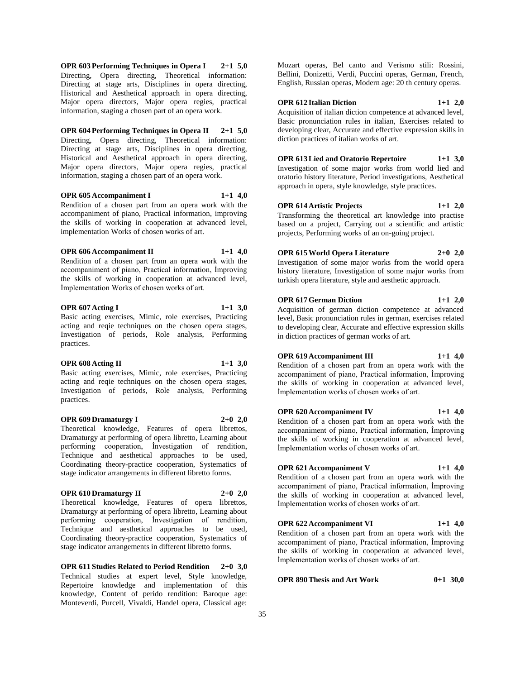**OPR 603 Performing Techniques in Opera I 2+1 5,0** Directing, Opera directing, Theoretical information: Directing at stage arts, Disciplines in opera directing, Historical and Aesthetical approach in opera directing, Major opera directors, Major opera regies, practical information, staging a chosen part of an opera work.

**OPR 604 Performing Techniques in Opera II 2+1 5,0** Directing, Opera directing, Theoretical information: Directing at stage arts, Disciplines in opera directing, Historical and Aesthetical approach in opera directing, Major opera directors, Major opera regies, practical information, staging a chosen part of an opera work.

## **OPR 605 Accompaniment I 1+1 4,0**

Rendition of a chosen part from an opera work with the accompaniment of piano, Practical information, improving the skills of working in cooperation at advanced level, implementation Works of chosen works of art.

## **OPR 606 Accompaniment II 1+1 4,0**

Rendition of a chosen part from an opera work with the accompaniment of piano, Practical information, İmproving the skills of working in cooperation at advanced level, İmplementation Works of chosen works of art.

# **OPR 607 Acting I 1+1 3,0**

Basic acting exercises, Mimic, role exercises, Practicing acting and reqie techniques on the chosen opera stages, Investigation of periods, Role analysis, Performing practices.

### **OPR 608 Acting II 1+1 3,0**

practices.

Basic acting exercises, Mimic, role exercises, Practicing acting and reqie techniques on the chosen opera stages, Investigation of periods, Role analysis, Performing

### **OPR 609 Dramaturgy I 2+0 2,0**

Theoretical knowledge, Features of opera librettos, Dramaturgy at performing of opera libretto, Learning about performing cooperation, İnvestigation of rendition, Technique and aesthetical approaches to be used, Coordinating theory-practice cooperation, Systematics of stage indicator arrangements in different libretto forms.

### **OPR 610 Dramaturgy II 2+0 2,0**

Theoretical knowledge, Features of opera librettos, Dramaturgy at performing of opera libretto, Learning about performing cooperation, İnvestigation of rendition, Technique and aesthetical approaches to be used, Coordinating theory-practice cooperation, Systematics of stage indicator arrangements in different libretto forms.

**OPR 611 Studies Related to Period Rendition 2+0 3,0** Technical studies at expert level, Style knowledge, Repertoire knowledge and implementation of this knowledge, Content of perido rendition: Baroque age: Monteverdi, Purcell, Vivaldi, Handel opera, Classical age:

Mozart operas, Bel canto and Verismo stili: Rossini, Bellini, Donizetti, Verdi, Puccini operas, German, French, English, Russian operas, Modern age: 20 th century operas.

# **OPR 612 Italian Diction 1+1 2,0**

Acquisition of italian diction competence at advanced level, Basic pronunciation rules in italian, Exercises related to developing clear, Accurate and effective expression skills in diction practices of italian works of art.

### **OPR 613 Lied and Oratorio Repertoire 1+1 3,0**

Investigation of some major works from world lied and oratorio history literature, Period investigations, Aesthetical approach in opera, style knowledge, style practices.

### **OPR 614 Artistic Projects 1+1 2,0**

Transforming the theoretical art knowledge into practise based on a project, Carrying out a scientific and artistic projects, Performing works of an on-going project.

## **OPR 615 World Opera Literature 2+0 2,0**

Investigation of some major works from the world opera history literature, Investigation of some major works from turkish opera literature, style and aesthetic approach.

### **OPR 617 German Diction 1+1 2,0**

Acquisition of german diction competence at advanced level, Basic pronunciation rules in german, exercises related to developing clear, Accurate and effective expression skills in diction practices of german works of art.

### **OPR 619 Accompaniment III 1+1 4,0**

Rendition of a chosen part from an opera work with the accompaniment of piano, Practical information, İmproving the skills of working in cooperation at advanced level, İmplementation works of chosen works of art.

### **OPR 620 Accompaniment IV 1+1 4,0**

Rendition of a chosen part from an opera work with the accompaniment of piano, Practical information, İmproving the skills of working in cooperation at advanced level, İmplementation works of chosen works of art.

## **OPR 621 Accompaniment V 1+1 4,0**

Rendition of a chosen part from an opera work with the accompaniment of piano, Practical information, İmproving the skills of working in cooperation at advanced level, İmplementation works of chosen works of art.

## **OPR 622 Accompaniment VI 1+1 4,0** Rendition of a chosen part from an opera work with the accompaniment of piano, Practical information, İmproving the skills of working in cooperation at advanced level, İmplementation works of chosen works of art.

**OPR 890 Thesis and Art Work 0+1 30,0**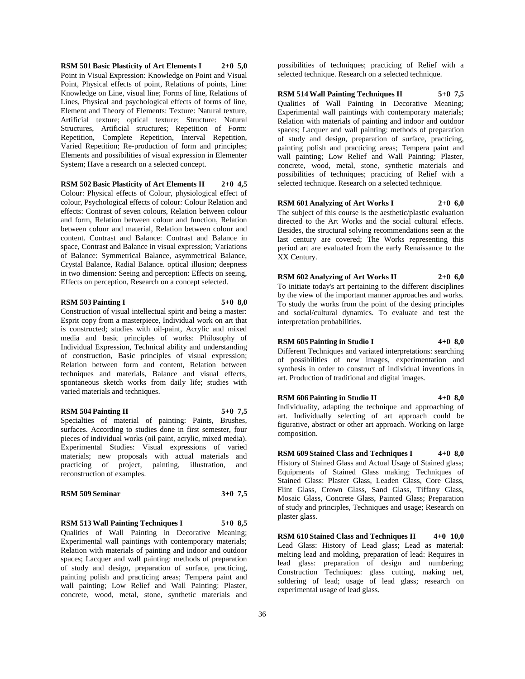**RSM 501 Basic Plasticity of Art Elements I 2+0 5,0** Point in Visual Expression: Knowledge on Point and Visual Point, Physical effects of point, Relations of points, Line: Knowledge on Line, visual line; Forms of line, Relations of Lines, Physical and psychological effects of forms of line, Element and Theory of Elements: Texture: Natural texture, Artificial texture; optical texture; Structure: Natural Structures, Artificial structures; Repetition of Form: Repetition, Complete Repetition, Interval Repetition, Varied Repetition; Re-production of form and principles; Elements and possibilities of visual expression in Elementer System; Have a research on a selected concept.

**RSM 502 Basic Plasticity of Art Elements II 2+0 4,5**

Colour: Physical effects of Colour, physiological effect of colour, Psychological effects of colour: Colour Relation and effects: Contrast of seven colours, Relation between colour and form, Relation between colour and function, Relation between colour and material, Relation between colour and content. Contrast and Balance: Contrast and Balance in space, Contrast and Balance in visual expression; Variations of Balance: Symmetrical Balance, asymmetrical Balance, Crystal Balance, Radial Balance. optical illusion; deepness in two dimension: Seeing and perception: Effects on seeing, Effects on perception, Research on a concept selected.

## **RSM 503 Painting I 5+0 8,0**

Construction of visual intellectual spirit and being a master: Esprit copy from a masterpiece, Individual work on art that is constructed; studies with oil-paint, Acrylic and mixed media and basic principles of works: Philosophy of Individual Expression, Technical ability and understanding of construction, Basic principles of visual expression; Relation between form and content, Relation between techniques and materials, Balance and visual effects, spontaneous sketch works from daily life; studies with varied materials and techniques.

## **RSM 504 Painting II 5+0 7,5**

Specialties of material of painting: Paints, Brushes, surfaces. According to studies done in first semester, four pieces of individual works (oil paint, acrylic, mixed media). Experimental Studies: Visual expressions of varied materials; new proposals with actual materials and practicing of project, painting, illustration, and reconstruction of examples.

## **RSM 509 Seminar 3+0 7,5**

**RSM 513 Wall Painting Techniques I 5+0 8,5** Qualities of Wall Painting in Decorative Meaning; Experimental wall paintings with contemporary materials; Relation with materials of painting and indoor and outdoor spaces; Lacquer and wall painting: methods of preparation of study and design, preparation of surface, practicing, painting polish and practicing areas; Tempera paint and wall painting; Low Relief and Wall Painting: Plaster, concrete, wood, metal, stone, synthetic materials and possibilities of techniques; practicing of Relief with a selected technique. Research on a selected technique.

# **RSM 514 Wall Painting Techniques II 5+0 7,5**

Qualities of Wall Painting in Decorative Meaning; Experimental wall paintings with contemporary materials; Relation with materials of painting and indoor and outdoor spaces; Lacquer and wall painting: methods of preparation of study and design, preparation of surface, practicing, painting polish and practicing areas; Tempera paint and wall painting; Low Relief and Wall Painting: Plaster, concrete, wood, metal, stone, synthetic materials and possibilities of techniques; practicing of Relief with a selected technique. Research on a selected technique.

# **RSM 601 Analyzing of Art Works I 2+0 6,0**

The subject of this course is the aesthetic/plastic evaluation directed to the Art Works and the social cultural effects. Besides, the structural solving recommendations seen at the last century are covered; The Works representing this period art are evaluated from the early Renaissance to the XX Century.

## **RSM 602 Analyzing of Art Works II 2+0 6,0** To initiate today's art pertaining to the different disciplines

by the view of the important manner approaches and works. To study the works from the point of the desing principles and social/cultural dynamics. To evaluate and test the interpretation probabilities.

## **RSM 605 Painting in Studio I 4+0 8,0**

Different Techniques and variated interpretations: searching of possibilities of new images, experimentation and synthesis in order to construct of individual inventions in art. Production of traditional and digital images.

### **RSM 606 Painting in Studio II 4+0 8,0**

Individuality, adapting the technique and approaching of art. Individually selecting of art approach could be figurative, abstract or other art approach. Working on large composition.

**RSM 609 Stained Class and Techniques I 4+0 8,0** History of Stained Glass and Actual Usage of Stained glass; Equipments of Stained Glass making; Techniques of Stained Glass: Plaster Glass, Leaden Glass, Core Glass, Flint Glass, Crown Glass, Sand Glass, Tiffany Glass, Mosaic Glass, Concrete Glass, Painted Glass; Preparation of study and principles, Techniques and usage; Research on plaster glass.

**RSM 610 Stained Class and Techniques II 4+0 10,0** Lead Glass: History of Lead glass; Lead as material: melting lead and molding, preparation of lead: Requires in lead glass: preparation of design and numbering; Construction Techniques: glass cutting, making net, soldering of lead; usage of lead glass; research on experimental usage of lead glass.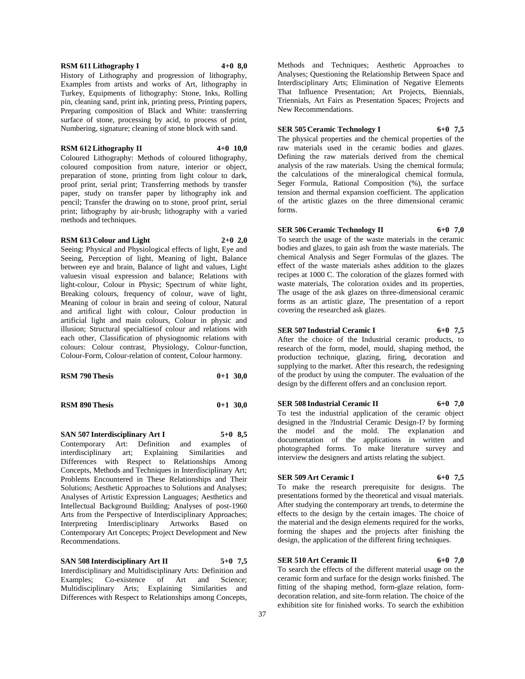### **RSM 611 Lithography I 4+0 8,0**

History of Lithography and progression of lithography, Examples from artists and works of Art, lithography in Turkey, Equipments of lithography: Stone, Inks, Rolling pin, cleaning sand, print ink, printing press, Printing papers, Preparing composition of Black and White: transferring surface of stone, processing by acid, to process of print, Numbering, signature; cleaning of stone block with sand.

### **RSM 612 Lithography II 4+0 10,0**

Coloured Lithography: Methods of coloured lithography, coloured composition from nature, interior or object, preparation of stone, printing from light colour to dark, proof print, serial print; Transferring methods by transfer paper, study on transfer paper by lithography ink and pencil; Transfer the drawing on to stone, proof print, serial print; lithography by air-brush; lithography with a varied methods and techniques.

### **RSM 613 Colour and Light 2+0 2,0**

Seeing: Physical and Physiological effects of light, Eye and Seeing, Perception of light, Meaning of light, Balance between eye and brain, Balance of light and values, Light valuesin visual expression and balance; Relations with light-colour, Colour in Physic; Spectrum of white light, Breaking colours, frequency of colour, wave of light, Meaning of colour in brain and seeing of colour, Natural and artifical light with colour, Colour production in artificial light and main colours, Colour in physic and illusion; Structural specialtiesof colour and relations with each other, Classification of physiognomic relations with colours: Colour contrast, Physiology, Colour-function, Colour-Form, Colour-relation of content, Colour harmony.

| <b>RSM 790 Thesis</b> | $0+1$ 30,0 |  |
|-----------------------|------------|--|
|                       |            |  |

**RSM 890 Thesis 0+1 30,0**

**SAN 507 Interdisciplinary Art I 5+0 8,5** Contemporary Art: Definition and examples of interdisciplinary art; Explaining Similarities and Differences with Respect to Relationships Among Concepts, Methods and Techniques in Interdisciplinary Art; Problems Encountered in These Relationships and Their Solutions; Aesthetic Approaches to Solutions and Analyses; Analyses of Artistic Expression Languages; Aesthetics and Intellectual Background Building; Analyses of post-1960 Arts from the Perspective of Interdisciplinary Approaches; Interpreting Interdisciplinary Artworks Based on Contemporary Art Concepts; Project Development and New Recommendations.

**SAN 508 Interdisciplinary Art II 5+0 7,5** Interdisciplinary and Multidisciplinary Arts: Definition and Examples; Co-existence of Art and Science; Multidisciplinary Arts; Explaining Similarities and Differences with Respect to Relationships among Concepts,

Methods and Techniques; Aesthetic Approaches to Analyses; Questioning the Relationship Between Space and Interdisciplinary Arts; Elimination of Negative Elements That Influence Presentation; Art Projects, Biennials, Triennials, Art Fairs as Presentation Spaces; Projects and New Recommendations.

### **SER 505 Ceramic Technology I 6+0 7,5**

The physical properties and the chemical properties of the raw materials used in the ceramic bodies and glazes. Defining the raw materials derived from the chemical analysis of the raw materials. Using the chemical formula; the calculations of the mineralogical chemical formula, Seger Formula, Rational Composition (%), the surface tension and thermal expansion coefficient. The application of the artistic glazes on the three dimensional ceramic forms.

## **SER 506 Ceramic Technology II 6+0 7,0**

To search the usage of the waste materials in the ceramic bodies and glazes, to gain ash from the waste materials. The chemical Analysis and Seger Formulas of the glazes. The effect of the waste materials ashes addition to the glazes recipes at 1000 C. The coloration of the glazes formed with waste materials, The coloration oxides and its properties, The usage of the ask glazes on three-dimensional ceramic forms as an artistic glaze, The presentation of a report covering the researched ask glazes.

### **SER 507 Industrial Ceramic I 6+0 7,5**

After the choice of the Industrial ceramic products, to research of the form, model, mould, shaping method, the production technique, glazing, firing, decoration and supplying to the market. After this research, the redesigning of the product by using the computer. The evaluation of the design by the different offers and an conclusion report.

### **SER 508 Industrial Ceramic II 6+0 7,0**

To test the industrial application of the ceramic object designed in the ?Industrial Ceramic Design-I? by forming the model and the mold. The explanation and documentation of the applications in written and photographed forms. To make literature survey and interview the designers and artists relating the subject.

## **SER 509 Art Ceramic I 6+0 7,5**

To make the research prerequisite for designs. The presentations formed by the theoretical and visual materials. After studying the contemporary art trends, to determine the effects to the design by the certain images. The choice of the material and the design elements required for the works, forming the shapes and the projects after finishing the design, the application of the different firing techniques.

## **SER 510 Art Ceramic II 6+0 7,0**

To search the effects of the different material usage on the ceramic form and surface for the design works finished. The fitting of the shaping method, form-glaze relation, formdecoration relation, and site-form relation. The choice of the exhibition site for finished works. To search the exhibition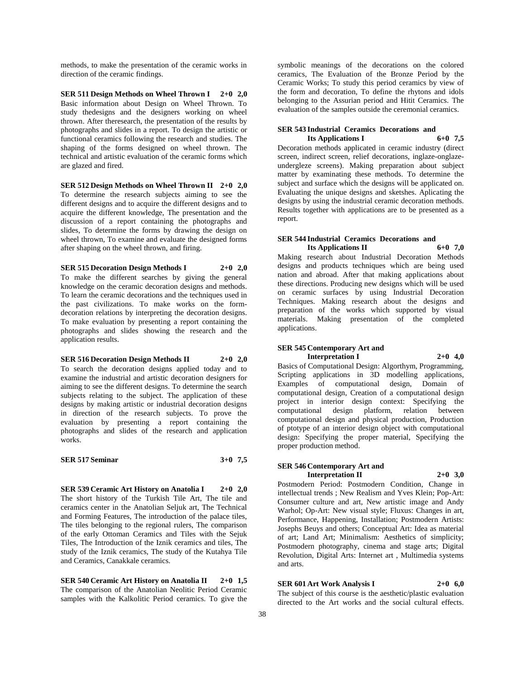methods, to make the presentation of the ceramic works in direction of the ceramic findings.

**SER 511 Design Methods on Wheel Thrown I 2+0 2,0** Basic information about Design on Wheel Thrown. To study thedesigns and the designers working on wheel thrown. After theresearch, the presentation of the results by photographs and slides in a report. To design the artistic or functional ceramics following the research and studies. The shaping of the forms designed on wheel thrown. The technical and artistic evaluation of the ceramic forms which are glazed and fired.

**SER 512 Design Methods on Wheel Thrown II 2+0 2,0** To determine the research subjects aiming to see the different designs and to acquire the different designs and to acquire the different knowledge, The presentation and the discussion of a report containing the photographs and slides, To determine the forms by drawing the design on wheel thrown, To examine and evaluate the designed forms after shaping on the wheel thrown, and firing.

**SER 515 Decoration Design Methods I 2+0 2,0**

To make the different searches by giving the general knowledge on the ceramic decoration designs and methods. To learn the ceramic decorations and the techniques used in the past civilizations. To make works on the formdecoration relations by interpreting the decoration designs. To make evaluation by presenting a report containing the photographs and slides showing the research and the application results.

### **SER 516 Decoration Design Methods II 2+0 2,0**

To search the decoration designs applied today and to examine the industrial and artistic decoration designers for aiming to see the different designs. To determine the search subjects relating to the subject. The application of these designs by making artistic or industrial decoration designs in direction of the research subjects. To prove the evaluation by presenting a report containing the photographs and slides of the research and application works.

### **SER 517 Seminar 3+0 7,5**

**SER 539 Ceramic Art History on Anatolia I 2+0 2,0** The short history of the Turkish Tile Art, The tile and ceramics center in the Anatolian Seljuk art, The Technical and Forming Features, The introduction of the palace tiles, The tiles belonging to the regional rulers, The comparison of the early Ottoman Ceramics and Tiles with the Sejuk Tiles, The Introduction of the Iznik ceramics and tiles, The study of the Iznik ceramics, The study of the Kutahya Tile and Ceramics, Canakkale ceramics.

**SER 540 Ceramic Art History on Anatolia II 2+0 1,5** The comparison of the Anatolian Neolitic Period Ceramic samples with the Kalkolitic Period ceramics. To give the

symbolic meanings of the decorations on the colored ceramics, The Evaluation of the Bronze Period by the Ceramic Works; To study this period ceramics by view of the form and decoration, To define the rhytons and idols belonging to the Assurian period and Hitit Ceramics. The evaluation of the samples outside the ceremonial ceramics.

### **SER 543 Industrial Ceramics Decorations and Its Applications I 6+0 7,5**

Decoration methods applicated in ceramic industry (direct screen, indirect screen, relief decorations, inglaze-onglazeundergleze screens). Making preparation about subject matter by examinating these methods. To determine the subject and surface which the designs will be applicated on. Evaluating the unique designs and sketshes. Aplicating the designs by using the industrial ceramic decoration methods. Results together with applications are to be presented as a report.

### **SER 544 Industrial Ceramics Decorations and Its Applications II 6+0 7,0**

Making research about Industrial Decoration Methods designs and products techniques which are being used nation and abroad. After that making applications about these directions. Producing new designs which will be used on ceramic surfaces by using Industrial Decoration Techniques. Making research about the designs and preparation of the works which supported by visual materials. Making presentation of the completed applications.

### **SER 545 Contemporary Art and Interpretation I 2+0 4,0**

Basics of Computational Design: Algorthym, Programming, Scripting applications in 3D modelling applications, Examples of computational design, Domain of computational design, Creation of a computational design project in interior design context: Specifying the computational design platform, relation between computational design and physical production, Production of ptotype of an interior design object with computational design: Specifying the proper material, Specifying the proper production method.

### **SER 546 Contemporary Art and Interpretation II 2+0 3,0**

Postmodern Period: Postmodern Condition, Change in intellectual trends ; New Realism and Yves Klein; Pop-Art: Consumer culture and art, New artistic image and Andy Warhol; Op-Art: New visual style; Fluxus: Changes in art, Performance, Happening, Installation; Postmodern Artists: Josephs Beuys and others; Conceptual Art: Idea as material of art; Land Art; Minimalism: Aesthetics of simplicity; Postmodern photography, cinema and stage arts; Digital Revolution, Digital Arts: Internet art , Multimedia systems and arts.

## **SER 601 Art Work Analysis I 2+0 6,0**

The subject of this course is the aesthetic/plastic evaluation directed to the Art works and the social cultural effects.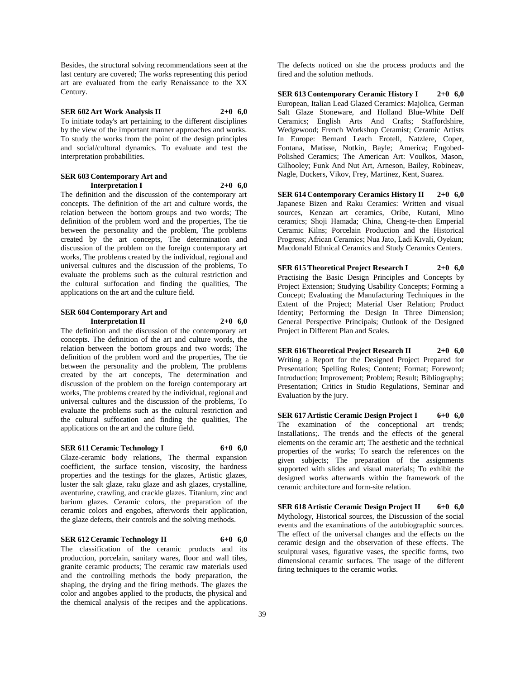Besides, the structural solving recommendations seen at the last century are covered; The works representing this period art are evaluated from the early Renaissance to the XX Century.

**SER 602 Art Work Analysis II 2+0 6,0** To initiate today's art pertaining to the different disciplines by the view of the important manner approaches and works. To study the works from the point of the design principles and social/cultural dynamics. To evaluate and test the interpretation probabilities.

### **SER 603 Contemporary Art and Interpretation I 2+0 6,0**

The definition and the discussion of the contemporary art concepts. The definition of the art and culture words, the relation between the bottom groups and two words; The definition of the problem word and the properties, The tie between the personality and the problem, The problems created by the art concepts, The determination and discussion of the problem on the foreign contemporary art works, The problems created by the individual, regional and universal cultures and the discussion of the problems, To evaluate the problems such as the cultural restriction and the cultural suffocation and finding the qualities, The applications on the art and the culture field.

### **SER 604 Contemporary Art and Interpretation II 2+0 6,0**

The definition and the discussion of the contemporary art concepts. The definition of the art and culture words, the relation between the bottom groups and two words; The definition of the problem word and the properties, The tie between the personality and the problem, The problems created by the art concepts, The determination and discussion of the problem on the foreign contemporary art works, The problems created by the individual, regional and universal cultures and the discussion of the problems, To evaluate the problems such as the cultural restriction and the cultural suffocation and finding the qualities, The applications on the art and the culture field.

## **SER 611 Ceramic Technology I 6+0 6,0**

Glaze-ceramic body relations, The thermal expansion coefficient, the surface tension, viscosity, the hardness properties and the testings for the glazes, Artistic glazes, luster the salt glaze, raku glaze and ash glazes, crystalline, aventurine, crawling, and crackle glazes. Titanium, zinc and barium glazes. Ceramic colors, the preparation of the ceramic colors and engobes, afterwords their application, the glaze defects, their controls and the solving methods.

### **SER 612 Ceramic Technology II 6+0 6,0**

The classification of the ceramic products and its production, porcelain, sanitary wares, floor and wall tiles, granite ceramic products; The ceramic raw materials used and the controlling methods the body preparation, the shaping, the drying and the firing methods. The glazes the color and angobes applied to the products, the physical and the chemical analysis of the recipes and the applications.

The defects noticed on she the process products and the fired and the solution methods.

**SER 613 Contemporary Ceramic History I 2+0 6,0** European, Italian Lead Glazed Ceramics: Majolica, German Salt Glaze Stoneware, and Holland Blue-White Delf Ceramics; English Arts And Crafts; Staffordshire, Wedgewood; French Workshop Ceramist; Ceramic Artists In Europe: Bernard Leach Erotell, Natzlere, Coper, Fontana, Matisse, Notkin, Bayle; America; Engobed-Polished Ceramics; The American Art: Voulkos, Mason, Gilhooley; Funk And Nut Art, Arneson, Bailey, Robineav, Nagle, Duckers, Vikov, Frey, Martinez, Kent, Suarez.

**SER 614 Contemporary Ceramics History II 2+0 6,0** Japanese Bizen and Raku Ceramics: Written and visual sources, Kenzan art ceramics, Oribe, Kutani, Mino ceramics; Shoji Hamada; China, Cheng-te-chen Emperial Ceramic Kilns; Porcelain Production and the Historical Progress; African Ceramics; Nua Jato, Ladi Kıvali, Oyekun; Macdonald Ethnical Ceramics and Study Ceramics Centers.

**SER 615 Theoretical Project Research I 2+0 6,0** Practising the Basic Design Principles and Concepts by Project Extension; Studying Usability Concepts; Forming a Concept; Evaluating the Manufacturing Techniques in the Extent of the Project; Material User Relation; Product Identity; Performing the Design In Three Dimension; General Perspective Principals; Outlook of the Designed Project in Different Plan and Scales.

**SER 616 Theoretical Project Research II 2+0 6,0** Writing a Report for the Designed Project Prepared for Presentation; Spelling Rules; Content; Format; Foreword; Introduction; Improvement; Problem; Result; Bibliography; Presentation; Critics in Studio Regulations, Seminar and Evaluation by the jury.

**SER 617 Artistic Ceramic Design Project I 6+0 6,0** The examination of the conceptional art trends; Installations;. The trends and the effects of the general elements on the ceramic art; The aesthetic and the technical properties of the works; To search the references on the given subjects; The preparation of the assignments supported with slides and visual materials; To exhibit the designed works afterwards within the framework of the ceramic architecture and form-site relation.

**SER 618 Artistic Ceramic Design Project II 6+0 6,0** Mythology, Historical sources, the Discussion of the social events and the examinations of the autobiographic sources. The effect of the universal changes and the effects on the ceramic design and the observation of these effects. The sculptural vases, figurative vases, the specific forms, two dimensional ceramic surfaces. The usage of the different firing techniques to the ceramic works.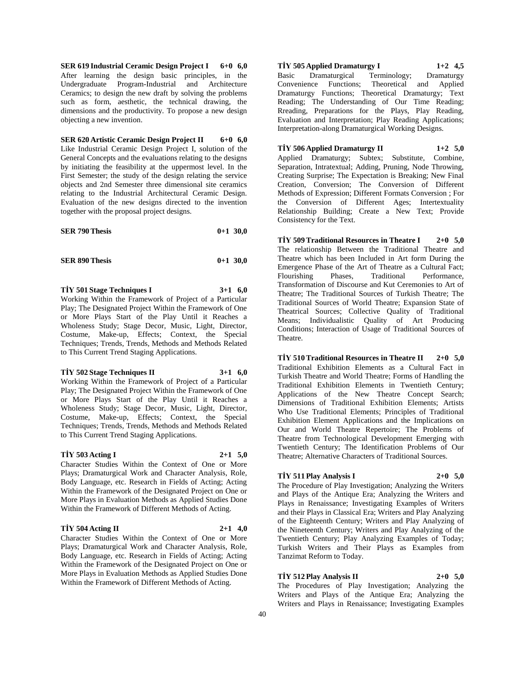**SER 619 Industrial Ceramic Design Project I 6+0 6,0** After learning the design basic principles, in the Undergraduate Program-Industrial and Architecture Ceramics; to design the new draft by solving the problems such as form, aesthetic, the technical drawing, the dimensions and the productivity. To propose a new design objecting a new invention.

**SER 620 Artistic Ceramic Design Project II 6+0 6,0** Like Industrial Ceramic Design Project I, solution of the General Concepts and the evaluations relating to the designs by initiating the feasibility at the uppermost level. In the First Semester; the study of the design relating the service objects and 2nd Semester three dimensional site ceramics relating to the Industrial Architectural Ceramic Design. Evaluation of the new designs directed to the invention together with the proposal project designs.

| <b>SER 790 Thesis</b> | $0+1$ 30,0 |  |
|-----------------------|------------|--|
|                       |            |  |

| <b>SER 890 Thesis</b> | $0+1$ 30,0 |  |
|-----------------------|------------|--|
|                       |            |  |

**TİY 501 Stage Techniques I 3+1 6,0** Working Within the Framework of Project of a Particular Play; The Designated Project Within the Framework of One or More Plays Start of the Play Until it Reaches a Wholeness Study; Stage Decor, Music, Light, Director, Costume, Make-up, Effects; Context, the Special Techniques; Trends, Trends, Methods and Methods Related to This Current Trend Staging Applications.

**TİY 502 Stage Techniques II 3+1 6,0** Working Within the Framework of Project of a Particular Play; The Designated Project Within the Framework of One or More Plays Start of the Play Until it Reaches a Wholeness Study; Stage Decor, Music, Light, Director, Costume, Make-up, Effects; Context, the Special Techniques; Trends, Trends, Methods and Methods Related to This Current Trend Staging Applications.

### **TİY 503 Acting I 2+1 5,0**

Character Studies Within the Context of One or More Plays; Dramaturgical Work and Character Analysis, Role, Body Language, etc. Research in Fields of Acting; Acting Within the Framework of the Designated Project on One or More Plays in Evaluation Methods as Applied Studies Done Within the Framework of Different Methods of Acting.

## **TİY 504 Acting II 2+1 4,0**

Character Studies Within the Context of One or More

Plays; Dramaturgical Work and Character Analysis, Role, Body Language, etc. Research in Fields of Acting; Acting Within the Framework of the Designated Project on One or More Plays in Evaluation Methods as Applied Studies Done Within the Framework of Different Methods of Acting.

**TİY 505 Applied Dramaturgy I 1+2 4,5** Basic Dramaturgical Terminology; Dramaturgy Convenience Functions; Theoretical and Applied Dramaturgy Functions; Theoretical Dramaturgy; Text Reading; The Understanding of Our Time Reading; Rreading, Preparations for the Plays, Play Reading, Evaluation and Interpretation; Play Reading Applications; Interpretation-along Dramaturgical Working Designs.

**TİY 506 Applied Dramaturgy II 1+2 5,0** Applied Dramaturgy; Subtex; Substitute, Combine, Separation, Intratextual; Adding, Pruning, Node Throwing, Creating Surprise; The Expectation is Breaking; New Final Creation, Conversion; The Conversion of Different Methods of Expression; Different Formats Conversion ; For the Conversion of Different Ages; Intertextuality Relationship Building; Create a New Text; Provide Consistency for the Text.

**TİY 509 Traditional Resources in Theatre I 2+0 5,0** The relationship Between the Traditional Theatre and Theatre which has been Included in Art form During the Emergence Phase of the Art of Theatre as a Cultural Fact; Flourishing Phases, Traditional Performance, Transformation of Discourse and Kut Ceremonies to Art of Theatre; The Traditional Sources of Turkish Theatre; The Traditional Sources of World Theatre; Expansion State of Theatrical Sources; Collective Quality of Traditional Means; Individualistic Quality of Art Producing Conditions; Interaction of Usage of Traditional Sources of Theatre.

**TİY 510 Traditional Resources in Theatre II 2+0 5,0** Traditional Exhibition Elements as a Cultural Fact in Turkish Theatre and World Theatre; Forms of Handling the Traditional Exhibition Elements in Twentieth Century; Applications of the New Theatre Concept Search; Dimensions of Traditional Exhibition Elements; Artists Who Use Traditional Elements; Principles of Traditional Exhibition Element Applications and the Implications on Our and World Theatre Repertoire; The Problems of Theatre from Technological Development Emerging with Twentieth Century; The Identification Problems of Our Theatre; Alternative Characters of Traditional Sources.

## **TİY 511 Play Analysis I 2+0 5,0**

The Procedure of Play Investigation; Analyzing the Writers and Plays of the Antique Era; Analyzing the Writers and Plays in Renaissance; Investigating Examples of Writers and their Plays in Classical Era; Writers and Play Analyzing of the Eighteenth Century; Writers and Play Analyzing of the Nineteenth Century; Writers and Play Analyzing of the Twentieth Century; Play Analyzing Examples of Today; Turkish Writers and Their Plays as Examples from Tanzimat Reform to Today.

# **TİY 512 Play Analysis II 2+0 5,0**

The Procedures of Play Investigation; Analyzing the Writers and Plays of the Antique Era; Analyzing the Writers and Plays in Renaissance; Investigating Examples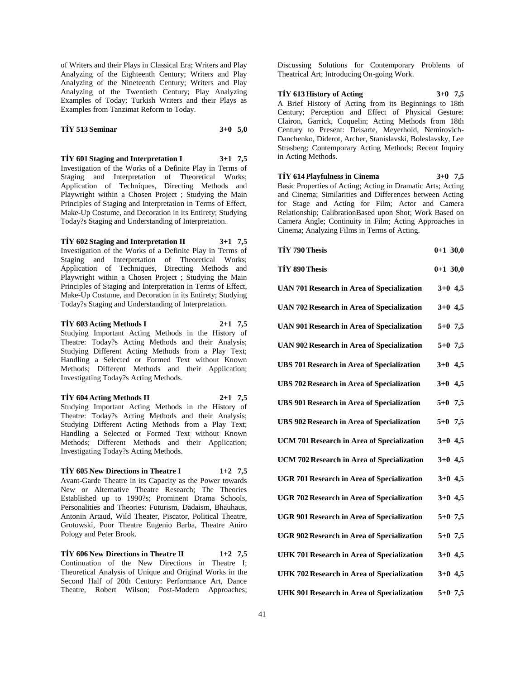of Writers and their Plays in Classical Era; Writers and Play Analyzing of the Eighteenth Century; Writers and Play Analyzing of the Nineteenth Century; Writers and Play Analyzing of the Twentieth Century; Play Analyzing Examples of Today; Turkish Writers and their Plays as Examples from Tanzimat Reform to Today.

### **TİY 513 Seminar 3+0 5,0**

**TİY 601 Staging and Interpretation I 3+1 7,5**

Investigation of the Works of a Definite Play in Terms of Staging and Interpretation of Theoretical Works; Application of Techniques, Directing Methods and Playwright within a Chosen Project ; Studying the Main Principles of Staging and Interpretation in Terms of Effect, Make-Up Costume, and Decoration in its Entirety; Studying Today?s Staging and Understanding of Interpretation.

**TİY 602 Staging and Interpretation II 3+1 7,5** Investigation of the Works of a Definite Play in Terms of Staging and Interpretation of Theoretical Works; Application of Techniques, Directing Methods and Playwright within a Chosen Project ; Studying the Main Principles of Staging and Interpretation in Terms of Effect, Make-Up Costume, and Decoration in its Entirety; Studying Today?s Staging and Understanding of Interpretation.

**TİY 603 Acting Methods I 2+1 7,5** Studying Important Acting Methods in the History of Theatre: Today?s Acting Methods and their Analysis; Studying Different Acting Methods from a Play Text; Handling a Selected or Formed Text without Known Methods; Different Methods and their Application; Investigating Today?s Acting Methods.

**TİY 604 Acting Methods II 2+1 7,5** Studying Important Acting Methods in the History of Theatre: Today?s Acting Methods and their Analysis; Studying Different Acting Methods from a Play Text; Handling a Selected or Formed Text without Known Methods; Different Methods and their Application; Investigating Today?s Acting Methods.

## **TİY 605 New Directions in Theatre I 1+2 7,5**

Avant-Garde Theatre in its Capacity as the Power towards New or Alternative Theatre Research; The Theories Established up to 1990?s; Prominent Drama Schools, Personalities and Theories: Futurism, Dadaism, Bhauhaus, Antonin Artaud, Wild Theater, Piscator, Political Theatre, Grotowski, Poor Theatre Eugenio Barba, Theatre Aniro Pology and Peter Brook.

**TİY 606 New Directions in Theatre II 1+2 7,5** Continuation of the New Directions in Theatre I; Theoretical Analysis of Unique and Original Works in the Second Half of 20th Century: Performance Art, Dance Theatre, Robert Wilson; Post-Modern Approaches;

Discussing Solutions for Contemporary Problems of Theatrical Art; Introducing On-going Work.

**TİY 613 History of Acting 3+0 7,5**

A Brief History of Acting from its Beginnings to 18th Century; Perception and Effect of Physical Gesture: Clairon, Garrick, Coquelin; Acting Methods from 18th Century to Present: Delsarte, Meyerhold, Nemirovich-Danchenko, Diderot, Archer, Stanislavski, Boleslavsky, Lee Strasberg; Contemporary Acting Methods; Recent Inquiry in Acting Methods.

**TİY** 614 Playfulness in Cinema  $3+0$  7,5 Basic Properties of Acting; Acting in Dramatic Arts; Acting and Cinema; Similarities and Differences between Acting for Stage and Acting for Film; Actor and Camera Relationship; CalibrationBased upon Shot; Work Based on Camera Angle; Continuity in Film; Acting Approaches in Cinema; Analyzing Films in Terms of Acting.

| TİY 790 Thesis                                    | $0+1$ 30,0 |
|---------------------------------------------------|------------|
| TİY 890 Thesis                                    | $0+1$ 30,0 |
| <b>UAN 701 Research in Area of Specialization</b> | $3+0$ 4,5  |
| <b>UAN 702 Research in Area of Specialization</b> | $3+0$ 4,5  |
| <b>UAN 901 Research in Area of Specialization</b> | $5+0$ 7,5  |
| <b>UAN 902 Research in Area of Specialization</b> | $5+0$ 7,5  |
| <b>UBS 701 Research in Area of Specialization</b> | $3+0$ 4,5  |
| UBS 702 Research in Area of Specialization        | $3+0$ 4,5  |
| UBS 901 Research in Area of Specialization        | $5+0$ 7,5  |
| <b>UBS 902 Research in Area of Specialization</b> | $5+0$ 7,5  |
| UCM 701 Research in Area of Specialization        | $3+0$ 4,5  |
| UCM 702 Research in Area of Specialization        | $3+0$ 4,5  |
| <b>UGR 701 Research in Area of Specialization</b> | $3+0$ 4,5  |
| <b>UGR 702 Research in Area of Specialization</b> | $3+0$ 4,5  |
| UGR 901 Research in Area of Specialization        | $5+0$ 7,5  |
| <b>UGR 902 Research in Area of Specialization</b> | $5+0$ 7,5  |
| UHK 701 Research in Area of Specialization        | $3+0$ 4,5  |
| UHK 702 Research in Area of Specialization        | $3+0$ 4,5  |
| <b>UHK 901 Research in Area of Specialization</b> | $5+0$ 7,5  |